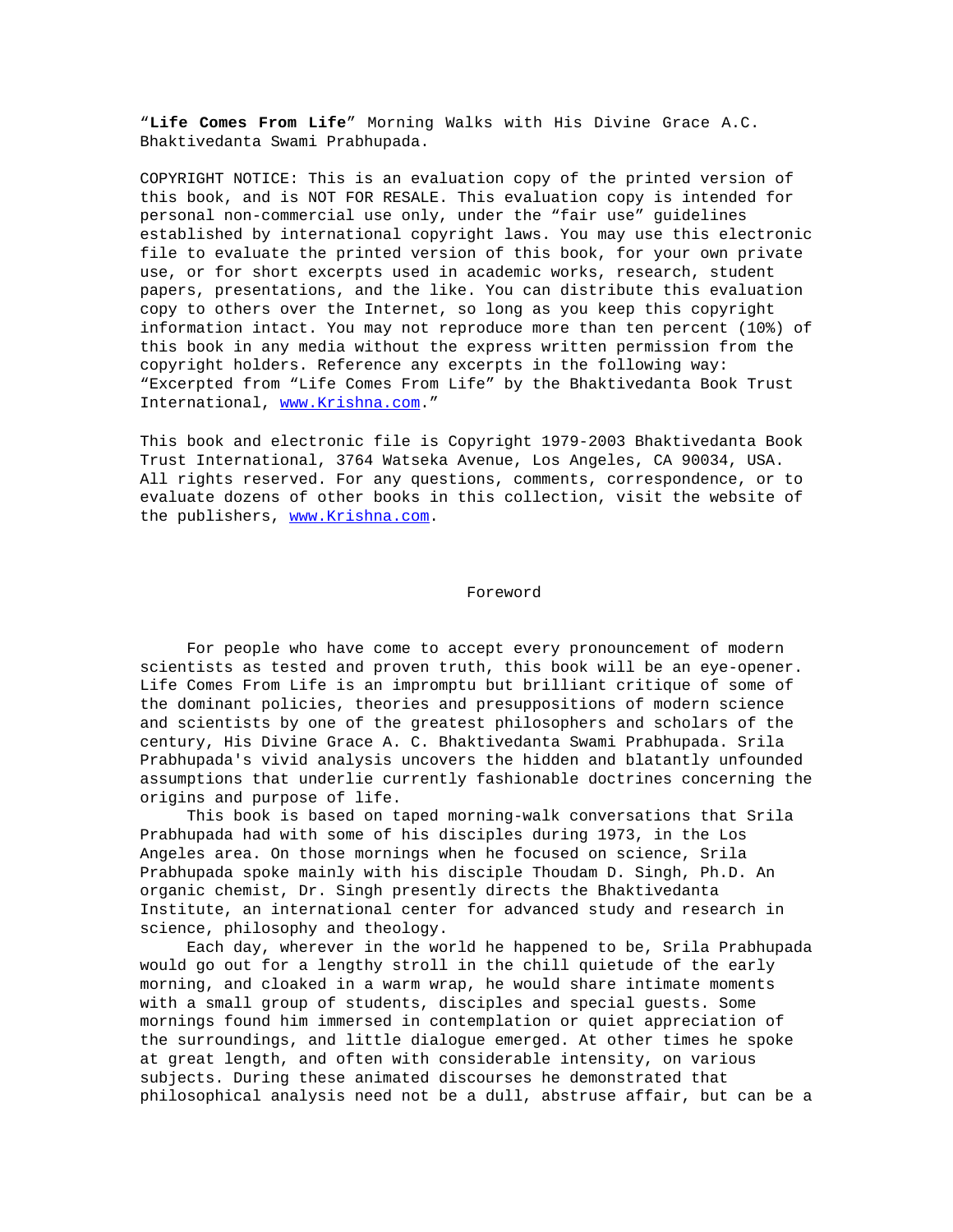"**Life Comes From Life**" Morning Walks with His Divine Grace A.C. Bhaktivedanta Swami Prabhupada.

COPYRIGHT NOTICE: This is an evaluation copy of the printed version of this book, and is NOT FOR RESALE. This evaluation copy is intended for personal non-commercial use only, under the "fair use" guidelines established by international copyright laws. You may use this electronic file to evaluate the printed version of this book, for your own private use, or for short excerpts used in academic works, research, student papers, presentations, and the like. You can distribute this evaluation copy to others over the Internet, so long as you keep this copyright information intact. You may not reproduce more than ten percent (10%) of this book in any media without the express written permission from the copyright holders. Reference any excerpts in the following way: "Excerpted from "Life Comes From Life" by the Bhaktivedanta Book Trust International, www.Krishna.com."

This book and electronic file is Copyright 1979-2003 Bhaktivedanta Book Trust International, 3764 Watseka Avenue, Los Angeles, CA 90034, USA. All rights reserved. For any questions, comments, correspondence, or to evaluate dozens of other books in this collection, visit the website of the publishers, www.Krishna.com.

#### Foreword

 For people who have come to accept every pronouncement of modern scientists as tested and proven truth, this book will be an eye-opener. Life Comes From Life is an impromptu but brilliant critique of some of the dominant policies, theories and presuppositions of modern science and scientists by one of the greatest philosophers and scholars of the century, His Divine Grace A. C. Bhaktivedanta Swami Prabhupada. Srila Prabhupada's vivid analysis uncovers the hidden and blatantly unfounded assumptions that underlie currently fashionable doctrines concerning the origins and purpose of life.

 This book is based on taped morning-walk conversations that Srila Prabhupada had with some of his disciples during 1973, in the Los Angeles area. On those mornings when he focused on science, Srila Prabhupada spoke mainly with his disciple Thoudam D. Singh, Ph.D. An organic chemist, Dr. Singh presently directs the Bhaktivedanta Institute, an international center for advanced study and research in science, philosophy and theology.

 Each day, wherever in the world he happened to be, Srila Prabhupada would go out for a lengthy stroll in the chill quietude of the early morning, and cloaked in a warm wrap, he would share intimate moments with a small group of students, disciples and special guests. Some mornings found him immersed in contemplation or quiet appreciation of the surroundings, and little dialogue emerged. At other times he spoke at great length, and often with considerable intensity, on various subjects. During these animated discourses he demonstrated that philosophical analysis need not be a dull, abstruse affair, but can be a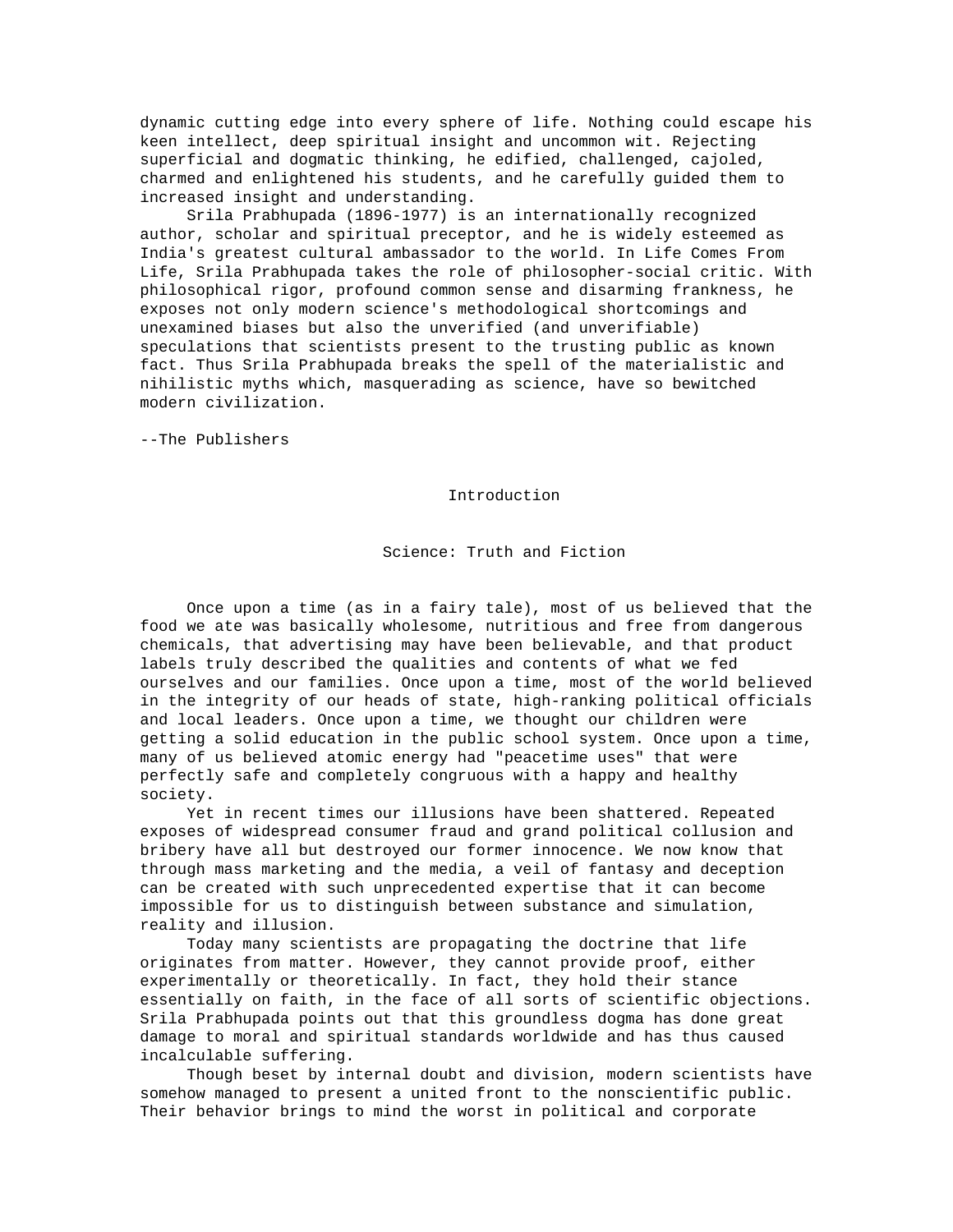dynamic cutting edge into every sphere of life. Nothing could escape his keen intellect, deep spiritual insight and uncommon wit. Rejecting superficial and dogmatic thinking, he edified, challenged, cajoled, charmed and enlightened his students, and he carefully guided them to increased insight and understanding.

 Srila Prabhupada (1896-1977) is an internationally recognized author, scholar and spiritual preceptor, and he is widely esteemed as India's greatest cultural ambassador to the world. In Life Comes From Life, Srila Prabhupada takes the role of philosopher-social critic. With philosophical rigor, profound common sense and disarming frankness, he exposes not only modern science's methodological shortcomings and unexamined biases but also the unverified (and unverifiable) speculations that scientists present to the trusting public as known fact. Thus Srila Prabhupada breaks the spell of the materialistic and nihilistic myths which, masquerading as science, have so bewitched modern civilization.

--The Publishers

Introduction

Science: Truth and Fiction

 Once upon a time (as in a fairy tale), most of us believed that the food we ate was basically wholesome, nutritious and free from dangerous chemicals, that advertising may have been believable, and that product labels truly described the qualities and contents of what we fed ourselves and our families. Once upon a time, most of the world believed in the integrity of our heads of state, high-ranking political officials and local leaders. Once upon a time, we thought our children were getting a solid education in the public school system. Once upon a time, many of us believed atomic energy had "peacetime uses" that were perfectly safe and completely congruous with a happy and healthy society.

 Yet in recent times our illusions have been shattered. Repeated exposes of widespread consumer fraud and grand political collusion and bribery have all but destroyed our former innocence. We now know that through mass marketing and the media, a veil of fantasy and deception can be created with such unprecedented expertise that it can become impossible for us to distinguish between substance and simulation, reality and illusion.

 Today many scientists are propagating the doctrine that life originates from matter. However, they cannot provide proof, either experimentally or theoretically. In fact, they hold their stance essentially on faith, in the face of all sorts of scientific objections. Srila Prabhupada points out that this groundless dogma has done great damage to moral and spiritual standards worldwide and has thus caused incalculable suffering.

 Though beset by internal doubt and division, modern scientists have somehow managed to present a united front to the nonscientific public. Their behavior brings to mind the worst in political and corporate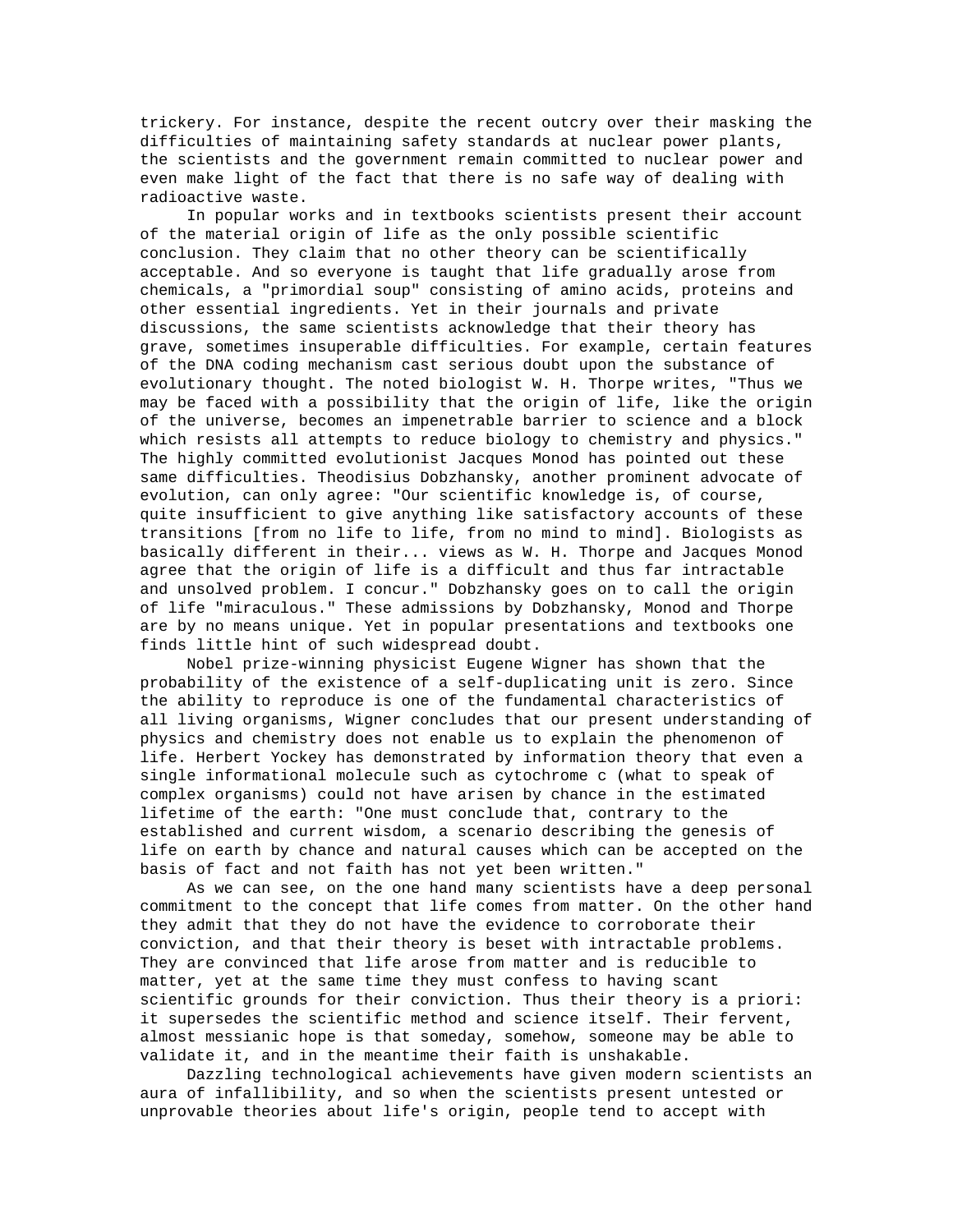trickery. For instance, despite the recent outcry over their masking the difficulties of maintaining safety standards at nuclear power plants, the scientists and the government remain committed to nuclear power and even make light of the fact that there is no safe way of dealing with radioactive waste.

 In popular works and in textbooks scientists present their account of the material origin of life as the only possible scientific conclusion. They claim that no other theory can be scientifically acceptable. And so everyone is taught that life gradually arose from chemicals, a "primordial soup" consisting of amino acids, proteins and other essential ingredients. Yet in their journals and private discussions, the same scientists acknowledge that their theory has grave, sometimes insuperable difficulties. For example, certain features of the DNA coding mechanism cast serious doubt upon the substance of evolutionary thought. The noted biologist W. H. Thorpe writes, "Thus we may be faced with a possibility that the origin of life, like the origin of the universe, becomes an impenetrable barrier to science and a block which resists all attempts to reduce biology to chemistry and physics." The highly committed evolutionist Jacques Monod has pointed out these same difficulties. Theodisius Dobzhansky, another prominent advocate of evolution, can only agree: "Our scientific knowledge is, of course, quite insufficient to give anything like satisfactory accounts of these transitions [from no life to life, from no mind to mind]. Biologists as basically different in their... views as W. H. Thorpe and Jacques Monod agree that the origin of life is a difficult and thus far intractable and unsolved problem. I concur." Dobzhansky goes on to call the origin of life "miraculous." These admissions by Dobzhansky, Monod and Thorpe are by no means unique. Yet in popular presentations and textbooks one finds little hint of such widespread doubt.

 Nobel prize-winning physicist Eugene Wigner has shown that the probability of the existence of a self-duplicating unit is zero. Since the ability to reproduce is one of the fundamental characteristics of all living organisms, Wigner concludes that our present understanding of physics and chemistry does not enable us to explain the phenomenon of life. Herbert Yockey has demonstrated by information theory that even a single informational molecule such as cytochrome c (what to speak of complex organisms) could not have arisen by chance in the estimated lifetime of the earth: "One must conclude that, contrary to the established and current wisdom, a scenario describing the genesis of life on earth by chance and natural causes which can be accepted on the basis of fact and not faith has not yet been written."

 As we can see, on the one hand many scientists have a deep personal commitment to the concept that life comes from matter. On the other hand they admit that they do not have the evidence to corroborate their conviction, and that their theory is beset with intractable problems. They are convinced that life arose from matter and is reducible to matter, yet at the same time they must confess to having scant scientific grounds for their conviction. Thus their theory is a priori: it supersedes the scientific method and science itself. Their fervent, almost messianic hope is that someday, somehow, someone may be able to validate it, and in the meantime their faith is unshakable.

 Dazzling technological achievements have given modern scientists an aura of infallibility, and so when the scientists present untested or unprovable theories about life's origin, people tend to accept with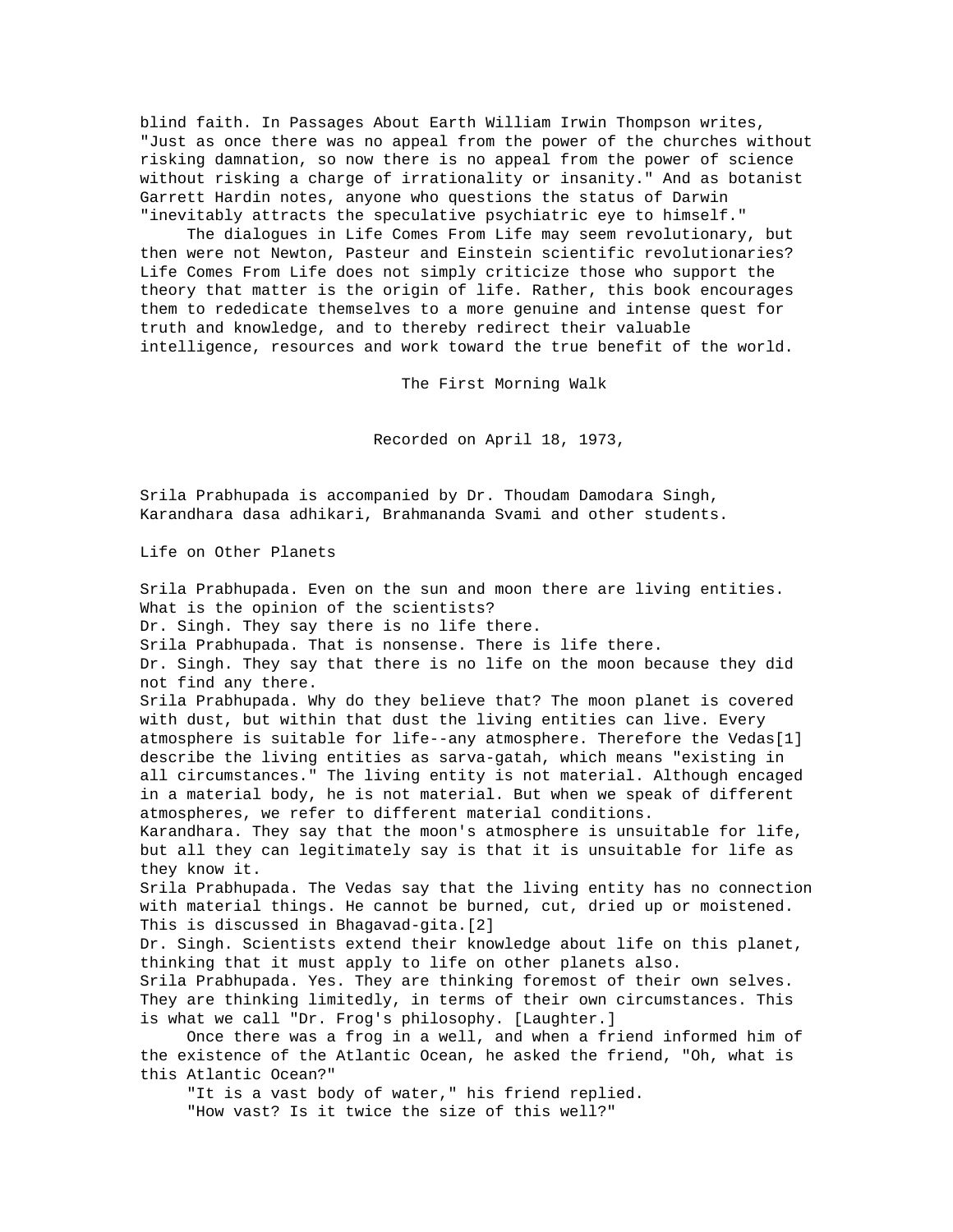blind faith. In Passages About Earth William Irwin Thompson writes, "Just as once there was no appeal from the power of the churches without risking damnation, so now there is no appeal from the power of science without risking a charge of irrationality or insanity." And as botanist Garrett Hardin notes, anyone who questions the status of Darwin "inevitably attracts the speculative psychiatric eye to himself."

 The dialogues in Life Comes From Life may seem revolutionary, but then were not Newton, Pasteur and Einstein scientific revolutionaries? Life Comes From Life does not simply criticize those who support the theory that matter is the origin of life. Rather, this book encourages them to rededicate themselves to a more genuine and intense quest for truth and knowledge, and to thereby redirect their valuable intelligence, resources and work toward the true benefit of the world.

The First Morning Walk

Recorded on April 18, 1973,

Srila Prabhupada is accompanied by Dr. Thoudam Damodara Singh, Karandhara dasa adhikari, Brahmananda Svami and other students.

Life on Other Planets

Srila Prabhupada. Even on the sun and moon there are living entities. What is the opinion of the scientists? Dr. Singh. They say there is no life there. Srila Prabhupada. That is nonsense. There is life there. Dr. Singh. They say that there is no life on the moon because they did not find any there. Srila Prabhupada. Why do they believe that? The moon planet is covered with dust, but within that dust the living entities can live. Every atmosphere is suitable for life--any atmosphere. Therefore the Vedas[1] describe the living entities as sarva-gatah, which means "existing in all circumstances." The living entity is not material. Although encaged in a material body, he is not material. But when we speak of different atmospheres, we refer to different material conditions. Karandhara. They say that the moon's atmosphere is unsuitable for life, but all they can legitimately say is that it is unsuitable for life as they know it. Srila Prabhupada. The Vedas say that the living entity has no connection with material things. He cannot be burned, cut, dried up or moistened. This is discussed in Bhagavad-gita.[2] Dr. Singh. Scientists extend their knowledge about life on this planet, thinking that it must apply to life on other planets also. Srila Prabhupada. Yes. They are thinking foremost of their own selves. They are thinking limitedly, in terms of their own circumstances. This is what we call "Dr. Frog's philosophy. [Laughter.] Once there was a frog in a well, and when a friend informed him of the existence of the Atlantic Ocean, he asked the friend, "Oh, what is this Atlantic Ocean?"

 "It is a vast body of water," his friend replied. "How vast? Is it twice the size of this well?"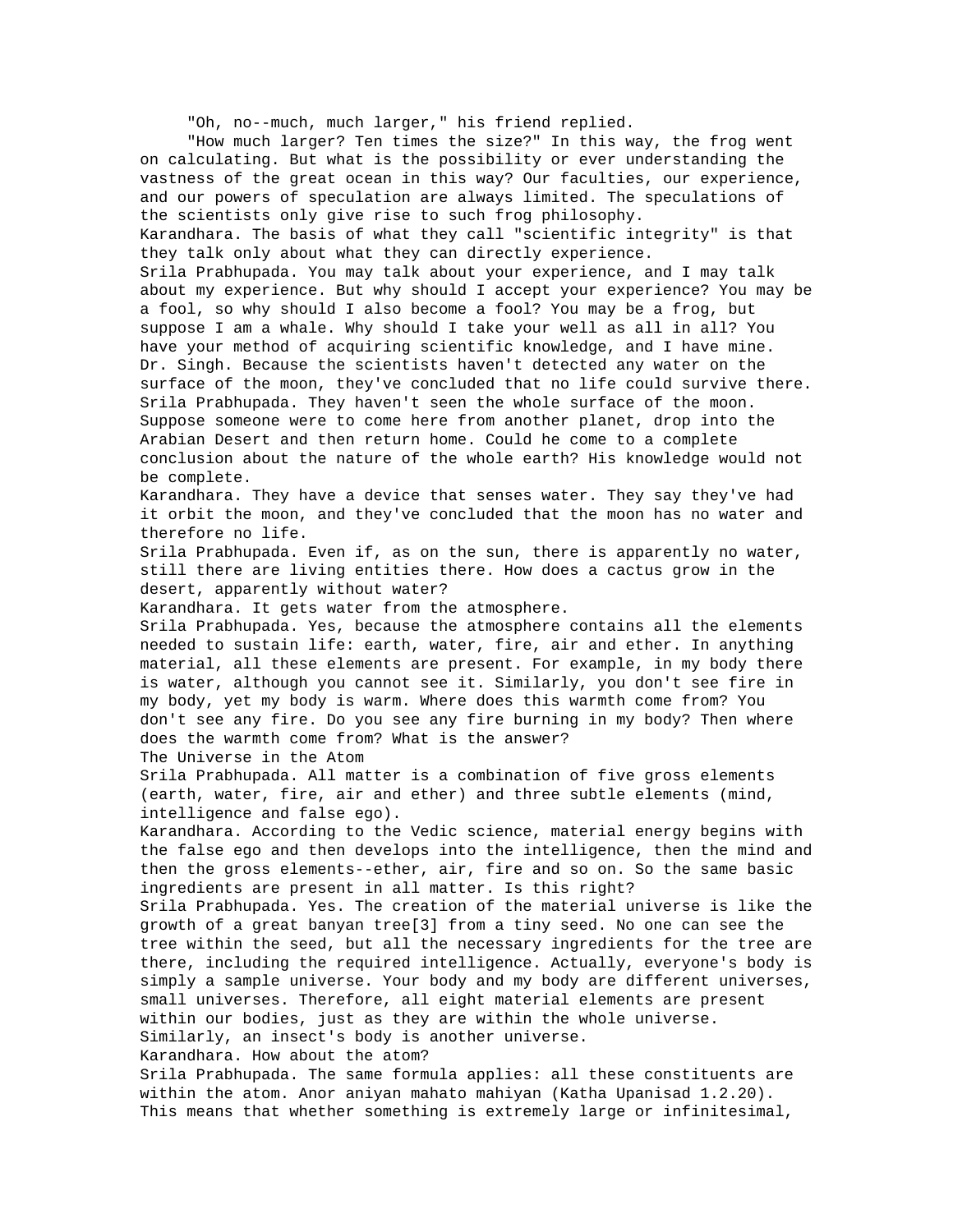"Oh, no--much, much larger," his friend replied.

 "How much larger? Ten times the size?" In this way, the frog went on calculating. But what is the possibility or ever understanding the vastness of the great ocean in this way? Our faculties, our experience, and our powers of speculation are always limited. The speculations of the scientists only give rise to such frog philosophy. Karandhara. The basis of what they call "scientific integrity" is that they talk only about what they can directly experience. Srila Prabhupada. You may talk about your experience, and I may talk about my experience. But why should I accept your experience? You may be a fool, so why should I also become a fool? You may be a frog, but suppose I am a whale. Why should I take your well as all in all? You have your method of acquiring scientific knowledge, and I have mine. Dr. Singh. Because the scientists haven't detected any water on the surface of the moon, they've concluded that no life could survive there. Srila Prabhupada. They haven't seen the whole surface of the moon. Suppose someone were to come here from another planet, drop into the Arabian Desert and then return home. Could he come to a complete conclusion about the nature of the whole earth? His knowledge would not be complete. Karandhara. They have a device that senses water. They say they've had it orbit the moon, and they've concluded that the moon has no water and therefore no life. Srila Prabhupada. Even if, as on the sun, there is apparently no water, still there are living entities there. How does a cactus grow in the desert, apparently without water? Karandhara. It gets water from the atmosphere. Srila Prabhupada. Yes, because the atmosphere contains all the elements needed to sustain life: earth, water, fire, air and ether. In anything material, all these elements are present. For example, in my body there is water, although you cannot see it. Similarly, you don't see fire in my body, yet my body is warm. Where does this warmth come from? You don't see any fire. Do you see any fire burning in my body? Then where does the warmth come from? What is the answer? The Universe in the Atom Srila Prabhupada. All matter is a combination of five gross elements (earth, water, fire, air and ether) and three subtle elements (mind, intelligence and false ego). Karandhara. According to the Vedic science, material energy begins with the false ego and then develops into the intelligence, then the mind and then the gross elements--ether, air, fire and so on. So the same basic ingredients are present in all matter. Is this right? Srila Prabhupada. Yes. The creation of the material universe is like the growth of a great banyan tree[3] from a tiny seed. No one can see the tree within the seed, but all the necessary ingredients for the tree are there, including the required intelligence. Actually, everyone's body is simply a sample universe. Your body and my body are different universes, small universes. Therefore, all eight material elements are present within our bodies, just as they are within the whole universe. Similarly, an insect's body is another universe. Karandhara. How about the atom? Srila Prabhupada. The same formula applies: all these constituents are within the atom. Anor aniyan mahato mahiyan (Katha Upanisad 1.2.20). This means that whether something is extremely large or infinitesimal,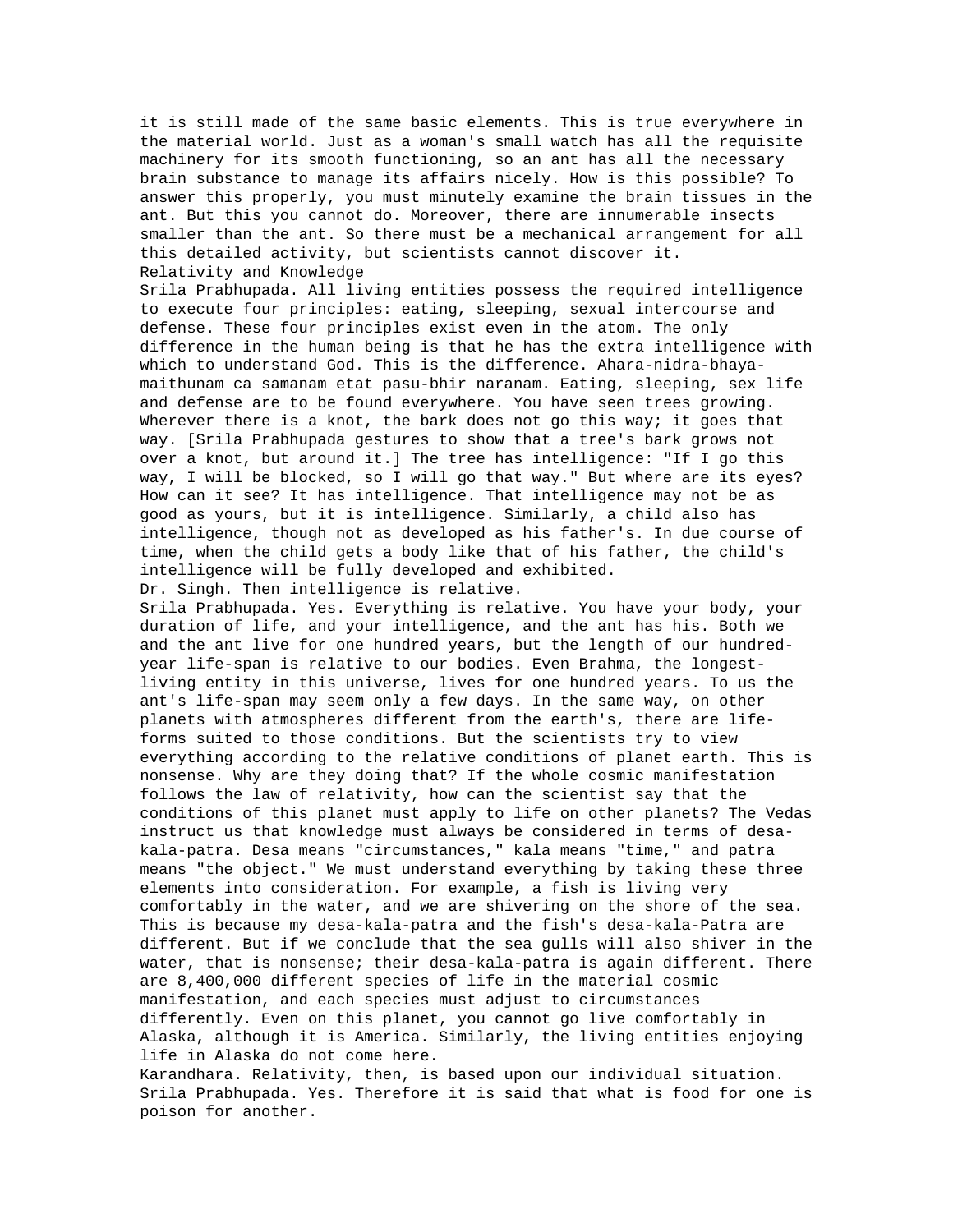it is still made of the same basic elements. This is true everywhere in the material world. Just as a woman's small watch has all the requisite machinery for its smooth functioning, so an ant has all the necessary brain substance to manage its affairs nicely. How is this possible? To answer this properly, you must minutely examine the brain tissues in the ant. But this you cannot do. Moreover, there are innumerable insects smaller than the ant. So there must be a mechanical arrangement for all this detailed activity, but scientists cannot discover it. Relativity and Knowledge

Srila Prabhupada. All living entities possess the required intelligence to execute four principles: eating, sleeping, sexual intercourse and defense. These four principles exist even in the atom. The only difference in the human being is that he has the extra intelligence with which to understand God. This is the difference. Ahara-nidra-bhayamaithunam ca samanam etat pasu-bhir naranam. Eating, sleeping, sex life and defense are to be found everywhere. You have seen trees growing. Wherever there is a knot, the bark does not go this way; it goes that way. [Srila Prabhupada gestures to show that a tree's bark grows not over a knot, but around it.] The tree has intelligence: "If I go this way, I will be blocked, so I will go that way." But where are its eyes? How can it see? It has intelligence. That intelligence may not be as good as yours, but it is intelligence. Similarly, a child also has intelligence, though not as developed as his father's. In due course of time, when the child gets a body like that of his father, the child's intelligence will be fully developed and exhibited.

Dr. Singh. Then intelligence is relative.

Srila Prabhupada. Yes. Everything is relative. You have your body, your duration of life, and your intelligence, and the ant has his. Both we and the ant live for one hundred years, but the length of our hundredyear life-span is relative to our bodies. Even Brahma, the longestliving entity in this universe, lives for one hundred years. To us the ant's life-span may seem only a few days. In the same way, on other planets with atmospheres different from the earth's, there are lifeforms suited to those conditions. But the scientists try to view everything according to the relative conditions of planet earth. This is nonsense. Why are they doing that? If the whole cosmic manifestation follows the law of relativity, how can the scientist say that the conditions of this planet must apply to life on other planets? The Vedas instruct us that knowledge must always be considered in terms of desakala-patra. Desa means "circumstances," kala means "time," and patra means "the object." We must understand everything by taking these three elements into consideration. For example, a fish is living very comfortably in the water, and we are shivering on the shore of the sea. This is because my desa-kala-patra and the fish's desa-kala-Patra are different. But if we conclude that the sea gulls will also shiver in the water, that is nonsense; their desa-kala-patra is again different. There are 8,400,000 different species of life in the material cosmic manifestation, and each species must adjust to circumstances differently. Even on this planet, you cannot go live comfortably in Alaska, although it is America. Similarly, the living entities enjoying life in Alaska do not come here.

Karandhara. Relativity, then, is based upon our individual situation. Srila Prabhupada. Yes. Therefore it is said that what is food for one is poison for another.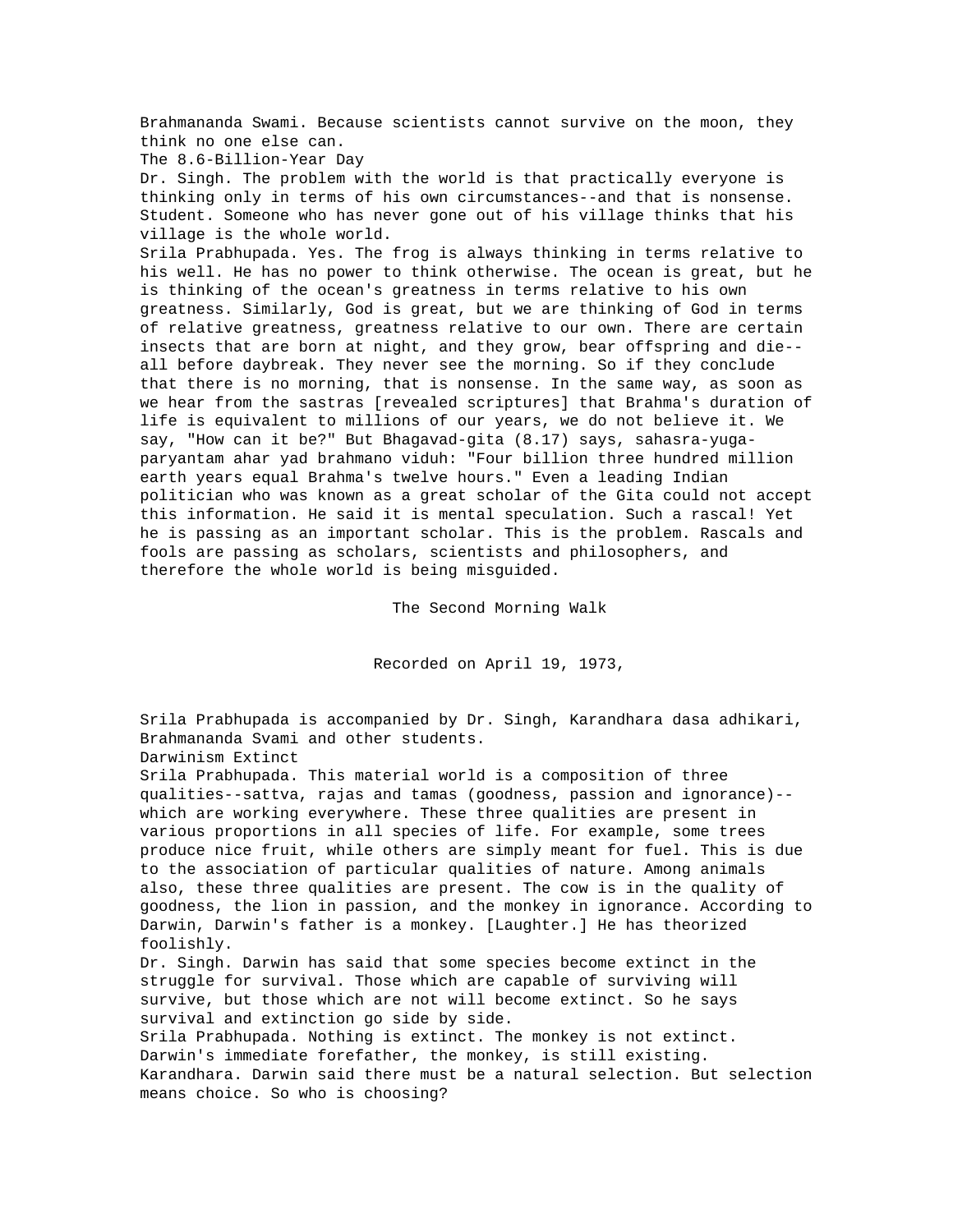Brahmananda Swami. Because scientists cannot survive on the moon, they think no one else can.

The 8.6-Billion-Year Day

Dr. Singh. The problem with the world is that practically everyone is thinking only in terms of his own circumstances--and that is nonsense. Student. Someone who has never gone out of his village thinks that his village is the whole world.

Srila Prabhupada. Yes. The frog is always thinking in terms relative to his well. He has no power to think otherwise. The ocean is great, but he is thinking of the ocean's greatness in terms relative to his own greatness. Similarly, God is great, but we are thinking of God in terms of relative greatness, greatness relative to our own. There are certain insects that are born at night, and they grow, bear offspring and die- all before daybreak. They never see the morning. So if they conclude that there is no morning, that is nonsense. In the same way, as soon as we hear from the sastras [revealed scriptures] that Brahma's duration of life is equivalent to millions of our years, we do not believe it. We say, "How can it be?" But Bhagavad-gita (8.17) says, sahasra-yugaparyantam ahar yad brahmano viduh: "Four billion three hundred million earth years equal Brahma's twelve hours." Even a leading Indian politician who was known as a great scholar of the Gita could not accept this information. He said it is mental speculation. Such a rascal! Yet he is passing as an important scholar. This is the problem. Rascals and fools are passing as scholars, scientists and philosophers, and therefore the whole world is being misguided.

The Second Morning Walk

Recorded on April 19, 1973,

Srila Prabhupada is accompanied by Dr. Singh, Karandhara dasa adhikari, Brahmananda Svami and other students.

Darwinism Extinct

Srila Prabhupada. This material world is a composition of three qualities--sattva, rajas and tamas (goodness, passion and ignorance)- which are working everywhere. These three qualities are present in various proportions in all species of life. For example, some trees produce nice fruit, while others are simply meant for fuel. This is due to the association of particular qualities of nature. Among animals also, these three qualities are present. The cow is in the quality of goodness, the lion in passion, and the monkey in ignorance. According to Darwin, Darwin's father is a monkey. [Laughter.] He has theorized foolishly.

Dr. Singh. Darwin has said that some species become extinct in the struggle for survival. Those which are capable of surviving will survive, but those which are not will become extinct. So he says survival and extinction go side by side.

Srila Prabhupada. Nothing is extinct. The monkey is not extinct. Darwin's immediate forefather, the monkey, is still existing. Karandhara. Darwin said there must be a natural selection. But selection means choice. So who is choosing?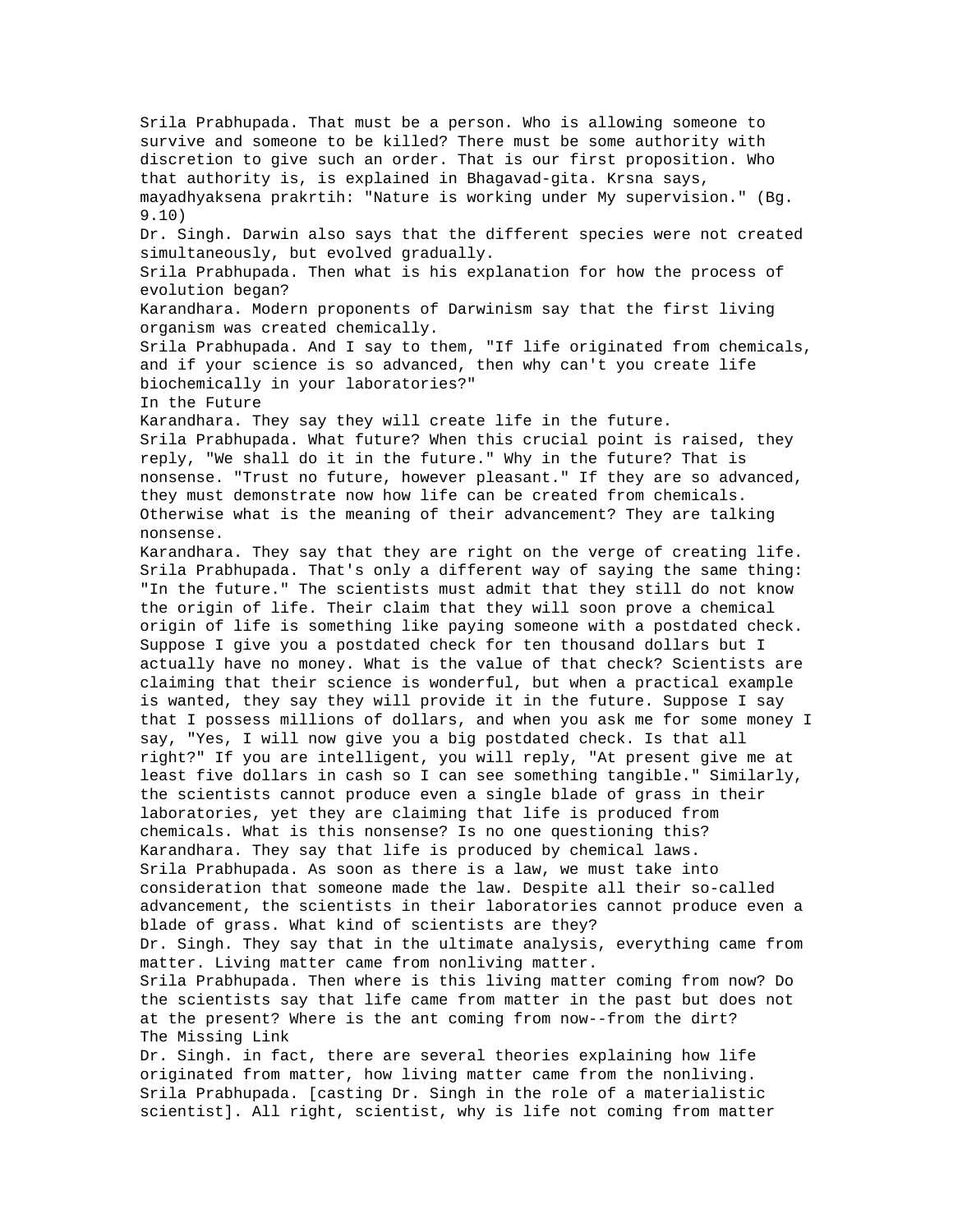Srila Prabhupada. That must be a person. Who is allowing someone to survive and someone to be killed? There must be some authority with discretion to give such an order. That is our first proposition. Who that authority is, is explained in Bhagavad-gita. Krsna says, mayadhyaksena prakrtih: "Nature is working under My supervision." (Bg. 9.10) Dr. Singh. Darwin also says that the different species were not created simultaneously, but evolved gradually. Srila Prabhupada. Then what is his explanation for how the process of evolution began? Karandhara. Modern proponents of Darwinism say that the first living organism was created chemically. Srila Prabhupada. And I say to them, "If life originated from chemicals, and if your science is so advanced, then why can't you create life biochemically in your laboratories?" In the Future Karandhara. They say they will create life in the future. Srila Prabhupada. What future? When this crucial point is raised, they reply, "We shall do it in the future." Why in the future? That is nonsense. "Trust no future, however pleasant." If they are so advanced, they must demonstrate now how life can be created from chemicals. Otherwise what is the meaning of their advancement? They are talking nonsense. Karandhara. They say that they are right on the verge of creating life. Srila Prabhupada. That's only a different way of saying the same thing: "In the future." The scientists must admit that they still do not know the origin of life. Their claim that they will soon prove a chemical origin of life is something like paying someone with a postdated check. Suppose I give you a postdated check for ten thousand dollars but I actually have no money. What is the value of that check? Scientists are claiming that their science is wonderful, but when a practical example is wanted, they say they will provide it in the future. Suppose I say that I possess millions of dollars, and when you ask me for some money I say, "Yes, I will now give you a big postdated check. Is that all right?" If you are intelligent, you will reply, "At present give me at least five dollars in cash so I can see something tangible." Similarly, the scientists cannot produce even a single blade of grass in their laboratories, yet they are claiming that life is produced from chemicals. What is this nonsense? Is no one questioning this? Karandhara. They say that life is produced by chemical laws. Srila Prabhupada. As soon as there is a law, we must take into consideration that someone made the law. Despite all their so-called advancement, the scientists in their laboratories cannot produce even a blade of grass. What kind of scientists are they? Dr. Singh. They say that in the ultimate analysis, everything came from matter. Living matter came from nonliving matter. Srila Prabhupada. Then where is this living matter coming from now? Do the scientists say that life came from matter in the past but does not at the present? Where is the ant coming from now--from the dirt? The Missing Link Dr. Singh. in fact, there are several theories explaining how life originated from matter, how living matter came from the nonliving. Srila Prabhupada. [casting Dr. Singh in the role of a materialistic scientist]. All right, scientist, why is life not coming from matter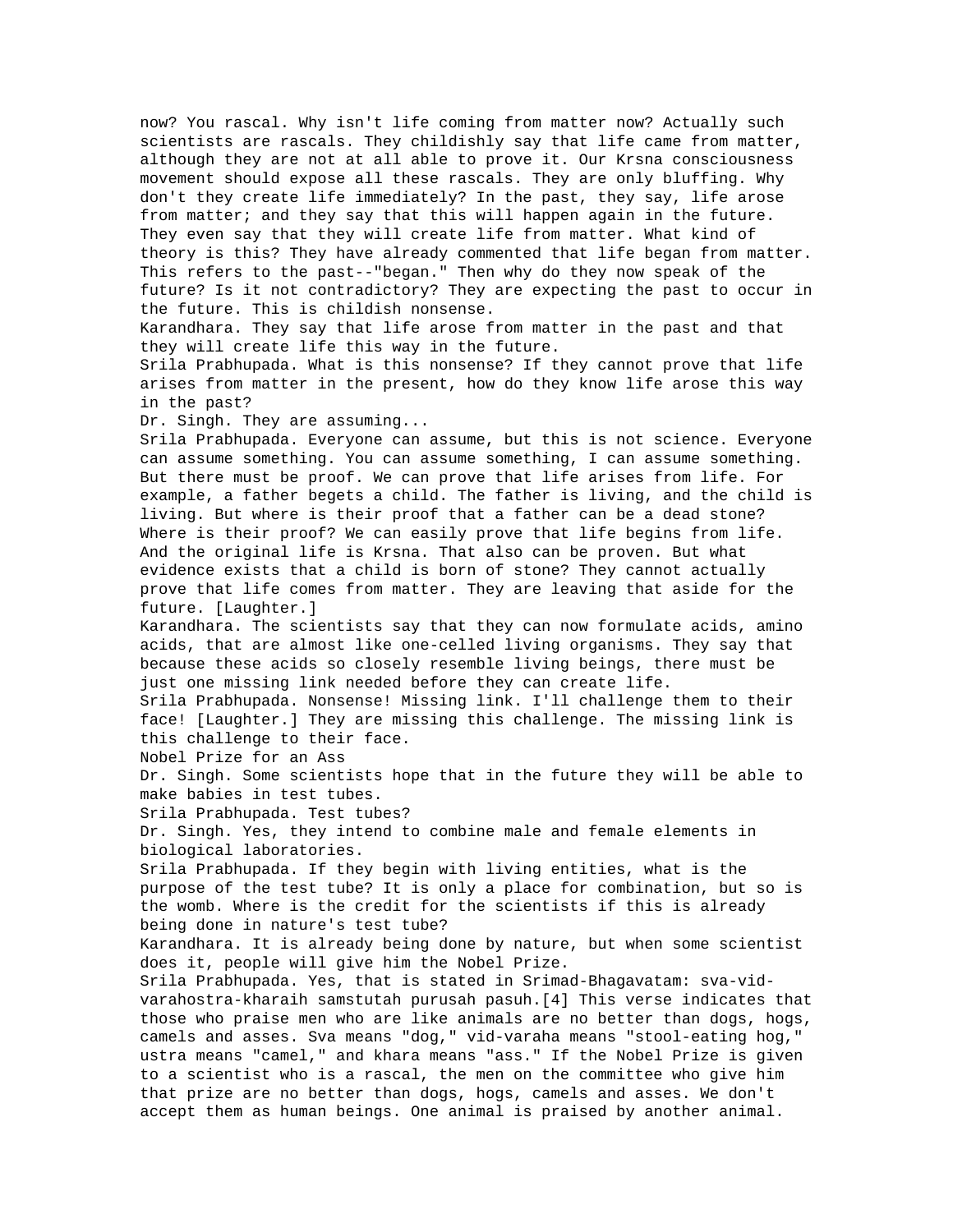now? You rascal. Why isn't life coming from matter now? Actually such scientists are rascals. They childishly say that life came from matter, although they are not at all able to prove it. Our Krsna consciousness movement should expose all these rascals. They are only bluffing. Why don't they create life immediately? In the past, they say, life arose from matter; and they say that this will happen again in the future. They even say that they will create life from matter. What kind of theory is this? They have already commented that life began from matter. This refers to the past--"began." Then why do they now speak of the future? Is it not contradictory? They are expecting the past to occur in the future. This is childish nonsense. Karandhara. They say that life arose from matter in the past and that they will create life this way in the future. Srila Prabhupada. What is this nonsense? If they cannot prove that life arises from matter in the present, how do they know life arose this way in the past? Dr. Singh. They are assuming... Srila Prabhupada. Everyone can assume, but this is not science. Everyone can assume something. You can assume something, I can assume something. But there must be proof. We can prove that life arises from life. For example, a father begets a child. The father is living, and the child is living. But where is their proof that a father can be a dead stone? Where is their proof? We can easily prove that life begins from life. And the original life is Krsna. That also can be proven. But what evidence exists that a child is born of stone? They cannot actually prove that life comes from matter. They are leaving that aside for the future. [Laughter.] Karandhara. The scientists say that they can now formulate acids, amino acids, that are almost like one-celled living organisms. They say that because these acids so closely resemble living beings, there must be just one missing link needed before they can create life. Srila Prabhupada. Nonsense! Missing link. I'll challenge them to their face! [Laughter.] They are missing this challenge. The missing link is this challenge to their face. Nobel Prize for an Ass Dr. Singh. Some scientists hope that in the future they will be able to make babies in test tubes. Srila Prabhupada. Test tubes? Dr. Singh. Yes, they intend to combine male and female elements in biological laboratories. Srila Prabhupada. If they begin with living entities, what is the purpose of the test tube? It is only a place for combination, but so is the womb. Where is the credit for the scientists if this is already being done in nature's test tube? Karandhara. It is already being done by nature, but when some scientist does it, people will give him the Nobel Prize. Srila Prabhupada. Yes, that is stated in Srimad-Bhagavatam: sva-vidvarahostra-kharaih samstutah purusah pasuh.[4] This verse indicates that those who praise men who are like animals are no better than dogs, hogs, camels and asses. Sva means "dog," vid-varaha means "stool-eating hog," ustra means "camel," and khara means "ass." If the Nobel Prize is given to a scientist who is a rascal, the men on the committee who give him that prize are no better than dogs, hogs, camels and asses. We don't accept them as human beings. One animal is praised by another animal.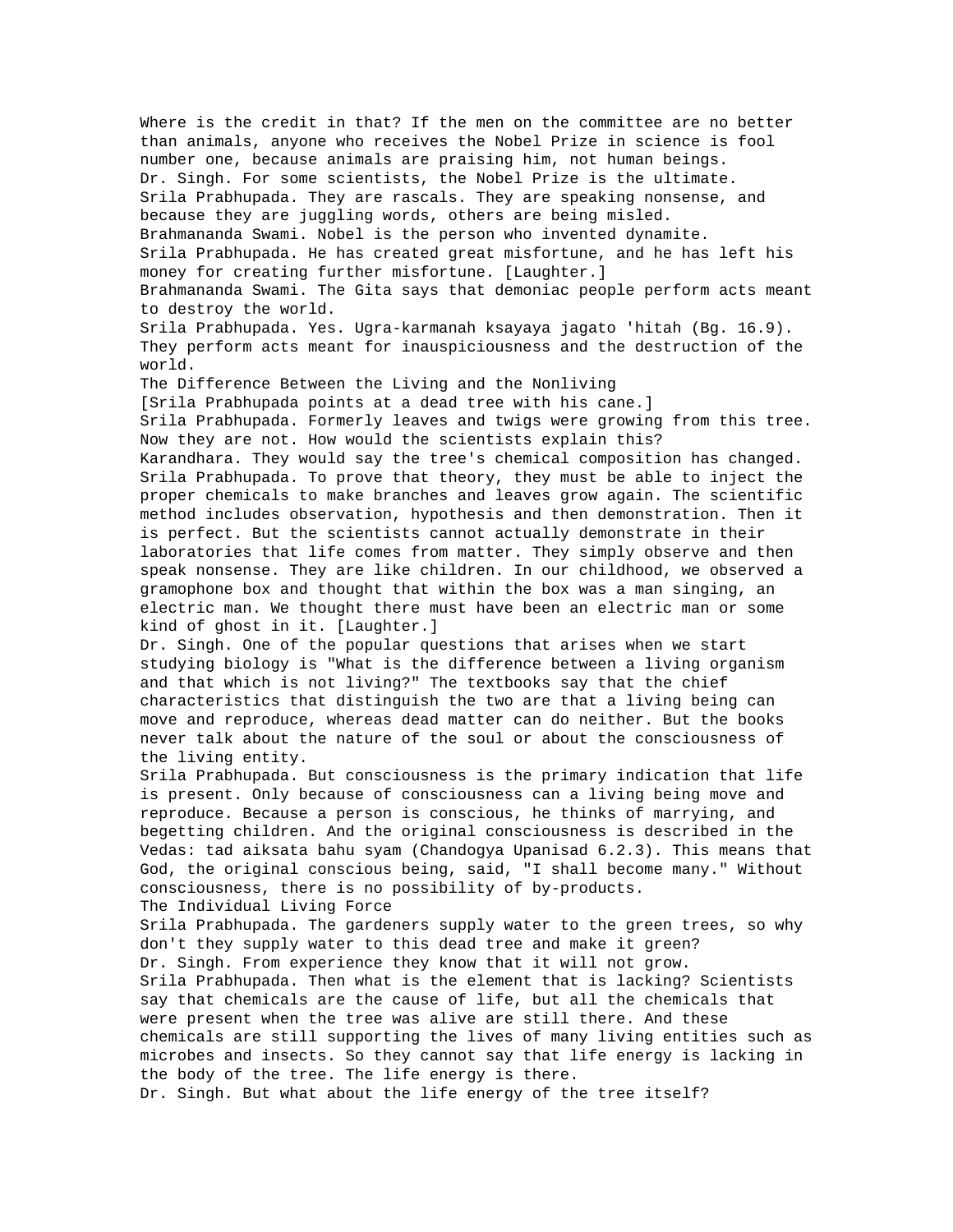Where is the credit in that? If the men on the committee are no better than animals, anyone who receives the Nobel Prize in science is fool number one, because animals are praising him, not human beings. Dr. Singh. For some scientists, the Nobel Prize is the ultimate. Srila Prabhupada. They are rascals. They are speaking nonsense, and because they are juggling words, others are being misled. Brahmananda Swami. Nobel is the person who invented dynamite. Srila Prabhupada. He has created great misfortune, and he has left his money for creating further misfortune. [Laughter.] Brahmananda Swami. The Gita says that demoniac people perform acts meant to destroy the world. Srila Prabhupada. Yes. Ugra-karmanah ksayaya jagato 'hitah (Bg. 16.9). They perform acts meant for inauspiciousness and the destruction of the world. The Difference Between the Living and the Nonliving [Srila Prabhupada points at a dead tree with his cane.] Srila Prabhupada. Formerly leaves and twigs were growing from this tree. Now they are not. How would the scientists explain this? Karandhara. They would say the tree's chemical composition has changed. Srila Prabhupada. To prove that theory, they must be able to inject the proper chemicals to make branches and leaves grow again. The scientific method includes observation, hypothesis and then demonstration. Then it is perfect. But the scientists cannot actually demonstrate in their laboratories that life comes from matter. They simply observe and then speak nonsense. They are like children. In our childhood, we observed a gramophone box and thought that within the box was a man singing, an electric man. We thought there must have been an electric man or some kind of ghost in it. [Laughter.] Dr. Singh. One of the popular questions that arises when we start studying biology is "What is the difference between a living organism and that which is not living?" The textbooks say that the chief characteristics that distinguish the two are that a living being can move and reproduce, whereas dead matter can do neither. But the books never talk about the nature of the soul or about the consciousness of the living entity. Srila Prabhupada. But consciousness is the primary indication that life is present. Only because of consciousness can a living being move and reproduce. Because a person is conscious, he thinks of marrying, and begetting children. And the original consciousness is described in the Vedas: tad aiksata bahu syam (Chandogya Upanisad 6.2.3). This means that God, the original conscious being, said, "I shall become many." Without consciousness, there is no possibility of by-products. The Individual Living Force Srila Prabhupada. The gardeners supply water to the green trees, so why don't they supply water to this dead tree and make it green? Dr. Singh. From experience they know that it will not grow. Srila Prabhupada. Then what is the element that is lacking? Scientists say that chemicals are the cause of life, but all the chemicals that were present when the tree was alive are still there. And these chemicals are still supporting the lives of many living entities such as microbes and insects. So they cannot say that life energy is lacking in the body of the tree. The life energy is there. Dr. Singh. But what about the life energy of the tree itself?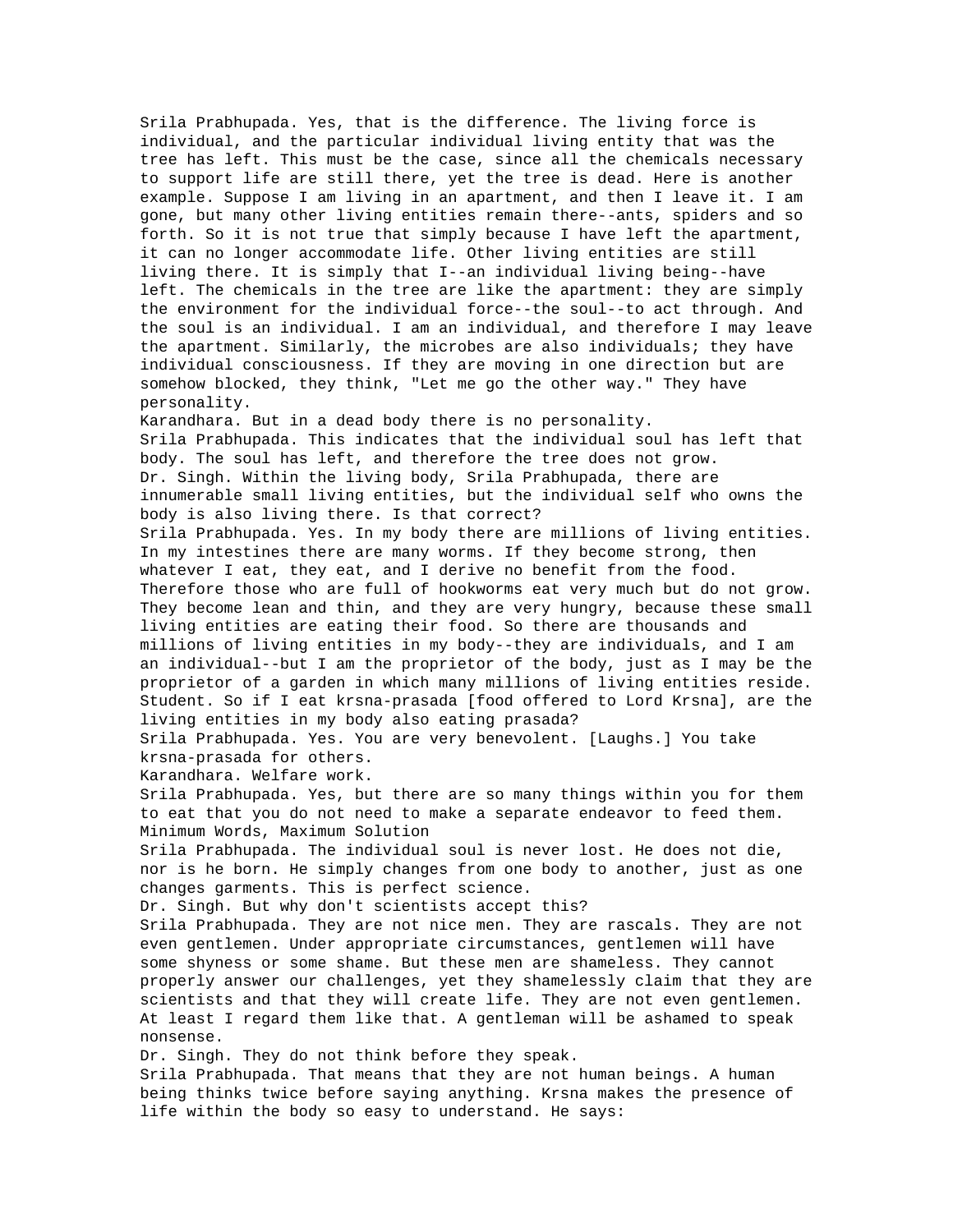Srila Prabhupada. Yes, that is the difference. The living force is individual, and the particular individual living entity that was the tree has left. This must be the case, since all the chemicals necessary to support life are still there, yet the tree is dead. Here is another example. Suppose I am living in an apartment, and then I leave it. I am gone, but many other living entities remain there--ants, spiders and so forth. So it is not true that simply because I have left the apartment, it can no longer accommodate life. Other living entities are still living there. It is simply that I--an individual living being--have left. The chemicals in the tree are like the apartment: they are simply the environment for the individual force--the soul--to act through. And the soul is an individual. I am an individual, and therefore I may leave the apartment. Similarly, the microbes are also individuals; they have individual consciousness. If they are moving in one direction but are somehow blocked, they think, "Let me go the other way." They have personality. Karandhara. But in a dead body there is no personality. Srila Prabhupada. This indicates that the individual soul has left that body. The soul has left, and therefore the tree does not grow. Dr. Singh. Within the living body, Srila Prabhupada, there are innumerable small living entities, but the individual self who owns the body is also living there. Is that correct? Srila Prabhupada. Yes. In my body there are millions of living entities. In my intestines there are many worms. If they become strong, then whatever I eat, they eat, and I derive no benefit from the food. Therefore those who are full of hookworms eat very much but do not grow. They become lean and thin, and they are very hungry, because these small living entities are eating their food. So there are thousands and millions of living entities in my body--they are individuals, and I am an individual--but I am the proprietor of the body, just as I may be the proprietor of a garden in which many millions of living entities reside. Student. So if I eat krsna-prasada [food offered to Lord Krsna], are the living entities in my body also eating prasada? Srila Prabhupada. Yes. You are very benevolent. [Laughs.] You take krsna-prasada for others. Karandhara. Welfare work. Srila Prabhupada. Yes, but there are so many things within you for them to eat that you do not need to make a separate endeavor to feed them. Minimum Words, Maximum Solution Srila Prabhupada. The individual soul is never lost. He does not die, nor is he born. He simply changes from one body to another, just as one changes garments. This is perfect science. Dr. Singh. But why don't scientists accept this? Srila Prabhupada. They are not nice men. They are rascals. They are not even gentlemen. Under appropriate circumstances, gentlemen will have some shyness or some shame. But these men are shameless. They cannot properly answer our challenges, yet they shamelessly claim that they are scientists and that they will create life. They are not even gentlemen. At least I regard them like that. A gentleman will be ashamed to speak nonsense. Dr. Singh. They do not think before they speak. Srila Prabhupada. That means that they are not human beings. A human being thinks twice before saying anything. Krsna makes the presence of life within the body so easy to understand. He says: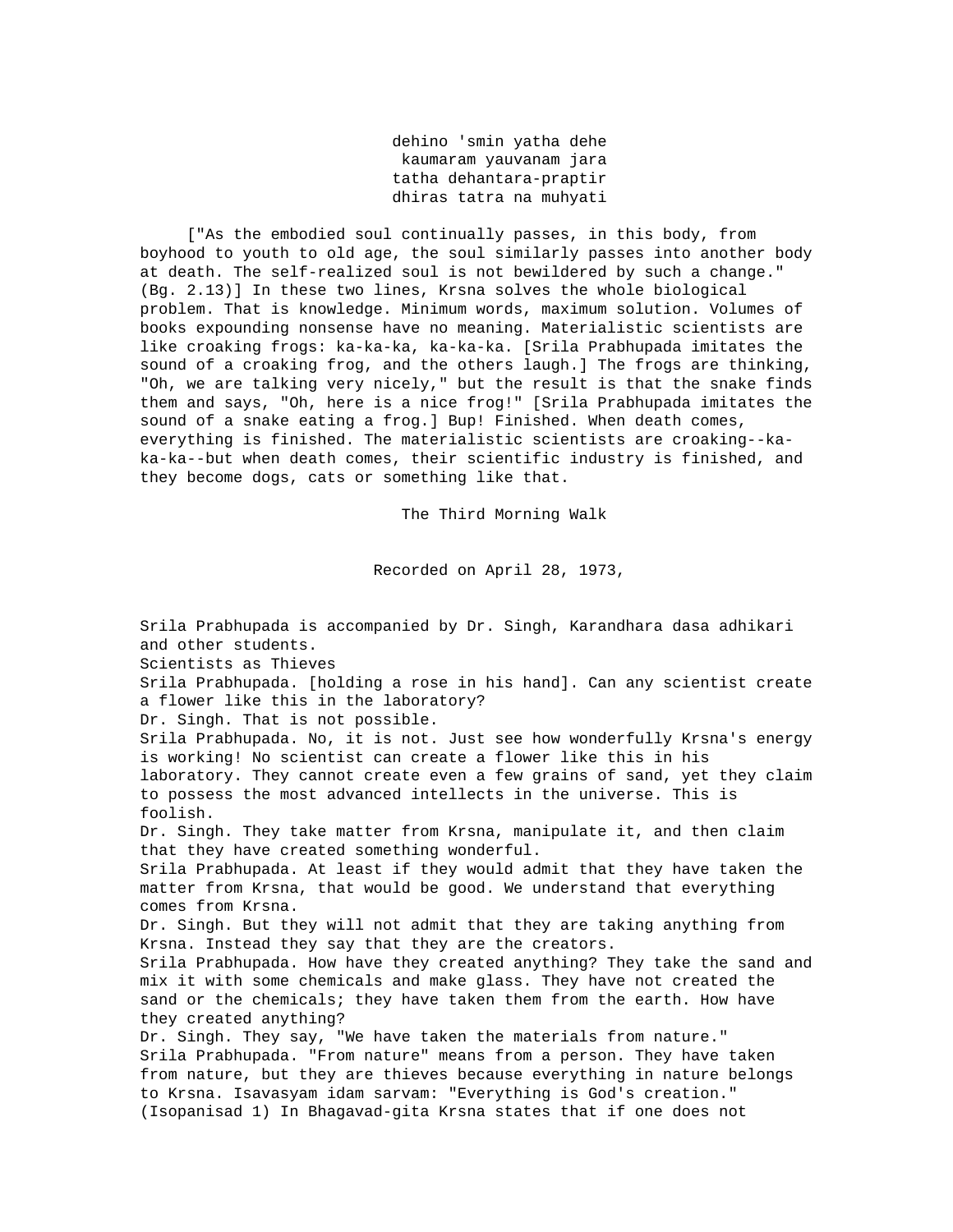dehino 'smin yatha dehe kaumaram yauvanam jara tatha dehantara-praptir dhiras tatra na muhyati

 ["As the embodied soul continually passes, in this body, from boyhood to youth to old age, the soul similarly passes into another body at death. The self-realized soul is not bewildered by such a change." (Bg. 2.13)] In these two lines, Krsna solves the whole biological problem. That is knowledge. Minimum words, maximum solution. Volumes of books expounding nonsense have no meaning. Materialistic scientists are like croaking frogs: ka-ka-ka, ka-ka-ka. [Srila Prabhupada imitates the sound of a croaking frog, and the others laugh.] The frogs are thinking, "Oh, we are talking very nicely," but the result is that the snake finds them and says, "Oh, here is a nice frog!" [Srila Prabhupada imitates the sound of a snake eating a frog.] Bup! Finished. When death comes, everything is finished. The materialistic scientists are croaking--kaka-ka--but when death comes, their scientific industry is finished, and they become dogs, cats or something like that.

The Third Morning Walk

Recorded on April 28, 1973,

Srila Prabhupada is accompanied by Dr. Singh, Karandhara dasa adhikari and other students.

Scientists as Thieves

Srila Prabhupada. [holding a rose in his hand]. Can any scientist create a flower like this in the laboratory?

Dr. Singh. That is not possible.

Srila Prabhupada. No, it is not. Just see how wonderfully Krsna's energy is working! No scientist can create a flower like this in his laboratory. They cannot create even a few grains of sand, yet they claim to possess the most advanced intellects in the universe. This is foolish.

Dr. Singh. They take matter from Krsna, manipulate it, and then claim that they have created something wonderful.

Srila Prabhupada. At least if they would admit that they have taken the matter from Krsna, that would be good. We understand that everything comes from Krsna.

Dr. Singh. But they will not admit that they are taking anything from Krsna. Instead they say that they are the creators.

Srila Prabhupada. How have they created anything? They take the sand and mix it with some chemicals and make glass. They have not created the sand or the chemicals; they have taken them from the earth. How have they created anything?

Dr. Singh. They say, "We have taken the materials from nature." Srila Prabhupada. "From nature" means from a person. They have taken from nature, but they are thieves because everything in nature belongs to Krsna. Isavasyam idam sarvam: "Everything is God's creation." (Isopanisad 1) In Bhagavad-gita Krsna states that if one does not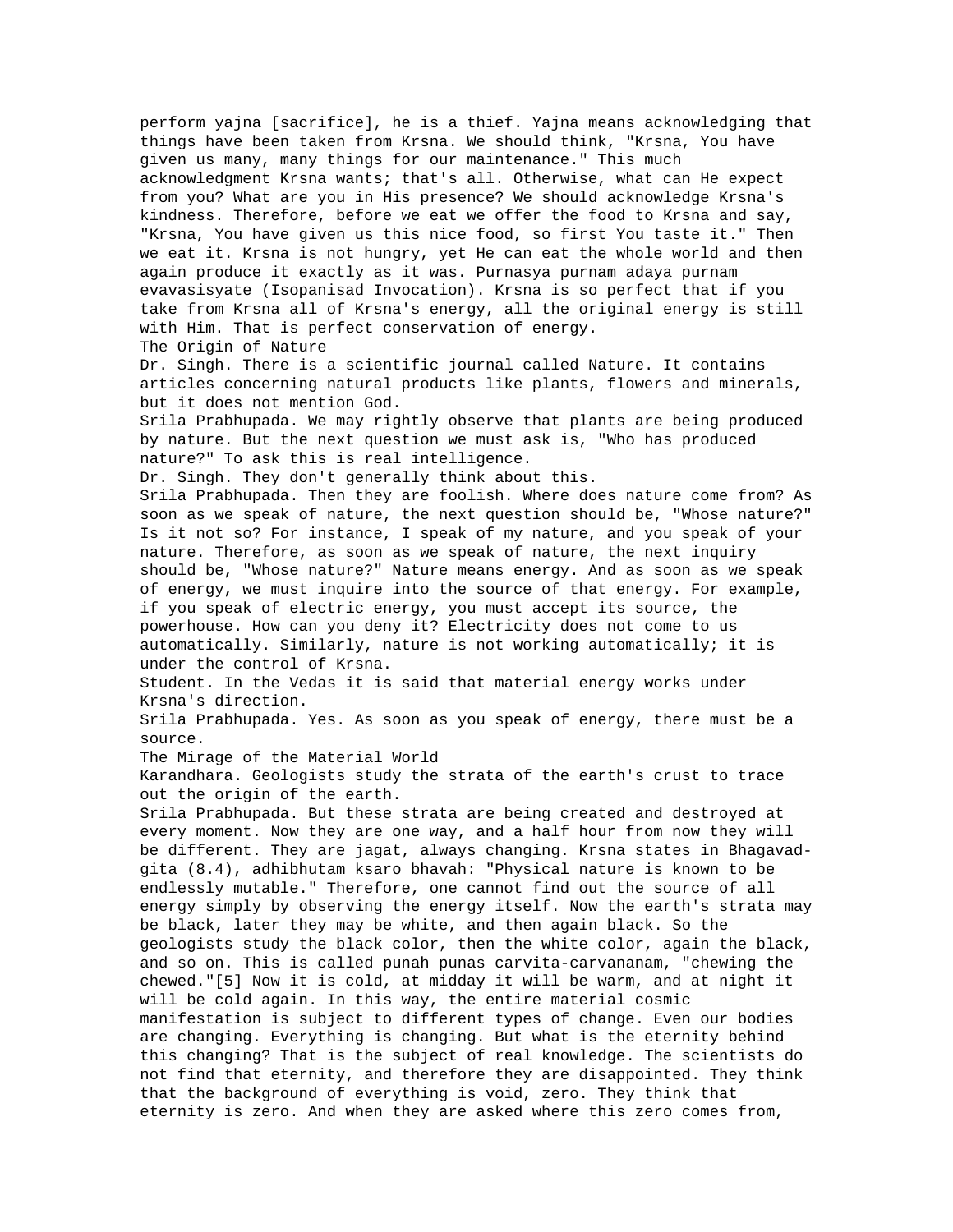perform yajna [sacrifice], he is a thief. Yajna means acknowledging that things have been taken from Krsna. We should think, "Krsna, You have given us many, many things for our maintenance." This much acknowledgment Krsna wants; that's all. Otherwise, what can He expect from you? What are you in His presence? We should acknowledge Krsna's kindness. Therefore, before we eat we offer the food to Krsna and say, "Krsna, You have given us this nice food, so first You taste it." Then we eat it. Krsna is not hungry, yet He can eat the whole world and then again produce it exactly as it was. Purnasya purnam adaya purnam evavasisyate (Isopanisad Invocation). Krsna is so perfect that if you take from Krsna all of Krsna's energy, all the original energy is still with Him. That is perfect conservation of energy. The Origin of Nature Dr. Singh. There is a scientific journal called Nature. It contains articles concerning natural products like plants, flowers and minerals, but it does not mention God. Srila Prabhupada. We may rightly observe that plants are being produced by nature. But the next question we must ask is, "Who has produced nature?" To ask this is real intelligence. Dr. Singh. They don't generally think about this. Srila Prabhupada. Then they are foolish. Where does nature come from? As soon as we speak of nature, the next question should be, "Whose nature?" Is it not so? For instance, I speak of my nature, and you speak of your nature. Therefore, as soon as we speak of nature, the next inquiry should be, "Whose nature?" Nature means energy. And as soon as we speak of energy, we must inquire into the source of that energy. For example, if you speak of electric energy, you must accept its source, the powerhouse. How can you deny it? Electricity does not come to us automatically. Similarly, nature is not working automatically; it is under the control of Krsna. Student. In the Vedas it is said that material energy works under Krsna's direction. Srila Prabhupada. Yes. As soon as you speak of energy, there must be a source. The Mirage of the Material World Karandhara. Geologists study the strata of the earth's crust to trace out the origin of the earth. Srila Prabhupada. But these strata are being created and destroyed at every moment. Now they are one way, and a half hour from now they will be different. They are jagat, always changing. Krsna states in Bhagavadgita (8.4), adhibhutam ksaro bhavah: "Physical nature is known to be endlessly mutable." Therefore, one cannot find out the source of all energy simply by observing the energy itself. Now the earth's strata may be black, later they may be white, and then again black. So the geologists study the black color, then the white color, again the black, and so on. This is called punah punas carvita-carvananam, "chewing the chewed."[5] Now it is cold, at midday it will be warm, and at night it will be cold again. In this way, the entire material cosmic manifestation is subject to different types of change. Even our bodies are changing. Everything is changing. But what is the eternity behind this changing? That is the subject of real knowledge. The scientists do not find that eternity, and therefore they are disappointed. They think

that the background of everything is void, zero. They think that eternity is zero. And when they are asked where this zero comes from,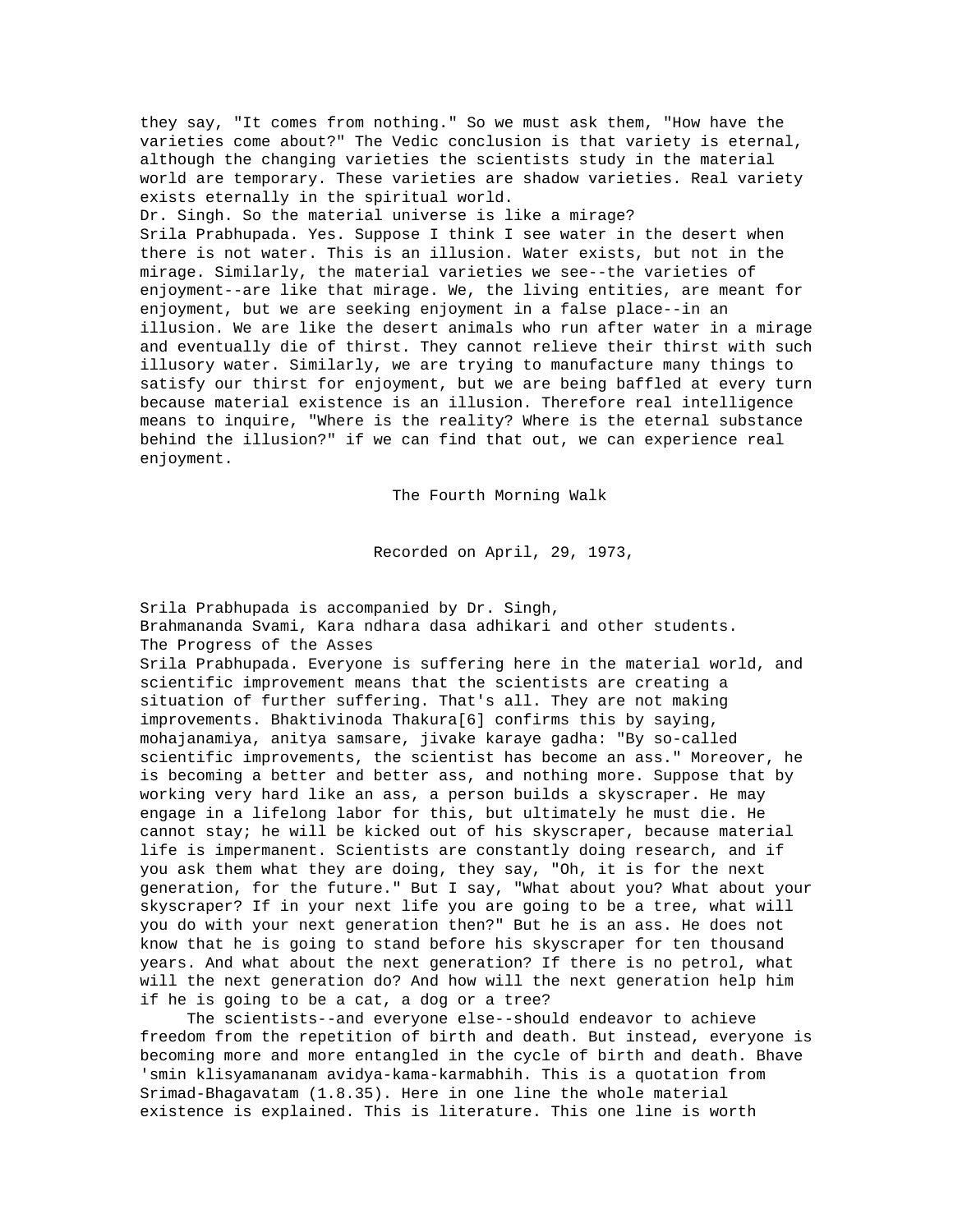they say, "It comes from nothing." So we must ask them, "How have the varieties come about?" The Vedic conclusion is that variety is eternal, although the changing varieties the scientists study in the material world are temporary. These varieties are shadow varieties. Real variety exists eternally in the spiritual world.

Dr. Singh. So the material universe is like a mirage?

Srila Prabhupada. Yes. Suppose I think I see water in the desert when there is not water. This is an illusion. Water exists, but not in the mirage. Similarly, the material varieties we see--the varieties of enjoyment--are like that mirage. We, the living entities, are meant for enjoyment, but we are seeking enjoyment in a false place--in an illusion. We are like the desert animals who run after water in a mirage and eventually die of thirst. They cannot relieve their thirst with such illusory water. Similarly, we are trying to manufacture many things to satisfy our thirst for enjoyment, but we are being baffled at every turn because material existence is an illusion. Therefore real intelligence means to inquire, "Where is the reality? Where is the eternal substance behind the illusion?" if we can find that out, we can experience real enjoyment.

The Fourth Morning Walk

Recorded on April, 29, 1973,

Srila Prabhupada is accompanied by Dr. Singh, Brahmananda Svami, Kara ndhara dasa adhikari and other students. The Progress of the Asses Srila Prabhupada. Everyone is suffering here in the material world, and scientific improvement means that the scientists are creating a situation of further suffering. That's all. They are not making improvements. Bhaktivinoda Thakura[6] confirms this by saying, mohajanamiya, anitya samsare, jivake karaye gadha: "By so-called scientific improvements, the scientist has become an ass." Moreover, he is becoming a better and better ass, and nothing more. Suppose that by working very hard like an ass, a person builds a skyscraper. He may engage in a lifelong labor for this, but ultimately he must die. He cannot stay; he will be kicked out of his skyscraper, because material life is impermanent. Scientists are constantly doing research, and if you ask them what they are doing, they say, "Oh, it is for the next generation, for the future." But I say, "What about you? What about your skyscraper? If in your next life you are going to be a tree, what will you do with your next generation then?" But he is an ass. He does not know that he is going to stand before his skyscraper for ten thousand years. And what about the next generation? If there is no petrol, what will the next generation do? And how will the next generation help him if he is going to be a cat, a dog or a tree?

 The scientists--and everyone else--should endeavor to achieve freedom from the repetition of birth and death. But instead, everyone is becoming more and more entangled in the cycle of birth and death. Bhave 'smin klisyamananam avidya-kama-karmabhih. This is a quotation from Srimad-Bhagavatam (1.8.35). Here in one line the whole material existence is explained. This is literature. This one line is worth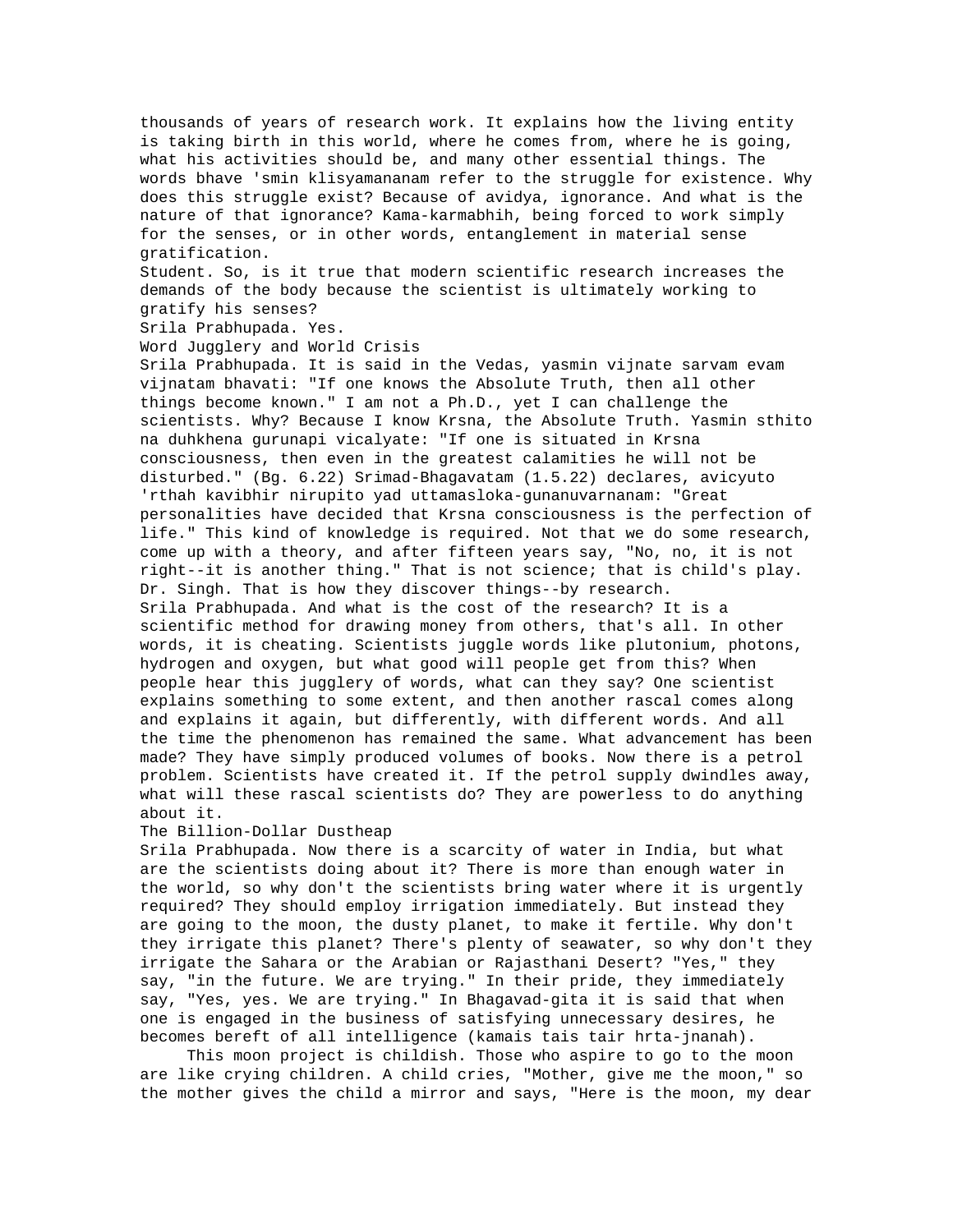thousands of years of research work. It explains how the living entity is taking birth in this world, where he comes from, where he is going, what his activities should be, and many other essential things. The words bhave 'smin klisyamananam refer to the struggle for existence. Why does this struggle exist? Because of avidya, ignorance. And what is the nature of that ignorance? Kama-karmabhih, being forced to work simply for the senses, or in other words, entanglement in material sense gratification.

Student. So, is it true that modern scientific research increases the demands of the body because the scientist is ultimately working to gratify his senses?

Srila Prabhupada. Yes.

Word Jugglery and World Crisis

Srila Prabhupada. It is said in the Vedas, yasmin vijnate sarvam evam vijnatam bhavati: "If one knows the Absolute Truth, then all other things become known." I am not a Ph.D., yet I can challenge the scientists. Why? Because I know Krsna, the Absolute Truth. Yasmin sthito na duhkhena gurunapi vicalyate: "If one is situated in Krsna consciousness, then even in the greatest calamities he will not be disturbed." (Bg. 6.22) Srimad-Bhagavatam (1.5.22) declares, avicyuto 'rthah kavibhir nirupito yad uttamasloka-gunanuvarnanam: "Great personalities have decided that Krsna consciousness is the perfection of life." This kind of knowledge is required. Not that we do some research, come up with a theory, and after fifteen years say, "No, no, it is not right--it is another thing." That is not science; that is child's play. Dr. Singh. That is how they discover things--by research. Srila Prabhupada. And what is the cost of the research? It is a scientific method for drawing money from others, that's all. In other words, it is cheating. Scientists juggle words like plutonium, photons, hydrogen and oxygen, but what good will people get from this? When people hear this jugglery of words, what can they say? One scientist explains something to some extent, and then another rascal comes along and explains it again, but differently, with different words. And all the time the phenomenon has remained the same. What advancement has been made? They have simply produced volumes of books. Now there is a petrol problem. Scientists have created it. If the petrol supply dwindles away, what will these rascal scientists do? They are powerless to do anything about it.

# The Billion-Dollar Dustheap

Srila Prabhupada. Now there is a scarcity of water in India, but what are the scientists doing about it? There is more than enough water in the world, so why don't the scientists bring water where it is urgently required? They should employ irrigation immediately. But instead they are going to the moon, the dusty planet, to make it fertile. Why don't they irrigate this planet? There's plenty of seawater, so why don't they irrigate the Sahara or the Arabian or Rajasthani Desert? "Yes," they say, "in the future. We are trying." In their pride, they immediately say, "Yes, yes. We are trying." In Bhagavad-gita it is said that when one is engaged in the business of satisfying unnecessary desires, he becomes bereft of all intelligence (kamais tais tair hrta-jnanah).

 This moon project is childish. Those who aspire to go to the moon are like crying children. A child cries, "Mother, give me the moon," so the mother gives the child a mirror and says, "Here is the moon, my dear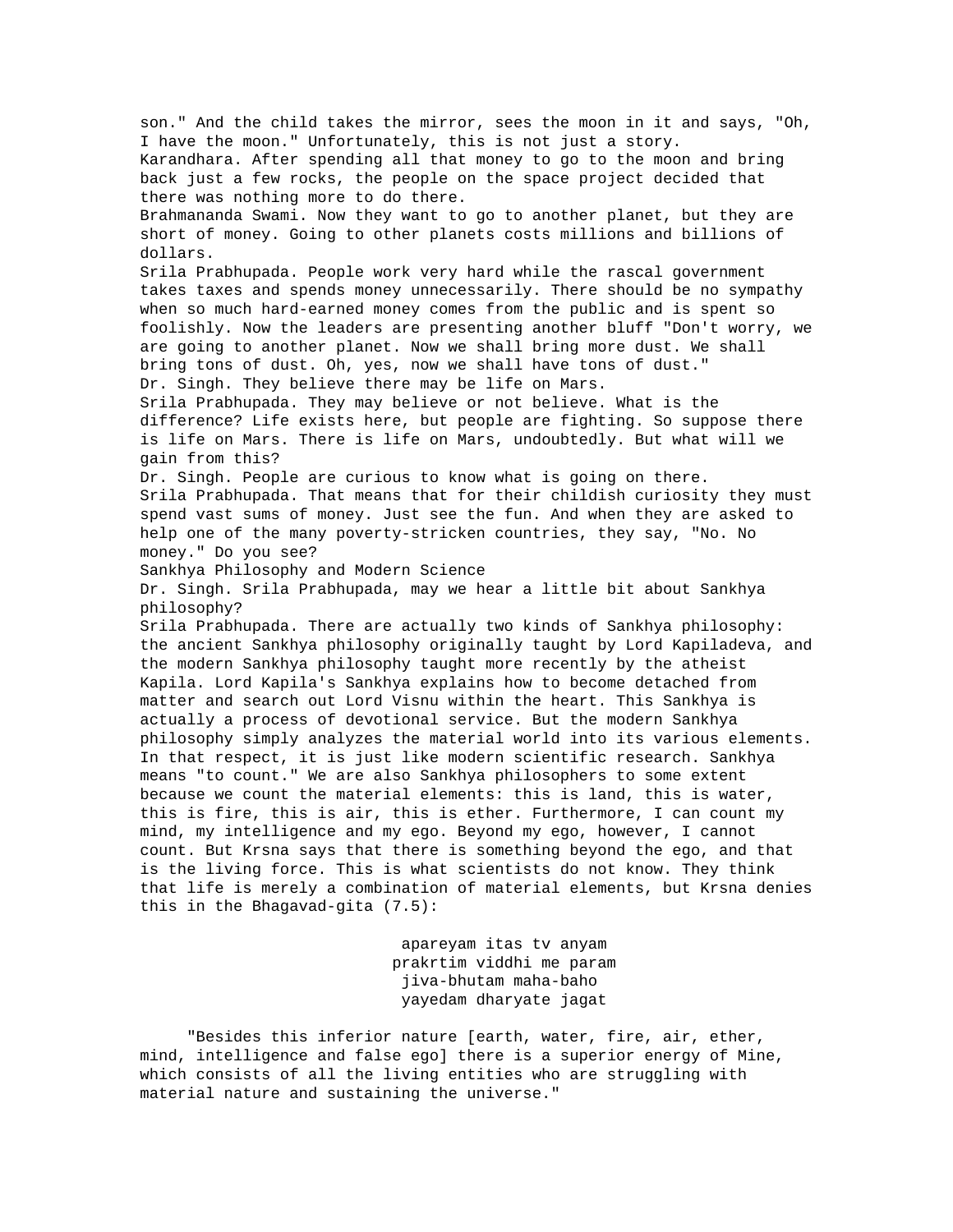son." And the child takes the mirror, sees the moon in it and says, "Oh, I have the moon." Unfortunately, this is not just a story. Karandhara. After spending all that money to go to the moon and bring back just a few rocks, the people on the space project decided that there was nothing more to do there. Brahmananda Swami. Now they want to go to another planet, but they are short of money. Going to other planets costs millions and billions of dollars. Srila Prabhupada. People work very hard while the rascal government takes taxes and spends money unnecessarily. There should be no sympathy when so much hard-earned money comes from the public and is spent so foolishly. Now the leaders are presenting another bluff "Don't worry, we are going to another planet. Now we shall bring more dust. We shall bring tons of dust. Oh, yes, now we shall have tons of dust." Dr. Singh. They believe there may be life on Mars. Srila Prabhupada. They may believe or not believe. What is the difference? Life exists here, but people are fighting. So suppose there is life on Mars. There is life on Mars, undoubtedly. But what will we gain from this? Dr. Singh. People are curious to know what is going on there. Srila Prabhupada. That means that for their childish curiosity they must spend vast sums of money. Just see the fun. And when they are asked to help one of the many poverty-stricken countries, they say, "No. No money." Do you see? Sankhya Philosophy and Modern Science Dr. Singh. Srila Prabhupada, may we hear a little bit about Sankhya philosophy? Srila Prabhupada. There are actually two kinds of Sankhya philosophy: the ancient Sankhya philosophy originally taught by Lord Kapiladeva, and the modern Sankhya philosophy taught more recently by the atheist Kapila. Lord Kapila's Sankhya explains how to become detached from matter and search out Lord Visnu within the heart. This Sankhya is actually a process of devotional service. But the modern Sankhya philosophy simply analyzes the material world into its various elements. In that respect, it is just like modern scientific research. Sankhya means "to count." We are also Sankhya philosophers to some extent because we count the material elements: this is land, this is water, this is fire, this is air, this is ether. Furthermore, I can count my mind, my intelligence and my ego. Beyond my ego, however, I cannot count. But Krsna says that there is something beyond the ego, and that is the living force. This is what scientists do not know. They think that life is merely a combination of material elements, but Krsna denies this in the Bhagavad-gita (7.5):

> apareyam itas tv anyam prakrtim viddhi me param jiva-bhutam maha-baho yayedam dharyate jagat

 "Besides this inferior nature [earth, water, fire, air, ether, mind, intelligence and false ego] there is a superior energy of Mine, which consists of all the living entities who are struggling with material nature and sustaining the universe."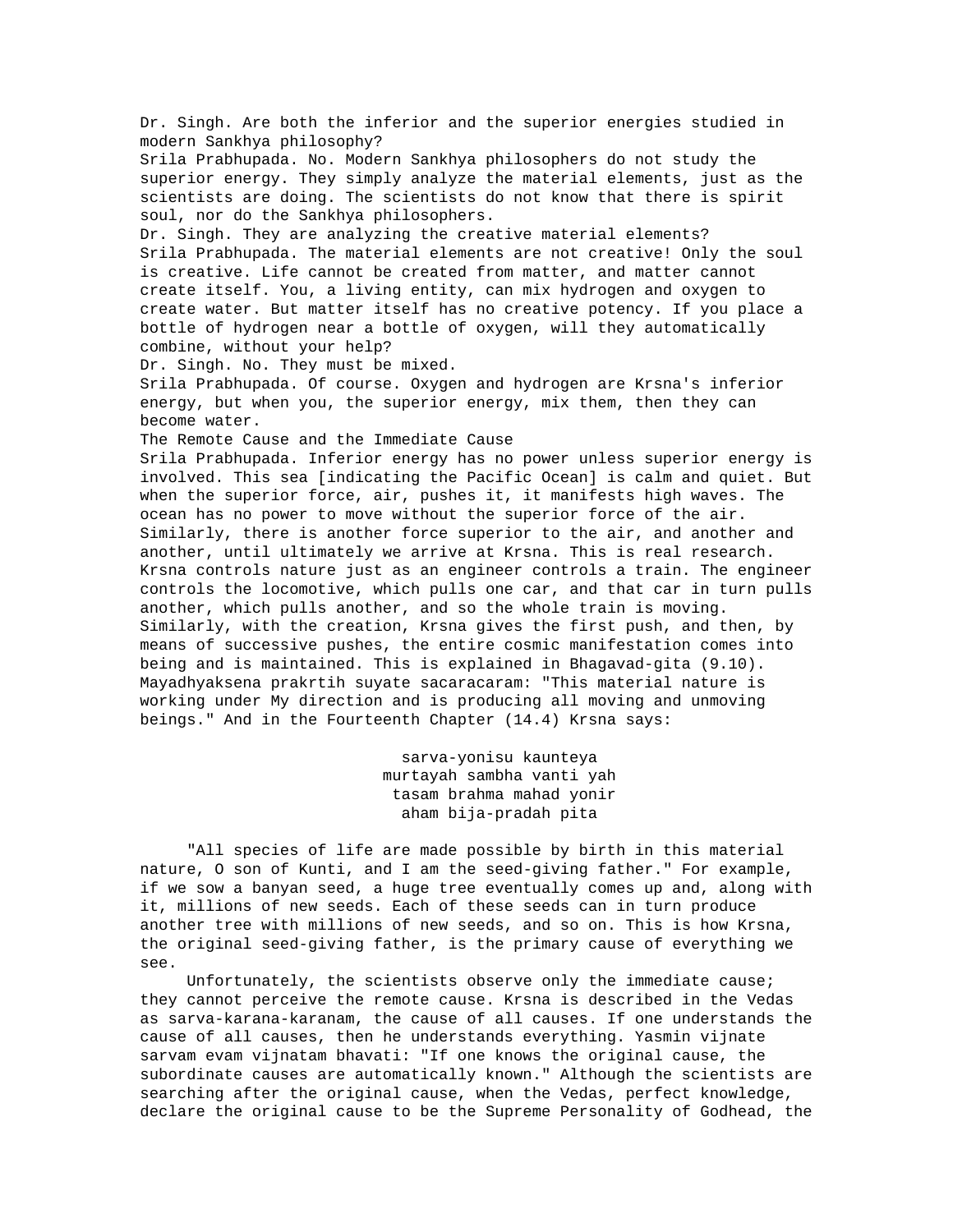Dr. Singh. Are both the inferior and the superior energies studied in modern Sankhya philosophy? Srila Prabhupada. No. Modern Sankhya philosophers do not study the superior energy. They simply analyze the material elements, just as the scientists are doing. The scientists do not know that there is spirit soul, nor do the Sankhya philosophers. Dr. Singh. They are analyzing the creative material elements? Srila Prabhupada. The material elements are not creative! Only the soul is creative. Life cannot be created from matter, and matter cannot create itself. You, a living entity, can mix hydrogen and oxygen to create water. But matter itself has no creative potency. If you place a bottle of hydrogen near a bottle of oxygen, will they automatically combine, without your help? Dr. Singh. No. They must be mixed. Srila Prabhupada. Of course. Oxygen and hydrogen are Krsna's inferior energy, but when you, the superior energy, mix them, then they can become water. The Remote Cause and the Immediate Cause Srila Prabhupada. Inferior energy has no power unless superior energy is involved. This sea [indicating the Pacific Ocean] is calm and quiet. But when the superior force, air, pushes it, it manifests high waves. The ocean has no power to move without the superior force of the air. Similarly, there is another force superior to the air, and another and another, until ultimately we arrive at Krsna. This is real research. Krsna controls nature just as an engineer controls a train. The engineer controls the locomotive, which pulls one car, and that car in turn pulls another, which pulls another, and so the whole train is moving. Similarly, with the creation, Krsna gives the first push, and then, by means of successive pushes, the entire cosmic manifestation comes into being and is maintained. This is explained in Bhagavad-gita (9.10). Mayadhyaksena prakrtih suyate sacaracaram: "This material nature is working under My direction and is producing all moving and unmoving beings." And in the Fourteenth Chapter (14.4) Krsna says:

> sarva-yonisu kaunteya murtayah sambha vanti yah tasam brahma mahad yonir aham bija-pradah pita

 "All species of life are made possible by birth in this material nature, O son of Kunti, and I am the seed-giving father." For example, if we sow a banyan seed, a huge tree eventually comes up and, along with it, millions of new seeds. Each of these seeds can in turn produce another tree with millions of new seeds, and so on. This is how Krsna, the original seed-giving father, is the primary cause of everything we see.

 Unfortunately, the scientists observe only the immediate cause; they cannot perceive the remote cause. Krsna is described in the Vedas as sarva-karana-karanam, the cause of all causes. If one understands the cause of all causes, then he understands everything. Yasmin vijnate sarvam evam vijnatam bhavati: "If one knows the original cause, the subordinate causes are automatically known." Although the scientists are searching after the original cause, when the Vedas, perfect knowledge, declare the original cause to be the Supreme Personality of Godhead, the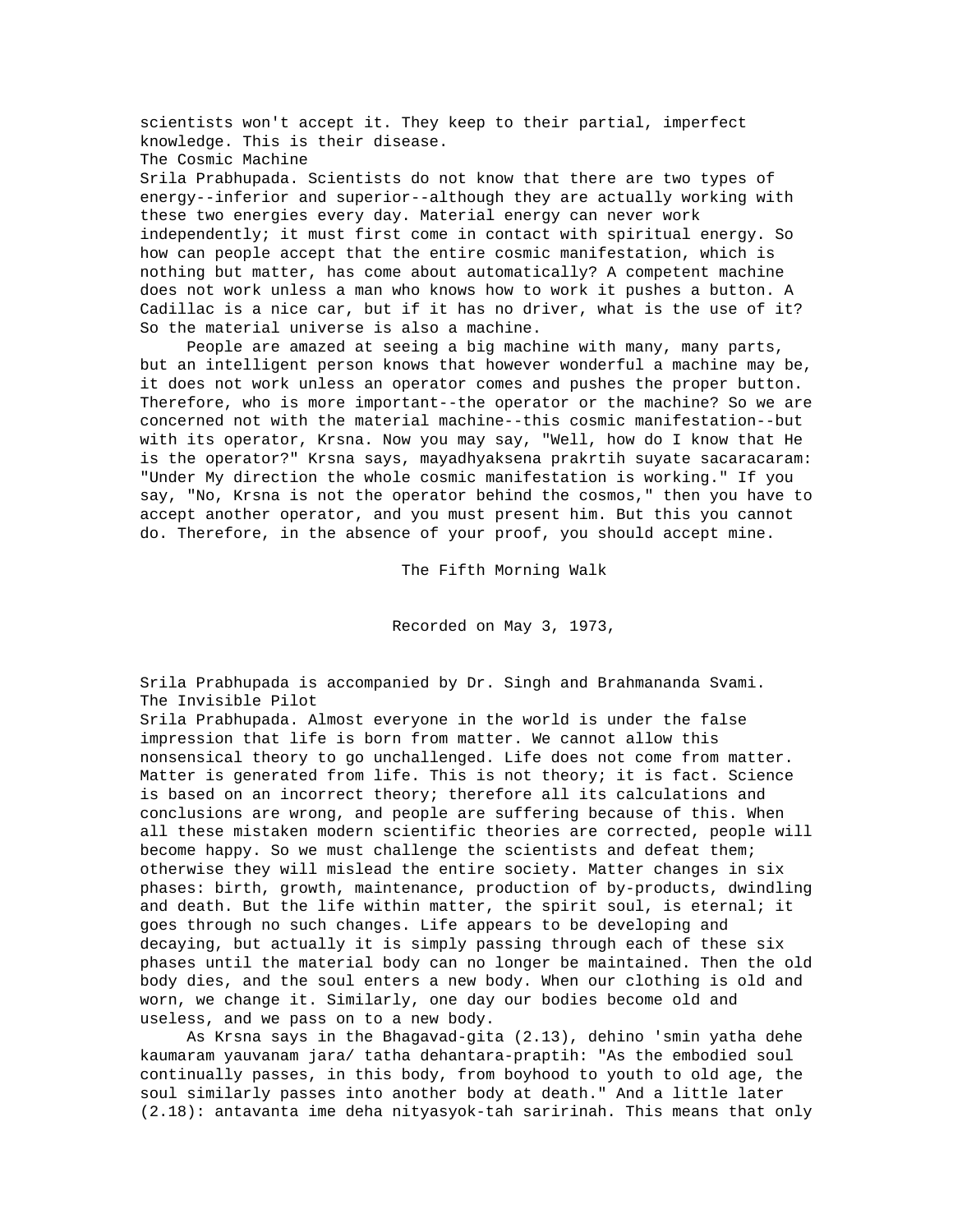scientists won't accept it. They keep to their partial, imperfect knowledge. This is their disease. The Cosmic Machine Srila Prabhupada. Scientists do not know that there are two types of energy--inferior and superior--although they are actually working with these two energies every day. Material energy can never work independently; it must first come in contact with spiritual energy. So how can people accept that the entire cosmic manifestation, which is nothing but matter, has come about automatically? A competent machine does not work unless a man who knows how to work it pushes a button. A Cadillac is a nice car, but if it has no driver, what is the use of it? So the material universe is also a machine.

 People are amazed at seeing a big machine with many, many parts, but an intelligent person knows that however wonderful a machine may be, it does not work unless an operator comes and pushes the proper button. Therefore, who is more important--the operator or the machine? So we are concerned not with the material machine--this cosmic manifestation--but with its operator, Krsna. Now you may say, "Well, how do I know that He is the operator?" Krsna says, mayadhyaksena prakrtih suyate sacaracaram: "Under My direction the whole cosmic manifestation is working." If you say, "No, Krsna is not the operator behind the cosmos," then you have to accept another operator, and you must present him. But this you cannot do. Therefore, in the absence of your proof, you should accept mine.

The Fifth Morning Walk

Recorded on May 3, 1973,

Srila Prabhupada is accompanied by Dr. Singh and Brahmananda Svami. The Invisible Pilot

Srila Prabhupada. Almost everyone in the world is under the false impression that life is born from matter. We cannot allow this nonsensical theory to go unchallenged. Life does not come from matter. Matter is generated from life. This is not theory; it is fact. Science is based on an incorrect theory; therefore all its calculations and conclusions are wrong, and people are suffering because of this. When all these mistaken modern scientific theories are corrected, people will become happy. So we must challenge the scientists and defeat them; otherwise they will mislead the entire society. Matter changes in six phases: birth, growth, maintenance, production of by-products, dwindling and death. But the life within matter, the spirit soul, is eternal; it goes through no such changes. Life appears to be developing and decaying, but actually it is simply passing through each of these six phases until the material body can no longer be maintained. Then the old body dies, and the soul enters a new body. When our clothing is old and worn, we change it. Similarly, one day our bodies become old and useless, and we pass on to a new body.

 As Krsna says in the Bhagavad-gita (2.13), dehino 'smin yatha dehe kaumaram yauvanam jara/ tatha dehantara-praptih: "As the embodied soul continually passes, in this body, from boyhood to youth to old age, the soul similarly passes into another body at death." And a little later (2.18): antavanta ime deha nityasyok-tah saririnah. This means that only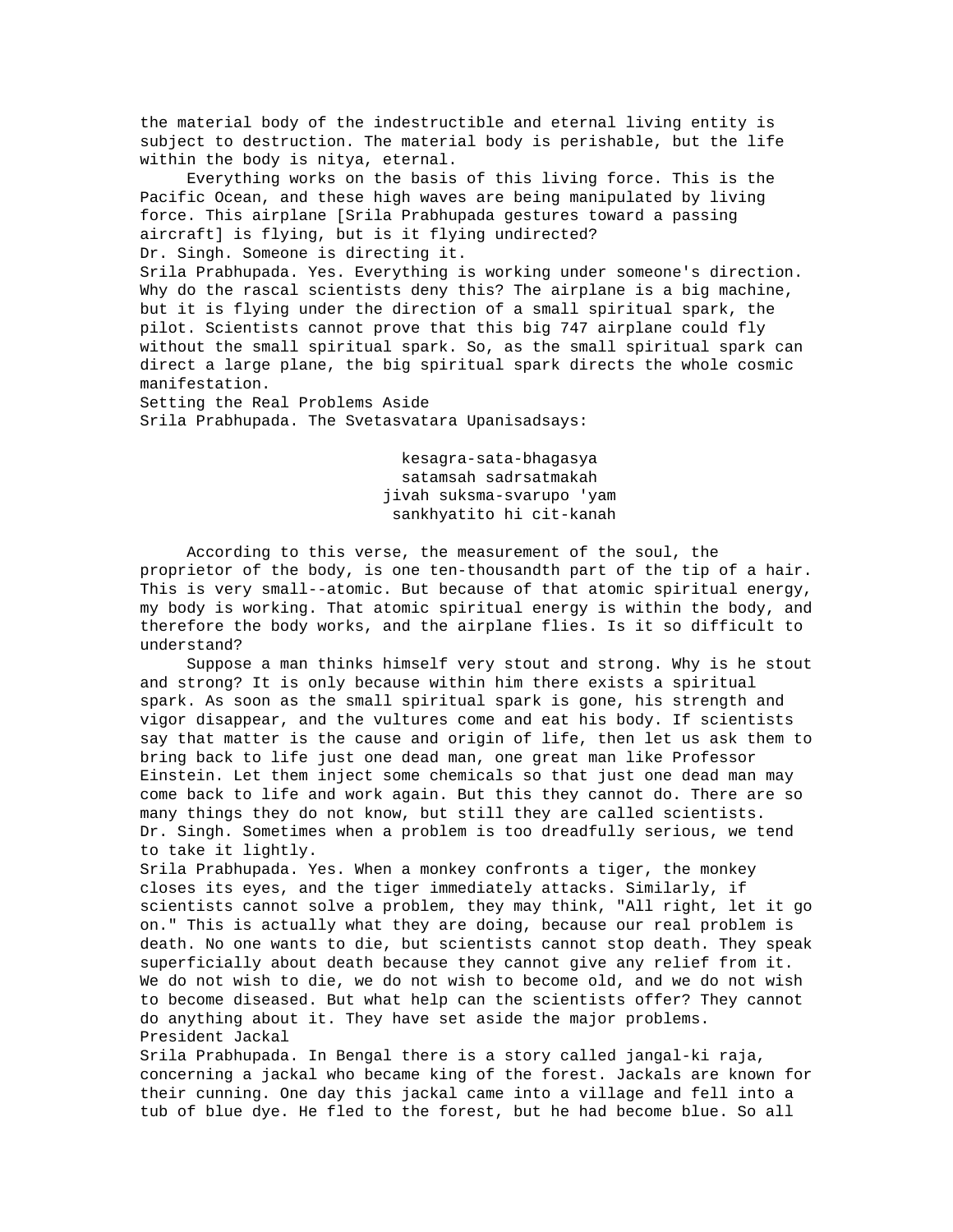the material body of the indestructible and eternal living entity is subject to destruction. The material body is perishable, but the life within the body is nitya, eternal.

 Everything works on the basis of this living force. This is the Pacific Ocean, and these high waves are being manipulated by living force. This airplane [Srila Prabhupada gestures toward a passing aircraft] is flying, but is it flying undirected? Dr. Singh. Someone is directing it.

Srila Prabhupada. Yes. Everything is working under someone's direction. Why do the rascal scientists deny this? The airplane is a big machine, but it is flying under the direction of a small spiritual spark, the

pilot. Scientists cannot prove that this big 747 airplane could fly without the small spiritual spark. So, as the small spiritual spark can direct a large plane, the big spiritual spark directs the whole cosmic manifestation.

Setting the Real Problems Aside Srila Prabhupada. The Svetasvatara Upanisadsays:

> kesagra-sata-bhagasya satamsah sadrsatmakah jivah suksma-svarupo 'yam sankhyatito hi cit-kanah

 According to this verse, the measurement of the soul, the proprietor of the body, is one ten-thousandth part of the tip of a hair. This is very small--atomic. But because of that atomic spiritual energy, my body is working. That atomic spiritual energy is within the body, and therefore the body works, and the airplane flies. Is it so difficult to understand?

 Suppose a man thinks himself very stout and strong. Why is he stout and strong? It is only because within him there exists a spiritual spark. As soon as the small spiritual spark is gone, his strength and vigor disappear, and the vultures come and eat his body. If scientists say that matter is the cause and origin of life, then let us ask them to bring back to life just one dead man, one great man like Professor Einstein. Let them inject some chemicals so that just one dead man may come back to life and work again. But this they cannot do. There are so many things they do not know, but still they are called scientists. Dr. Singh. Sometimes when a problem is too dreadfully serious, we tend to take it lightly.

Srila Prabhupada. Yes. When a monkey confronts a tiger, the monkey closes its eyes, and the tiger immediately attacks. Similarly, if scientists cannot solve a problem, they may think, "All right, let it go on." This is actually what they are doing, because our real problem is death. No one wants to die, but scientists cannot stop death. They speak superficially about death because they cannot give any relief from it. We do not wish to die, we do not wish to become old, and we do not wish to become diseased. But what help can the scientists offer? They cannot do anything about it. They have set aside the major problems. President Jackal

Srila Prabhupada. In Bengal there is a story called jangal-ki raja, concerning a jackal who became king of the forest. Jackals are known for their cunning. One day this jackal came into a village and fell into a tub of blue dye. He fled to the forest, but he had become blue. So all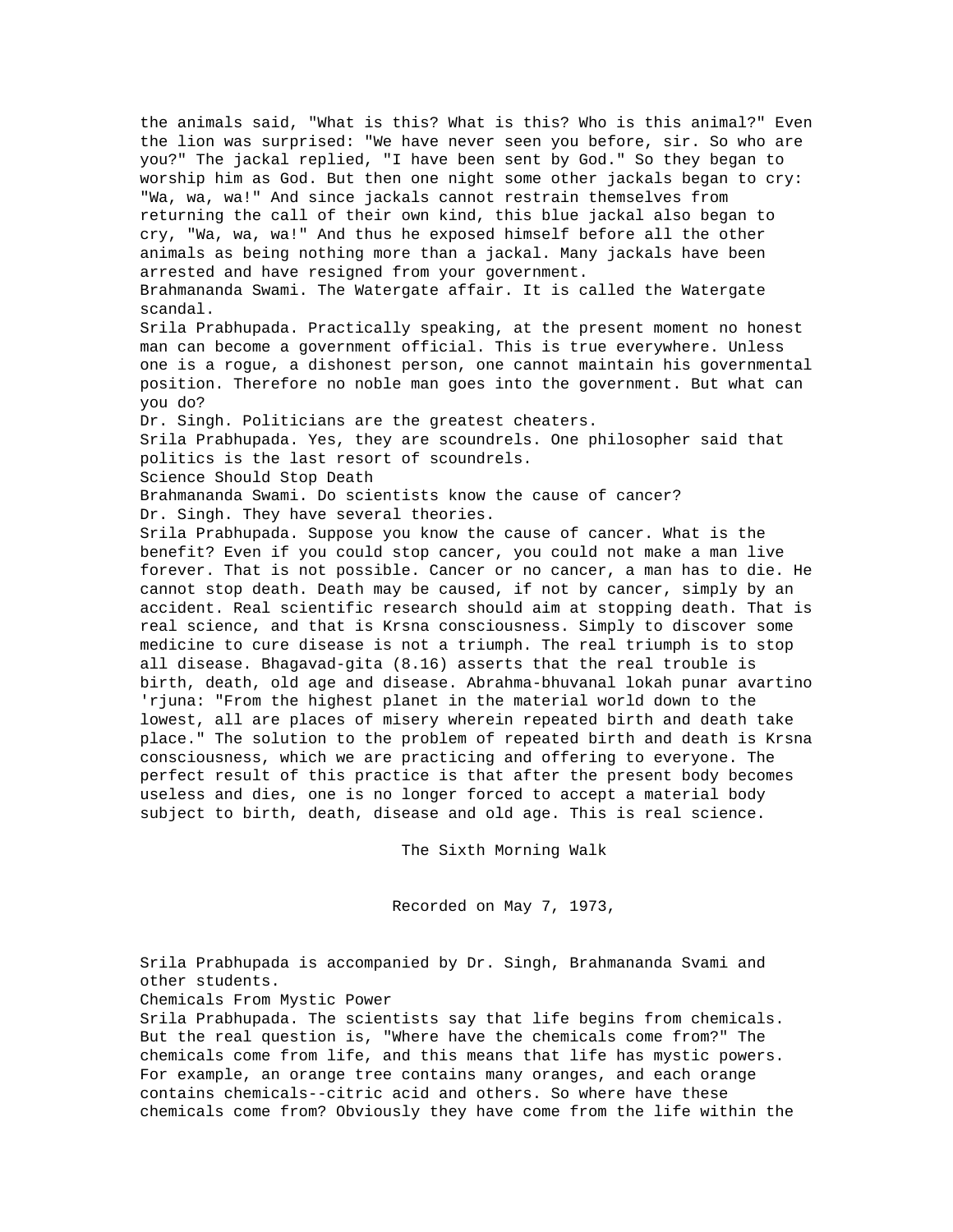the animals said, "What is this? What is this? Who is this animal?" Even the lion was surprised: "We have never seen you before, sir. So who are you?" The jackal replied, "I have been sent by God." So they began to worship him as God. But then one night some other jackals began to cry: "Wa, wa, wa!" And since jackals cannot restrain themselves from returning the call of their own kind, this blue jackal also began to cry, "Wa, wa, wa!" And thus he exposed himself before all the other animals as being nothing more than a jackal. Many jackals have been arrested and have resigned from your government. Brahmananda Swami. The Watergate affair. It is called the Watergate scandal. Srila Prabhupada. Practically speaking, at the present moment no honest man can become a government official. This is true everywhere. Unless one is a rogue, a dishonest person, one cannot maintain his governmental position. Therefore no noble man goes into the government. But what can you do? Dr. Singh. Politicians are the greatest cheaters. Srila Prabhupada. Yes, they are scoundrels. One philosopher said that politics is the last resort of scoundrels. Science Should Stop Death Brahmananda Swami. Do scientists know the cause of cancer? Dr. Singh. They have several theories. Srila Prabhupada. Suppose you know the cause of cancer. What is the benefit? Even if you could stop cancer, you could not make a man live forever. That is not possible. Cancer or no cancer, a man has to die. He cannot stop death. Death may be caused, if not by cancer, simply by an accident. Real scientific research should aim at stopping death. That is real science, and that is Krsna consciousness. Simply to discover some medicine to cure disease is not a triumph. The real triumph is to stop all disease. Bhagavad-gita (8.16) asserts that the real trouble is birth, death, old age and disease. Abrahma-bhuvanal lokah punar avartino 'rjuna: "From the highest planet in the material world down to the lowest, all are places of misery wherein repeated birth and death take place." The solution to the problem of repeated birth and death is Krsna consciousness, which we are practicing and offering to everyone. The perfect result of this practice is that after the present body becomes useless and dies, one is no longer forced to accept a material body subject to birth, death, disease and old age. This is real science.

The Sixth Morning Walk

Recorded on May 7, 1973,

Srila Prabhupada is accompanied by Dr. Singh, Brahmananda Svami and other students.

Chemicals From Mystic Power

Srila Prabhupada. The scientists say that life begins from chemicals. But the real question is, "Where have the chemicals come from?" The chemicals come from life, and this means that life has mystic powers. For example, an orange tree contains many oranges, and each orange contains chemicals--citric acid and others. So where have these chemicals come from? Obviously they have come from the life within the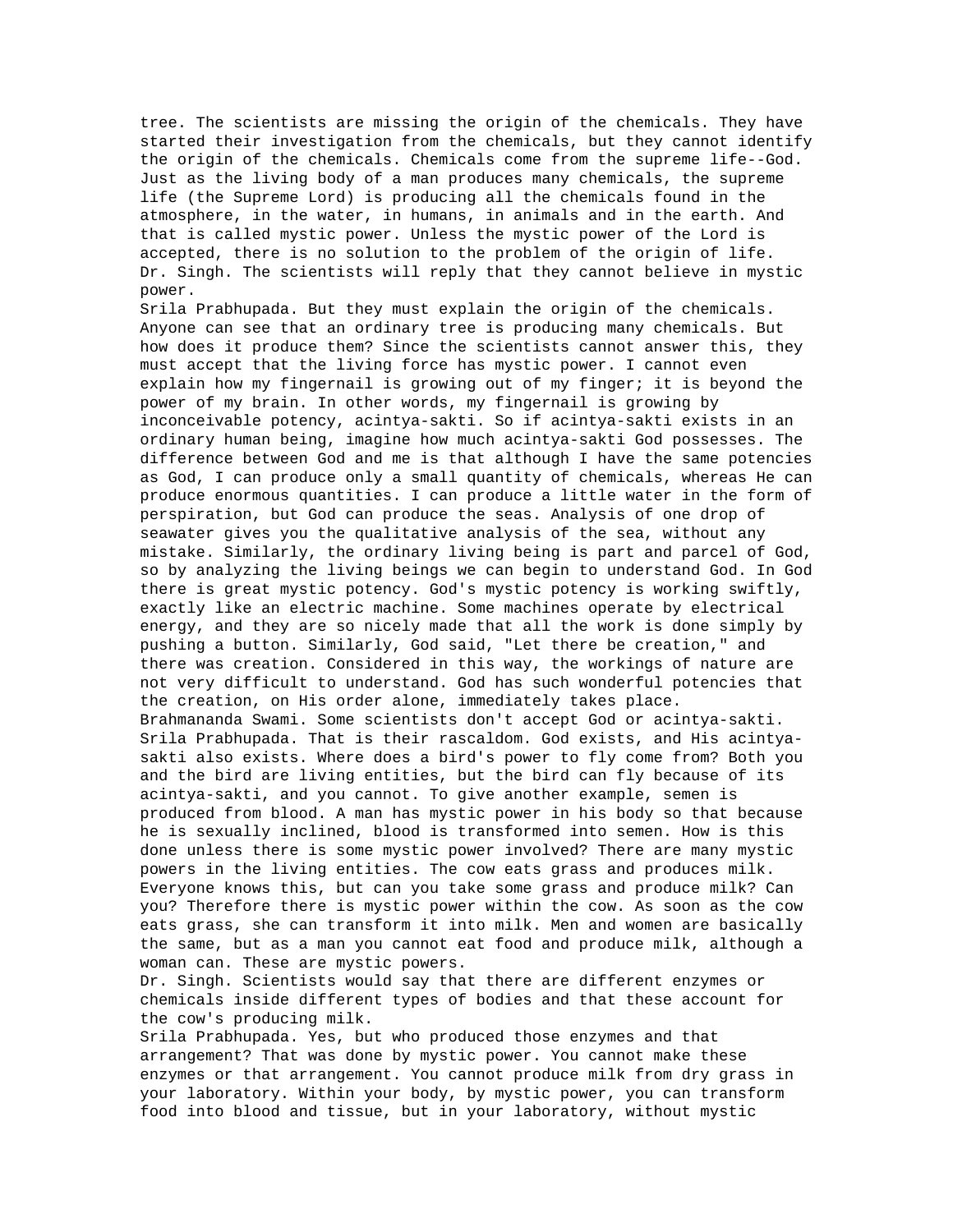tree. The scientists are missing the origin of the chemicals. They have started their investigation from the chemicals, but they cannot identify the origin of the chemicals. Chemicals come from the supreme life--God. Just as the living body of a man produces many chemicals, the supreme life (the Supreme Lord) is producing all the chemicals found in the atmosphere, in the water, in humans, in animals and in the earth. And that is called mystic power. Unless the mystic power of the Lord is accepted, there is no solution to the problem of the origin of life. Dr. Singh. The scientists will reply that they cannot believe in mystic power.

Srila Prabhupada. But they must explain the origin of the chemicals. Anyone can see that an ordinary tree is producing many chemicals. But how does it produce them? Since the scientists cannot answer this, they must accept that the living force has mystic power. I cannot even explain how my fingernail is growing out of my finger; it is beyond the power of my brain. In other words, my fingernail is growing by inconceivable potency, acintya-sakti. So if acintya-sakti exists in an ordinary human being, imagine how much acintya-sakti God possesses. The difference between God and me is that although I have the same potencies as God, I can produce only a small quantity of chemicals, whereas He can produce enormous quantities. I can produce a little water in the form of perspiration, but God can produce the seas. Analysis of one drop of seawater gives you the qualitative analysis of the sea, without any mistake. Similarly, the ordinary living being is part and parcel of God, so by analyzing the living beings we can begin to understand God. In God there is great mystic potency. God's mystic potency is working swiftly, exactly like an electric machine. Some machines operate by electrical energy, and they are so nicely made that all the work is done simply by pushing a button. Similarly, God said, "Let there be creation," and there was creation. Considered in this way, the workings of nature are not very difficult to understand. God has such wonderful potencies that the creation, on His order alone, immediately takes place. Brahmananda Swami. Some scientists don't accept God or acintya-sakti. Srila Prabhupada. That is their rascaldom. God exists, and His acintyasakti also exists. Where does a bird's power to fly come from? Both you and the bird are living entities, but the bird can fly because of its acintya-sakti, and you cannot. To give another example, semen is produced from blood. A man has mystic power in his body so that because he is sexually inclined, blood is transformed into semen. How is this done unless there is some mystic power involved? There are many mystic powers in the living entities. The cow eats grass and produces milk. Everyone knows this, but can you take some grass and produce milk? Can you? Therefore there is mystic power within the cow. As soon as the cow eats grass, she can transform it into milk. Men and women are basically the same, but as a man you cannot eat food and produce milk, although a woman can. These are mystic powers.

Dr. Singh. Scientists would say that there are different enzymes or chemicals inside different types of bodies and that these account for the cow's producing milk.

Srila Prabhupada. Yes, but who produced those enzymes and that arrangement? That was done by mystic power. You cannot make these enzymes or that arrangement. You cannot produce milk from dry grass in your laboratory. Within your body, by mystic power, you can transform food into blood and tissue, but in your laboratory, without mystic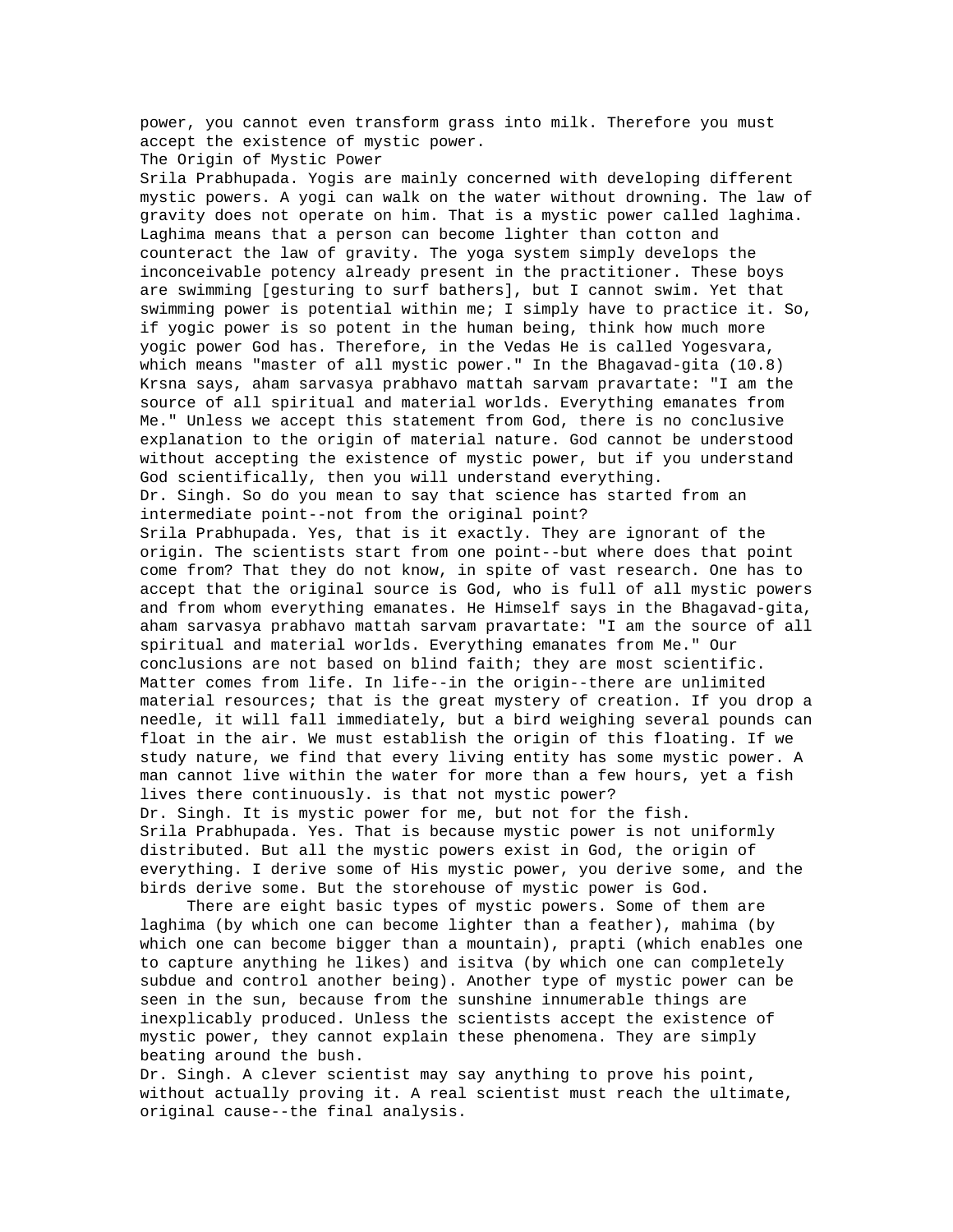power, you cannot even transform grass into milk. Therefore you must accept the existence of mystic power.

The Origin of Mystic Power

Srila Prabhupada. Yogis are mainly concerned with developing different mystic powers. A yogi can walk on the water without drowning. The law of gravity does not operate on him. That is a mystic power called laghima. Laghima means that a person can become lighter than cotton and counteract the law of gravity. The yoga system simply develops the inconceivable potency already present in the practitioner. These boys are swimming [gesturing to surf bathers], but I cannot swim. Yet that swimming power is potential within me; I simply have to practice it. So, if yogic power is so potent in the human being, think how much more yogic power God has. Therefore, in the Vedas He is called Yogesvara, which means "master of all mystic power." In the Bhagavad-gita (10.8) Krsna says, aham sarvasya prabhavo mattah sarvam pravartate: "I am the source of all spiritual and material worlds. Everything emanates from Me." Unless we accept this statement from God, there is no conclusive explanation to the origin of material nature. God cannot be understood without accepting the existence of mystic power, but if you understand God scientifically, then you will understand everything. Dr. Singh. So do you mean to say that science has started from an intermediate point--not from the original point?

Srila Prabhupada. Yes, that is it exactly. They are ignorant of the origin. The scientists start from one point--but where does that point come from? That they do not know, in spite of vast research. One has to accept that the original source is God, who is full of all mystic powers and from whom everything emanates. He Himself says in the Bhagavad-gita, aham sarvasya prabhavo mattah sarvam pravartate: "I am the source of all spiritual and material worlds. Everything emanates from Me." Our conclusions are not based on blind faith; they are most scientific. Matter comes from life. In life--in the origin--there are unlimited material resources; that is the great mystery of creation. If you drop a needle, it will fall immediately, but a bird weighing several pounds can float in the air. We must establish the origin of this floating. If we study nature, we find that every living entity has some mystic power. A man cannot live within the water for more than a few hours, yet a fish lives there continuously. is that not mystic power? Dr. Singh. It is mystic power for me, but not for the fish. Srila Prabhupada. Yes. That is because mystic power is not uniformly

distributed. But all the mystic powers exist in God, the origin of everything. I derive some of His mystic power, you derive some, and the birds derive some. But the storehouse of mystic power is God.

 There are eight basic types of mystic powers. Some of them are laghima (by which one can become lighter than a feather), mahima (by which one can become bigger than a mountain), prapti (which enables one to capture anything he likes) and isitva (by which one can completely subdue and control another being). Another type of mystic power can be seen in the sun, because from the sunshine innumerable things are inexplicably produced. Unless the scientists accept the existence of mystic power, they cannot explain these phenomena. They are simply beating around the bush.

Dr. Singh. A clever scientist may say anything to prove his point, without actually proving it. A real scientist must reach the ultimate, original cause--the final analysis.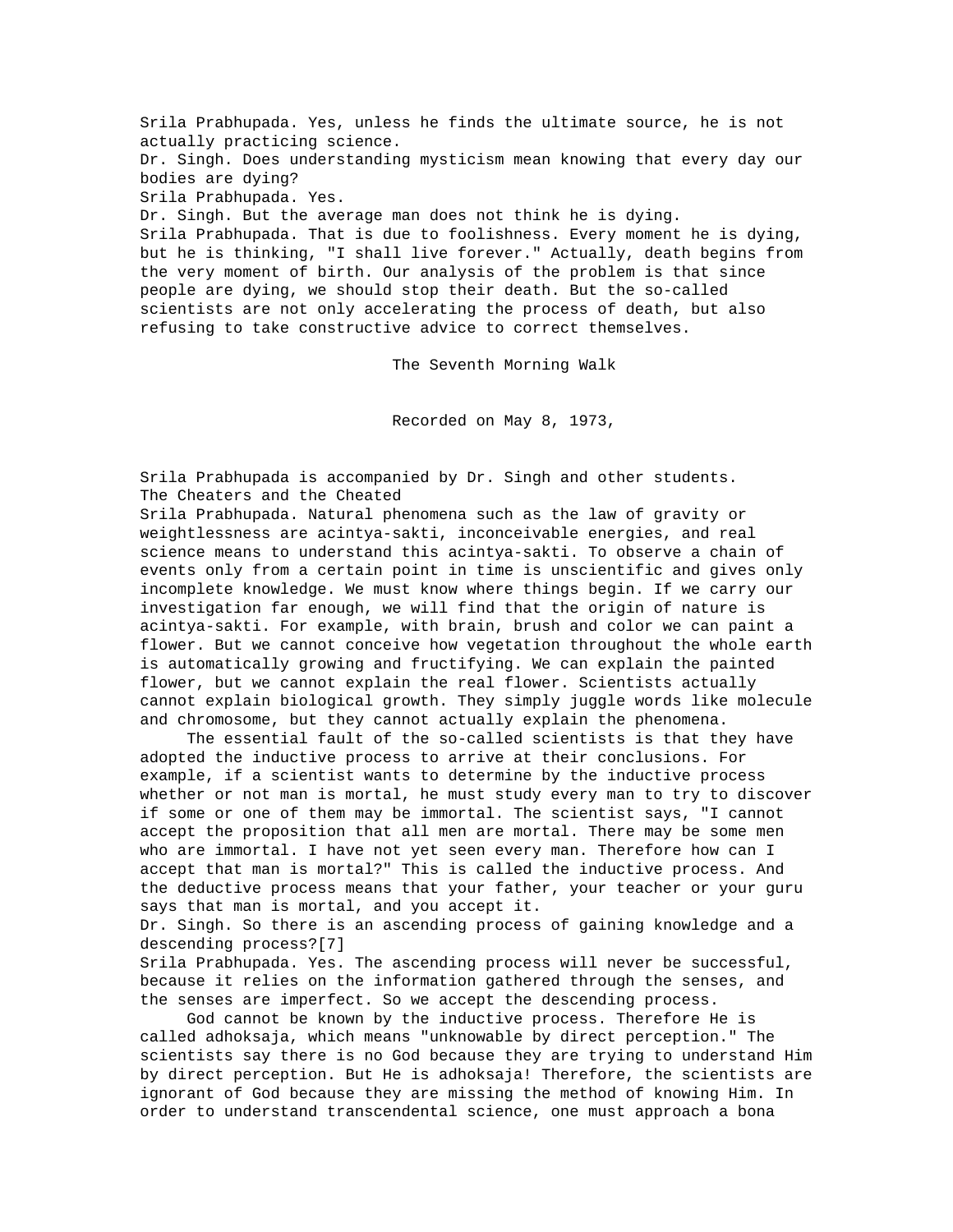Srila Prabhupada. Yes, unless he finds the ultimate source, he is not actually practicing science.

Dr. Singh. Does understanding mysticism mean knowing that every day our bodies are dying?

Srila Prabhupada. Yes.

Dr. Singh. But the average man does not think he is dying. Srila Prabhupada. That is due to foolishness. Every moment he is dying, but he is thinking, "I shall live forever." Actually, death begins from the very moment of birth. Our analysis of the problem is that since people are dying, we should stop their death. But the so-called scientists are not only accelerating the process of death, but also refusing to take constructive advice to correct themselves.

The Seventh Morning Walk

Recorded on May 8, 1973,

Srila Prabhupada is accompanied by Dr. Singh and other students. The Cheaters and the Cheated

Srila Prabhupada. Natural phenomena such as the law of gravity or weightlessness are acintya-sakti, inconceivable energies, and real science means to understand this acintya-sakti. To observe a chain of events only from a certain point in time is unscientific and gives only incomplete knowledge. We must know where things begin. If we carry our investigation far enough, we will find that the origin of nature is acintya-sakti. For example, with brain, brush and color we can paint a flower. But we cannot conceive how vegetation throughout the whole earth is automatically growing and fructifying. We can explain the painted flower, but we cannot explain the real flower. Scientists actually cannot explain biological growth. They simply juggle words like molecule and chromosome, but they cannot actually explain the phenomena.

 The essential fault of the so-called scientists is that they have adopted the inductive process to arrive at their conclusions. For example, if a scientist wants to determine by the inductive process whether or not man is mortal, he must study every man to try to discover if some or one of them may be immortal. The scientist says, "I cannot accept the proposition that all men are mortal. There may be some men who are immortal. I have not yet seen every man. Therefore how can I accept that man is mortal?" This is called the inductive process. And the deductive process means that your father, your teacher or your guru says that man is mortal, and you accept it.

Dr. Singh. So there is an ascending process of gaining knowledge and a descending process?[7]

Srila Prabhupada. Yes. The ascending process will never be successful, because it relies on the information gathered through the senses, and the senses are imperfect. So we accept the descending process.

 God cannot be known by the inductive process. Therefore He is called adhoksaja, which means "unknowable by direct perception." The scientists say there is no God because they are trying to understand Him by direct perception. But He is adhoksaja! Therefore, the scientists are ignorant of God because they are missing the method of knowing Him. In order to understand transcendental science, one must approach a bona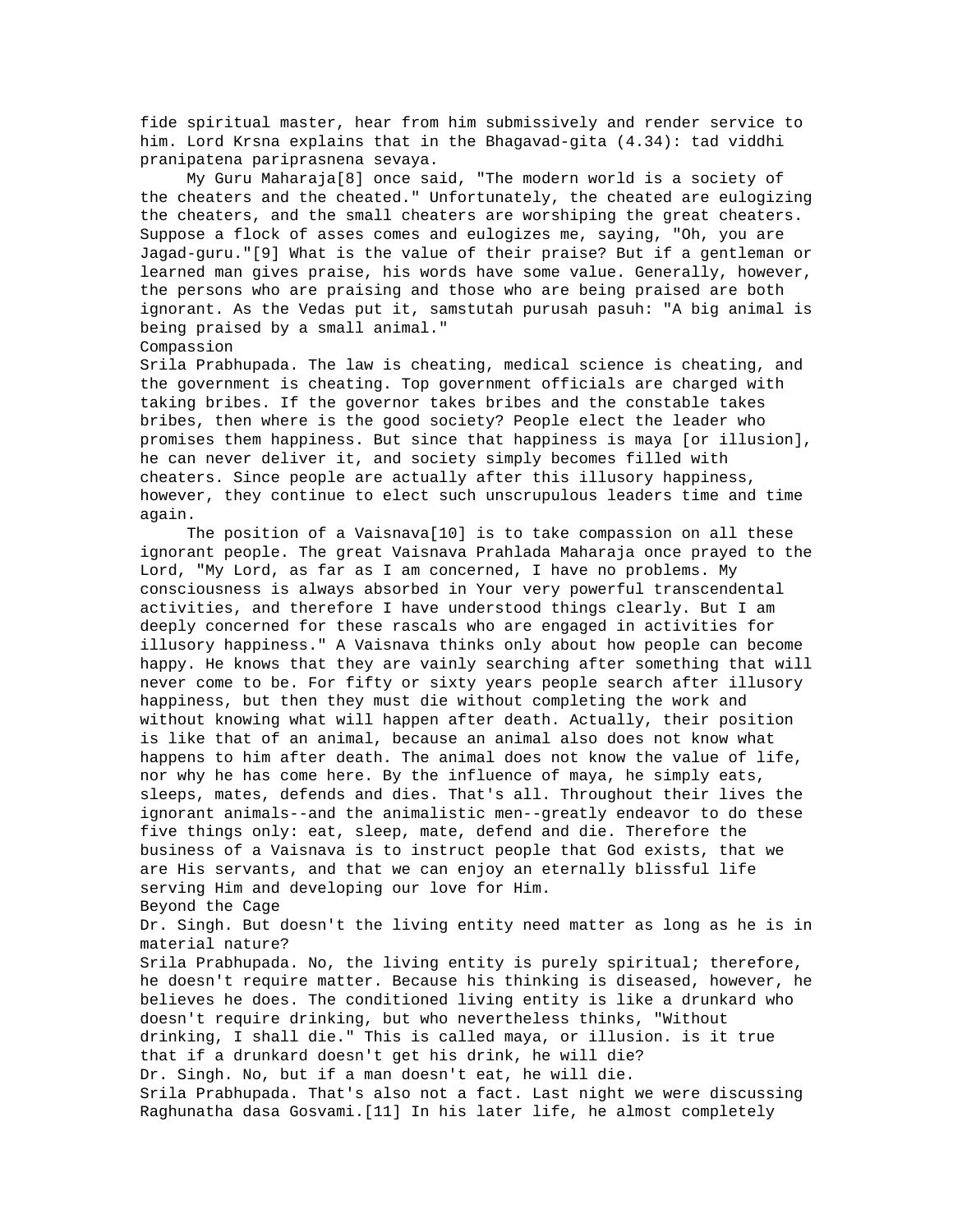fide spiritual master, hear from him submissively and render service to him. Lord Krsna explains that in the Bhagavad-gita (4.34): tad viddhi pranipatena pariprasnena sevaya.

 My Guru Maharaja[8] once said, "The modern world is a society of the cheaters and the cheated." Unfortunately, the cheated are eulogizing the cheaters, and the small cheaters are worshiping the great cheaters. Suppose a flock of asses comes and eulogizes me, saying, "Oh, you are Jagad-guru."[9] What is the value of their praise? But if a gentleman or learned man gives praise, his words have some value. Generally, however, the persons who are praising and those who are being praised are both ignorant. As the Vedas put it, samstutah purusah pasuh: "A big animal is being praised by a small animal." Compassion

Srila Prabhupada. The law is cheating, medical science is cheating, and the government is cheating. Top government officials are charged with taking bribes. If the governor takes bribes and the constable takes bribes, then where is the good society? People elect the leader who promises them happiness. But since that happiness is maya [or illusion], he can never deliver it, and society simply becomes filled with cheaters. Since people are actually after this illusory happiness, however, they continue to elect such unscrupulous leaders time and time again.

 The position of a Vaisnava[10] is to take compassion on all these ignorant people. The great Vaisnava Prahlada Maharaja once prayed to the Lord, "My Lord, as far as I am concerned, I have no problems. My consciousness is always absorbed in Your very powerful transcendental activities, and therefore I have understood things clearly. But I am deeply concerned for these rascals who are engaged in activities for illusory happiness." A Vaisnava thinks only about how people can become happy. He knows that they are vainly searching after something that will never come to be. For fifty or sixty years people search after illusory happiness, but then they must die without completing the work and without knowing what will happen after death. Actually, their position is like that of an animal, because an animal also does not know what happens to him after death. The animal does not know the value of life, nor why he has come here. By the influence of maya, he simply eats, sleeps, mates, defends and dies. That's all. Throughout their lives the ignorant animals--and the animalistic men--greatly endeavor to do these five things only: eat, sleep, mate, defend and die. Therefore the business of a Vaisnava is to instruct people that God exists, that we are His servants, and that we can enjoy an eternally blissful life serving Him and developing our love for Him. Beyond the Cage

Dr. Singh. But doesn't the living entity need matter as long as he is in material nature?

Srila Prabhupada. No, the living entity is purely spiritual; therefore, he doesn't require matter. Because his thinking is diseased, however, he believes he does. The conditioned living entity is like a drunkard who doesn't require drinking, but who nevertheless thinks, "Without drinking, I shall die." This is called maya, or illusion. is it true that if a drunkard doesn't get his drink, he will die? Dr. Singh. No, but if a man doesn't eat, he will die. Srila Prabhupada. That's also not a fact. Last night we were discussing Raghunatha dasa Gosvami.[11] In his later life, he almost completely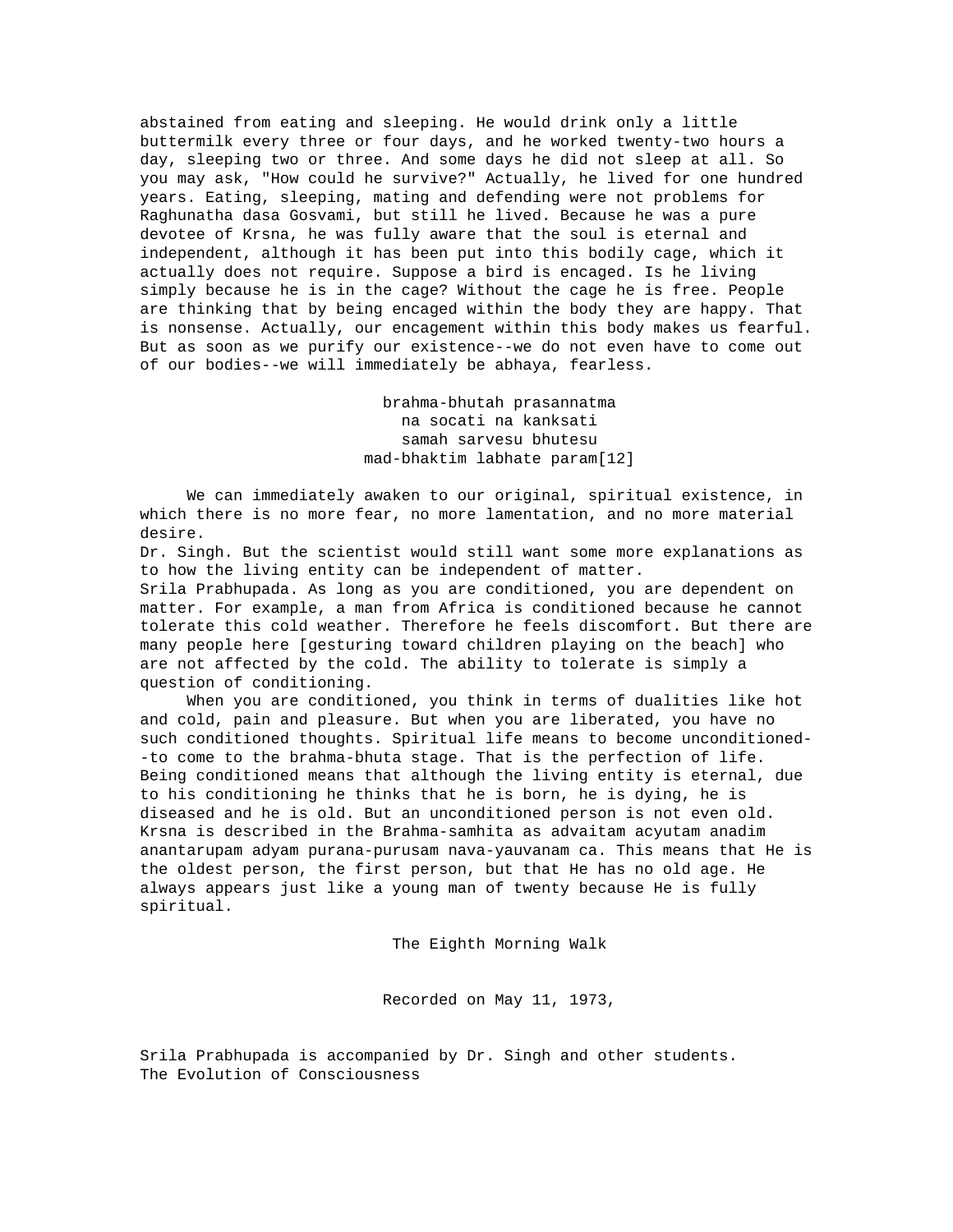abstained from eating and sleeping. He would drink only a little buttermilk every three or four days, and he worked twenty-two hours a day, sleeping two or three. And some days he did not sleep at all. So you may ask, "How could he survive?" Actually, he lived for one hundred years. Eating, sleeping, mating and defending were not problems for Raghunatha dasa Gosvami, but still he lived. Because he was a pure devotee of Krsna, he was fully aware that the soul is eternal and independent, although it has been put into this bodily cage, which it actually does not require. Suppose a bird is encaged. Is he living simply because he is in the cage? Without the cage he is free. People are thinking that by being encaged within the body they are happy. That is nonsense. Actually, our encagement within this body makes us fearful. But as soon as we purify our existence--we do not even have to come out of our bodies--we will immediately be abhaya, fearless.

> brahma-bhutah prasannatma na socati na kanksati samah sarvesu bhutesu mad-bhaktim labhate param[12]

 We can immediately awaken to our original, spiritual existence, in which there is no more fear, no more lamentation, and no more material desire.

Dr. Singh. But the scientist would still want some more explanations as to how the living entity can be independent of matter. Srila Prabhupada. As long as you are conditioned, you are dependent on matter. For example, a man from Africa is conditioned because he cannot tolerate this cold weather. Therefore he feels discomfort. But there are many people here [gesturing toward children playing on the beach] who are not affected by the cold. The ability to tolerate is simply a question of conditioning.

 When you are conditioned, you think in terms of dualities like hot and cold, pain and pleasure. But when you are liberated, you have no such conditioned thoughts. Spiritual life means to become unconditioned- -to come to the brahma-bhuta stage. That is the perfection of life. Being conditioned means that although the living entity is eternal, due to his conditioning he thinks that he is born, he is dying, he is diseased and he is old. But an unconditioned person is not even old. Krsna is described in the Brahma-samhita as advaitam acyutam anadim anantarupam adyam purana-purusam nava-yauvanam ca. This means that He is the oldest person, the first person, but that He has no old age. He always appears just like a young man of twenty because He is fully spiritual.

The Eighth Morning Walk

Recorded on May 11, 1973,

Srila Prabhupada is accompanied by Dr. Singh and other students. The Evolution of Consciousness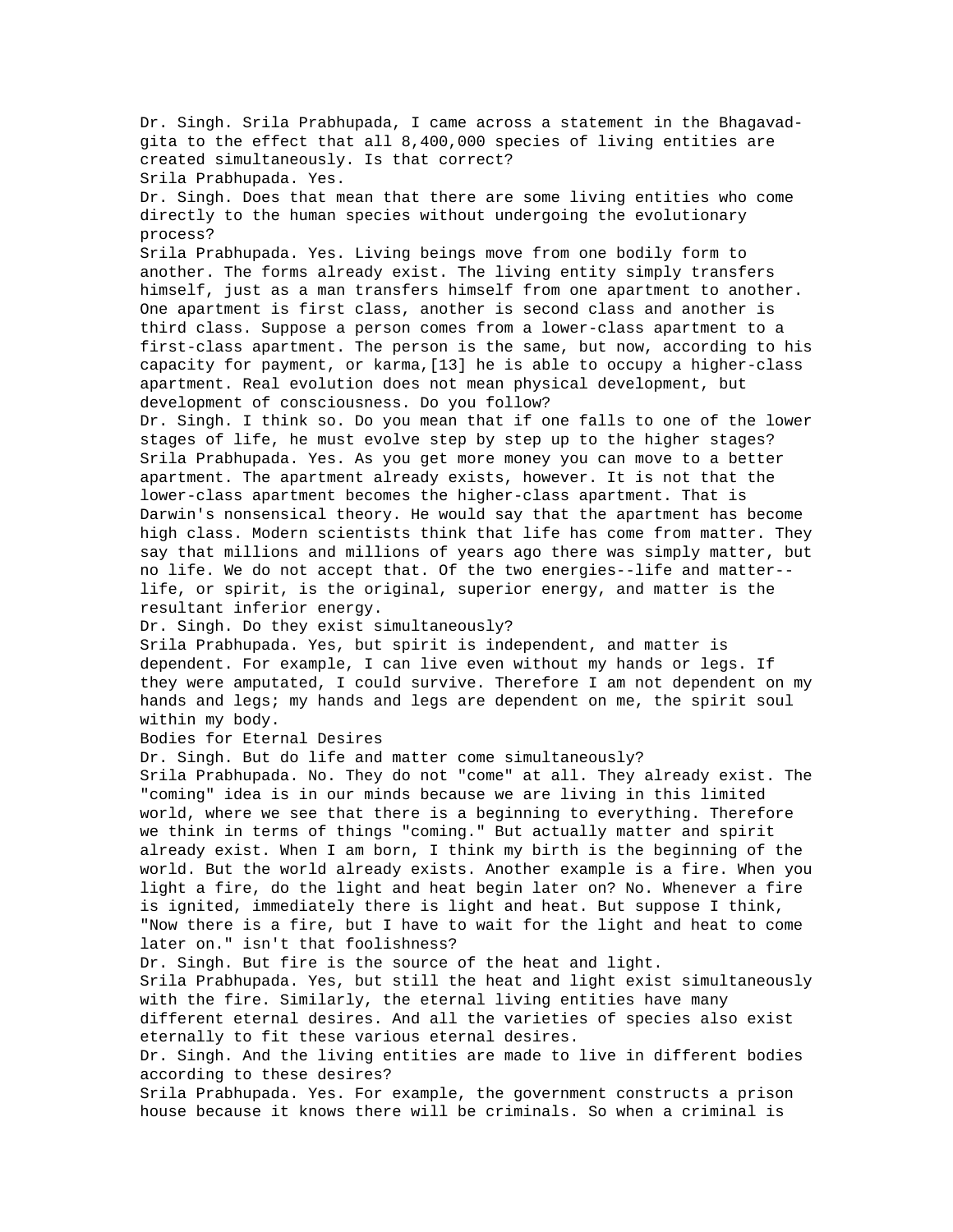Dr. Singh. Srila Prabhupada, I came across a statement in the Bhagavadgita to the effect that all 8,400,000 species of living entities are created simultaneously. Is that correct? Srila Prabhupada. Yes. Dr. Singh. Does that mean that there are some living entities who come directly to the human species without undergoing the evolutionary process? Srila Prabhupada. Yes. Living beings move from one bodily form to another. The forms already exist. The living entity simply transfers himself, just as a man transfers himself from one apartment to another. One apartment is first class, another is second class and another is third class. Suppose a person comes from a lower-class apartment to a first-class apartment. The person is the same, but now, according to his capacity for payment, or karma,[13] he is able to occupy a higher-class apartment. Real evolution does not mean physical development, but development of consciousness. Do you follow? Dr. Singh. I think so. Do you mean that if one falls to one of the lower stages of life, he must evolve step by step up to the higher stages? Srila Prabhupada. Yes. As you get more money you can move to a better apartment. The apartment already exists, however. It is not that the lower-class apartment becomes the higher-class apartment. That is Darwin's nonsensical theory. He would say that the apartment has become high class. Modern scientists think that life has come from matter. They say that millions and millions of years ago there was simply matter, but no life. We do not accept that. Of the two energies--life and matter- life, or spirit, is the original, superior energy, and matter is the resultant inferior energy. Dr. Singh. Do they exist simultaneously? Srila Prabhupada. Yes, but spirit is independent, and matter is dependent. For example, I can live even without my hands or legs. If they were amputated, I could survive. Therefore I am not dependent on my hands and legs; my hands and legs are dependent on me, the spirit soul within my body. Bodies for Eternal Desires Dr. Singh. But do life and matter come simultaneously? Srila Prabhupada. No. They do not "come" at all. They already exist. The "coming" idea is in our minds because we are living in this limited world, where we see that there is a beginning to everything. Therefore we think in terms of things "coming." But actually matter and spirit already exist. When I am born, I think my birth is the beginning of the world. But the world already exists. Another example is a fire. When you light a fire, do the light and heat begin later on? No. Whenever a fire is ignited, immediately there is light and heat. But suppose I think, "Now there is a fire, but I have to wait for the light and heat to come later on." isn't that foolishness? Dr. Singh. But fire is the source of the heat and light. Srila Prabhupada. Yes, but still the heat and light exist simultaneously with the fire. Similarly, the eternal living entities have many different eternal desires. And all the varieties of species also exist eternally to fit these various eternal desires. Dr. Singh. And the living entities are made to live in different bodies according to these desires? Srila Prabhupada. Yes. For example, the government constructs a prison house because it knows there will be criminals. So when a criminal is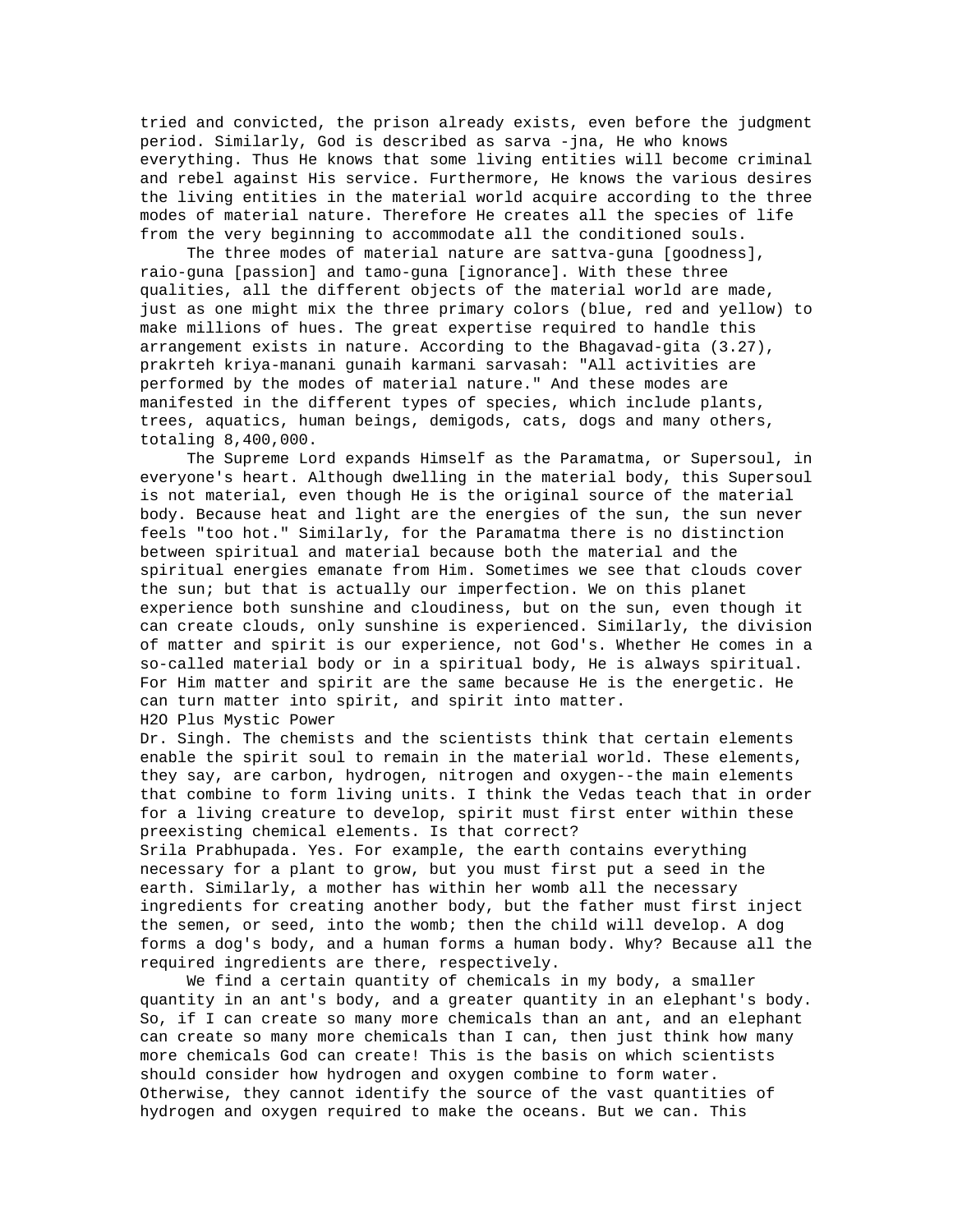tried and convicted, the prison already exists, even before the judgment period. Similarly, God is described as sarva -jna, He who knows everything. Thus He knows that some living entities will become criminal and rebel against His service. Furthermore, He knows the various desires the living entities in the material world acquire according to the three modes of material nature. Therefore He creates all the species of life from the very beginning to accommodate all the conditioned souls.

 The three modes of material nature are sattva-guna [goodness], raio-guna [passion] and tamo-guna [ignorance]. With these three qualities, all the different objects of the material world are made, just as one might mix the three primary colors (blue, red and yellow) to make millions of hues. The great expertise required to handle this arrangement exists in nature. According to the Bhagavad-gita (3.27), prakrteh kriya-manani gunaih karmani sarvasah: "All activities are performed by the modes of material nature." And these modes are manifested in the different types of species, which include plants, trees, aquatics, human beings, demigods, cats, dogs and many others, totaling 8,400,000.

 The Supreme Lord expands Himself as the Paramatma, or Supersoul, in everyone's heart. Although dwelling in the material body, this Supersoul is not material, even though He is the original source of the material body. Because heat and light are the energies of the sun, the sun never feels "too hot." Similarly, for the Paramatma there is no distinction between spiritual and material because both the material and the spiritual energies emanate from Him. Sometimes we see that clouds cover the sun; but that is actually our imperfection. We on this planet experience both sunshine and cloudiness, but on the sun, even though it can create clouds, only sunshine is experienced. Similarly, the division of matter and spirit is our experience, not God's. Whether He comes in a so-called material body or in a spiritual body, He is always spiritual. For Him matter and spirit are the same because He is the energetic. He can turn matter into spirit, and spirit into matter. H2O Plus Mystic Power

Dr. Singh. The chemists and the scientists think that certain elements enable the spirit soul to remain in the material world. These elements, they say, are carbon, hydrogen, nitrogen and oxygen--the main elements that combine to form living units. I think the Vedas teach that in order for a living creature to develop, spirit must first enter within these preexisting chemical elements. Is that correct?

Srila Prabhupada. Yes. For example, the earth contains everything necessary for a plant to grow, but you must first put a seed in the earth. Similarly, a mother has within her womb all the necessary ingredients for creating another body, but the father must first inject the semen, or seed, into the womb; then the child will develop. A dog forms a dog's body, and a human forms a human body. Why? Because all the required ingredients are there, respectively.

 We find a certain quantity of chemicals in my body, a smaller quantity in an ant's body, and a greater quantity in an elephant's body. So, if I can create so many more chemicals than an ant, and an elephant can create so many more chemicals than I can, then just think how many more chemicals God can create! This is the basis on which scientists should consider how hydrogen and oxygen combine to form water. Otherwise, they cannot identify the source of the vast quantities of hydrogen and oxygen required to make the oceans. But we can. This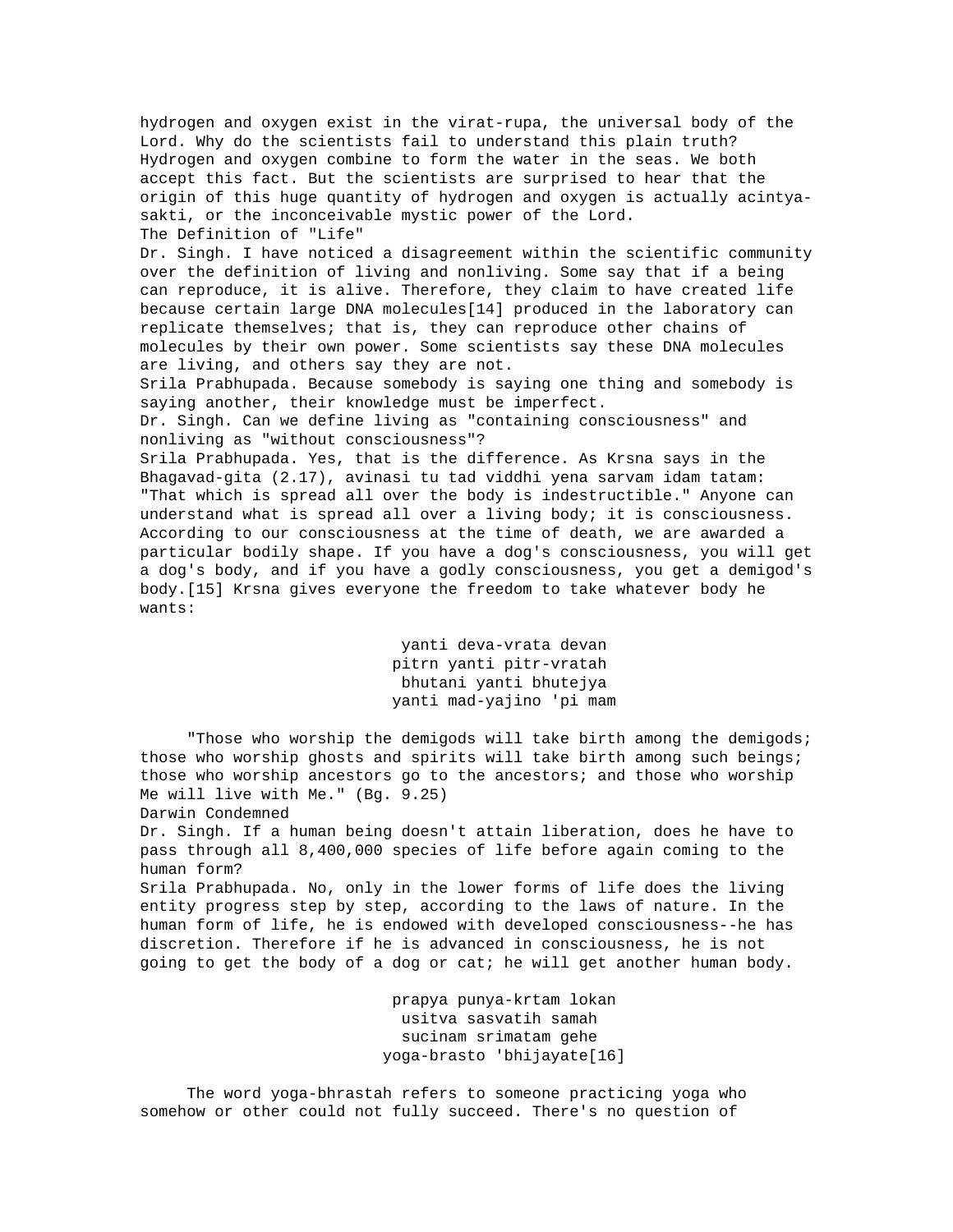hydrogen and oxygen exist in the virat-rupa, the universal body of the Lord. Why do the scientists fail to understand this plain truth? Hydrogen and oxygen combine to form the water in the seas. We both accept this fact. But the scientists are surprised to hear that the origin of this huge quantity of hydrogen and oxygen is actually acintyasakti, or the inconceivable mystic power of the Lord. The Definition of "Life" Dr. Singh. I have noticed a disagreement within the scientific community over the definition of living and nonliving. Some say that if a being can reproduce, it is alive. Therefore, they claim to have created life because certain large DNA molecules[14] produced in the laboratory can replicate themselves; that is, they can reproduce other chains of molecules by their own power. Some scientists say these DNA molecules are living, and others say they are not. Srila Prabhupada. Because somebody is saying one thing and somebody is

saying another, their knowledge must be imperfect.

Dr. Singh. Can we define living as "containing consciousness" and nonliving as "without consciousness"?

Srila Prabhupada. Yes, that is the difference. As Krsna says in the Bhagavad-gita (2.17), avinasi tu tad viddhi yena sarvam idam tatam: "That which is spread all over the body is indestructible." Anyone can understand what is spread all over a living body; it is consciousness. According to our consciousness at the time of death, we are awarded a particular bodily shape. If you have a dog's consciousness, you will get a dog's body, and if you have a godly consciousness, you get a demigod's body.[15] Krsna gives everyone the freedom to take whatever body he wants:

> yanti deva-vrata devan pitrn yanti pitr-vratah bhutani yanti bhutejya yanti mad-yajino 'pi mam

 "Those who worship the demigods will take birth among the demigods; those who worship ghosts and spirits will take birth among such beings; those who worship ancestors go to the ancestors; and those who worship Me will live with Me." (Bg. 9.25)

Darwin Condemned

Dr. Singh. If a human being doesn't attain liberation, does he have to pass through all 8,400,000 species of life before again coming to the human form?

Srila Prabhupada. No, only in the lower forms of life does the living entity progress step by step, according to the laws of nature. In the human form of life, he is endowed with developed consciousness--he has discretion. Therefore if he is advanced in consciousness, he is not going to get the body of a dog or cat; he will get another human body.

> prapya punya-krtam lokan usitva sasvatih samah sucinam srimatam gehe yoga-brasto 'bhijayate[16]

 The word yoga-bhrastah refers to someone practicing yoga who somehow or other could not fully succeed. There's no question of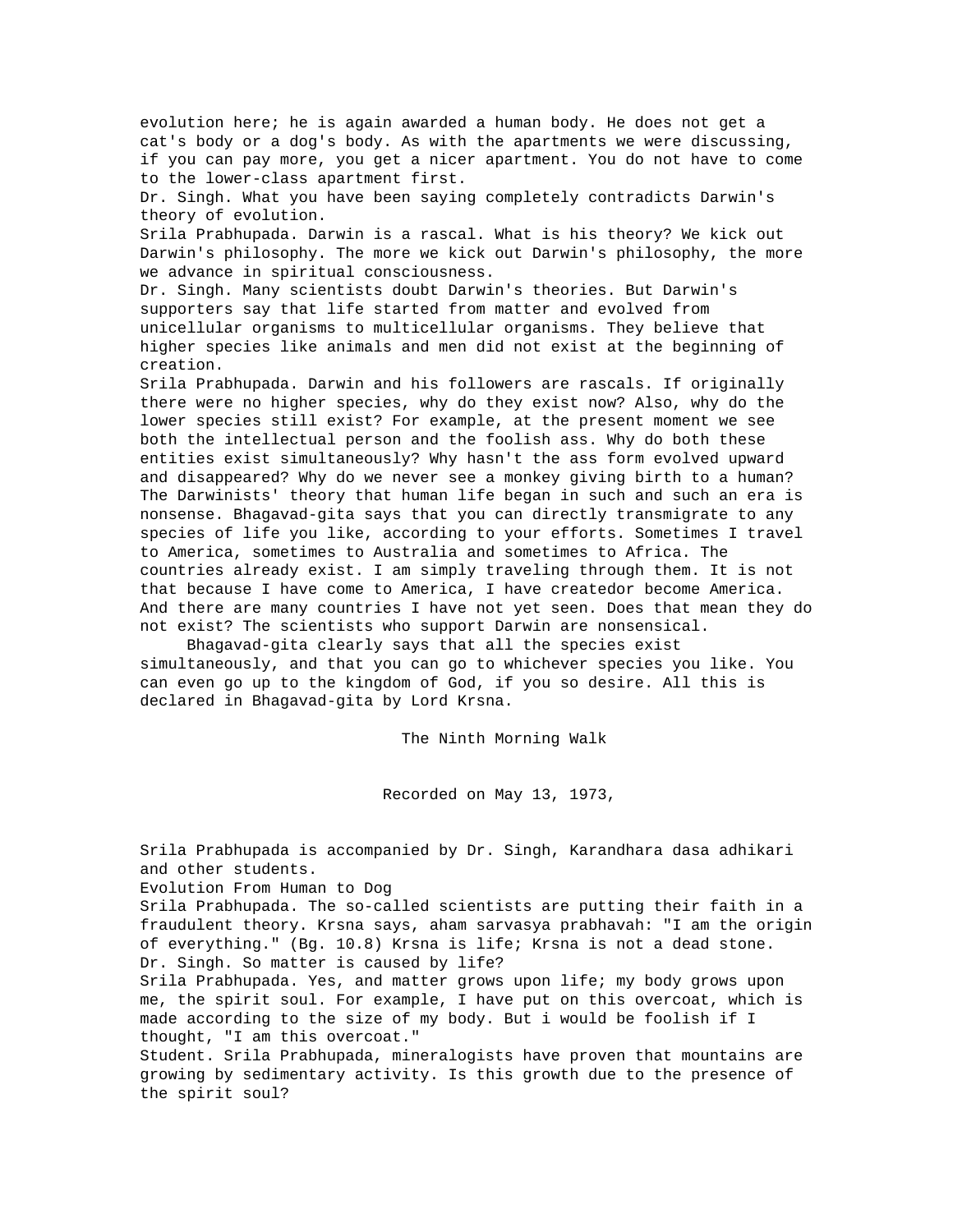evolution here; he is again awarded a human body. He does not get a cat's body or a dog's body. As with the apartments we were discussing, if you can pay more, you get a nicer apartment. You do not have to come to the lower-class apartment first. Dr. Singh. What you have been saying completely contradicts Darwin's theory of evolution. Srila Prabhupada. Darwin is a rascal. What is his theory? We kick out Darwin's philosophy. The more we kick out Darwin's philosophy, the more we advance in spiritual consciousness. Dr. Singh. Many scientists doubt Darwin's theories. But Darwin's supporters say that life started from matter and evolved from unicellular organisms to multicellular organisms. They believe that higher species like animals and men did not exist at the beginning of creation. Srila Prabhupada. Darwin and his followers are rascals. If originally there were no higher species, why do they exist now? Also, why do the lower species still exist? For example, at the present moment we see both the intellectual person and the foolish ass. Why do both these entities exist simultaneously? Why hasn't the ass form evolved upward and disappeared? Why do we never see a monkey giving birth to a human? The Darwinists' theory that human life began in such and such an era is nonsense. Bhagavad-gita says that you can directly transmigrate to any species of life you like, according to your efforts. Sometimes I travel to America, sometimes to Australia and sometimes to Africa. The countries already exist. I am simply traveling through them. It is not that because I have come to America, I have createdor become America. And there are many countries I have not yet seen. Does that mean they do not exist? The scientists who support Darwin are nonsensical.

 Bhagavad-gita clearly says that all the species exist simultaneously, and that you can go to whichever species you like. You can even go up to the kingdom of God, if you so desire. All this is declared in Bhagavad-gita by Lord Krsna.

The Ninth Morning Walk

Recorded on May 13, 1973,

Srila Prabhupada is accompanied by Dr. Singh, Karandhara dasa adhikari and other students. Evolution From Human to Dog Srila Prabhupada. The so-called scientists are putting their faith in a fraudulent theory. Krsna says, aham sarvasya prabhavah: "I am the origin of everything." (Bg. 10.8) Krsna is life; Krsna is not a dead stone. Dr. Singh. So matter is caused by life? Srila Prabhupada. Yes, and matter grows upon life; my body grows upon me, the spirit soul. For example, I have put on this overcoat, which is made according to the size of my body. But i would be foolish if I thought, "I am this overcoat." Student. Srila Prabhupada, mineralogists have proven that mountains are growing by sedimentary activity. Is this growth due to the presence of the spirit soul?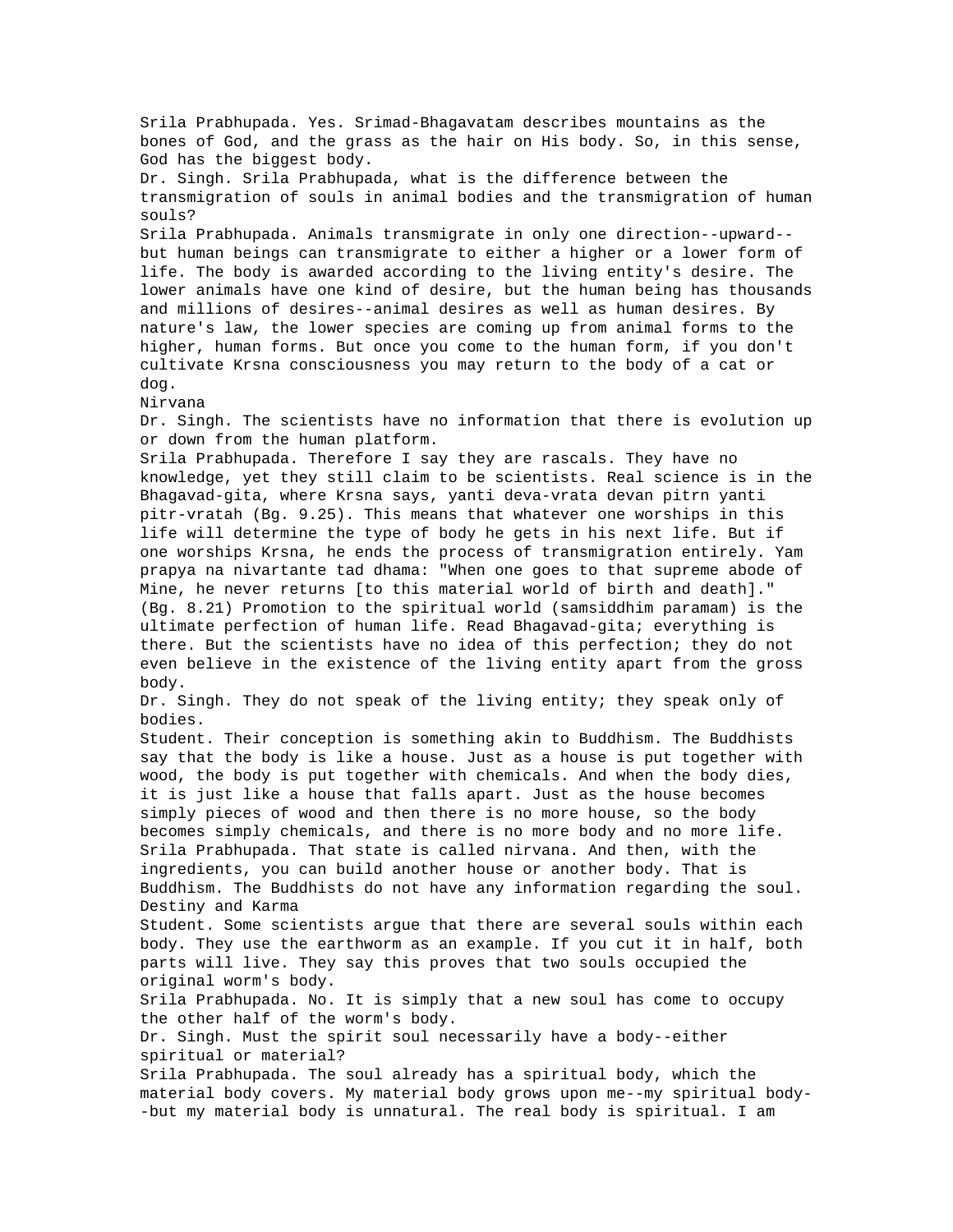Srila Prabhupada. Yes. Srimad-Bhagavatam describes mountains as the bones of God, and the grass as the hair on His body. So, in this sense, God has the biggest body. Dr. Singh. Srila Prabhupada, what is the difference between the transmigration of souls in animal bodies and the transmigration of human souls? Srila Prabhupada. Animals transmigrate in only one direction--upward- but human beings can transmigrate to either a higher or a lower form of life. The body is awarded according to the living entity's desire. The lower animals have one kind of desire, but the human being has thousands and millions of desires--animal desires as well as human desires. By nature's law, the lower species are coming up from animal forms to the higher, human forms. But once you come to the human form, if you don't cultivate Krsna consciousness you may return to the body of a cat or dog. Nirvana Dr. Singh. The scientists have no information that there is evolution up or down from the human platform. Srila Prabhupada. Therefore I say they are rascals. They have no knowledge, yet they still claim to be scientists. Real science is in the Bhagavad-gita, where Krsna says, yanti deva-vrata devan pitrn yanti pitr-vratah (Bg. 9.25). This means that whatever one worships in this life will determine the type of body he gets in his next life. But if one worships Krsna, he ends the process of transmigration entirely. Yam prapya na nivartante tad dhama: "When one goes to that supreme abode of Mine, he never returns [to this material world of birth and death]." (Bg. 8.21) Promotion to the spiritual world (samsiddhim paramam) is the ultimate perfection of human life. Read Bhagavad-gita; everything is there. But the scientists have no idea of this perfection; they do not even believe in the existence of the living entity apart from the gross body. Dr. Singh. They do not speak of the living entity; they speak only of bodies. Student. Their conception is something akin to Buddhism. The Buddhists say that the body is like a house. Just as a house is put together with wood, the body is put together with chemicals. And when the body dies, it is just like a house that falls apart. Just as the house becomes simply pieces of wood and then there is no more house, so the body becomes simply chemicals, and there is no more body and no more life. Srila Prabhupada. That state is called nirvana. And then, with the ingredients, you can build another house or another body. That is Buddhism. The Buddhists do not have any information regarding the soul. Destiny and Karma Student. Some scientists argue that there are several souls within each body. They use the earthworm as an example. If you cut it in half, both parts will live. They say this proves that two souls occupied the original worm's body. Srila Prabhupada. No. It is simply that a new soul has come to occupy the other half of the worm's body. Dr. Singh. Must the spirit soul necessarily have a body--either spiritual or material? Srila Prabhupada. The soul already has a spiritual body, which the material body covers. My material body grows upon me--my spiritual body- -but my material body is unnatural. The real body is spiritual. I am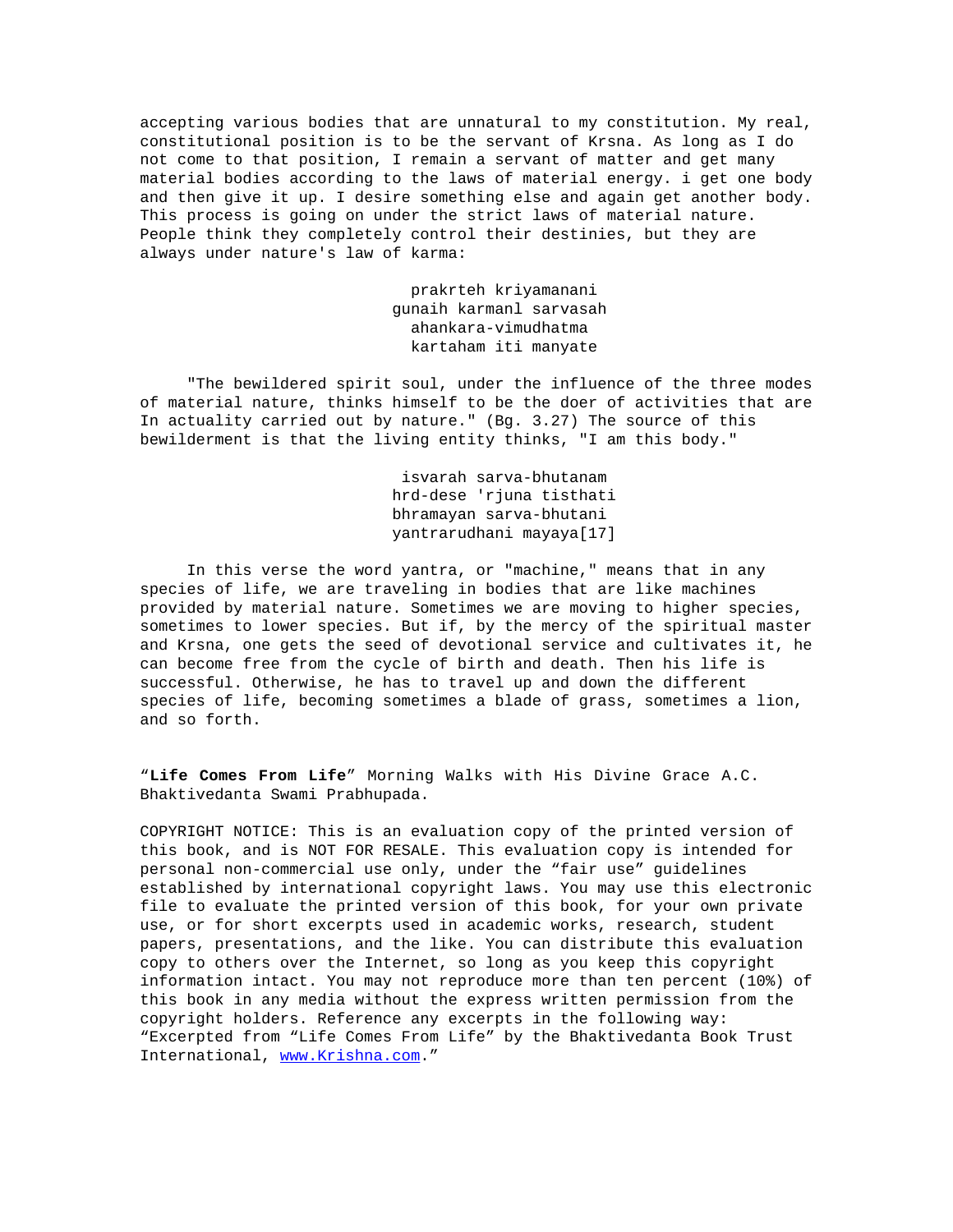accepting various bodies that are unnatural to my constitution. My real, constitutional position is to be the servant of Krsna. As long as I do not come to that position, I remain a servant of matter and get many material bodies according to the laws of material energy. i get one body and then give it up. I desire something else and again get another body. This process is going on under the strict laws of material nature. People think they completely control their destinies, but they are always under nature's law of karma:

> prakrteh kriyamanani gunaih karmanl sarvasah ahankara-vimudhatma kartaham iti manyate

 "The bewildered spirit soul, under the influence of the three modes of material nature, thinks himself to be the doer of activities that are In actuality carried out by nature." (Bg. 3.27) The source of this bewilderment is that the living entity thinks, "I am this body."

> isvarah sarva-bhutanam hrd-dese 'rjuna tisthati bhramayan sarva-bhutani yantrarudhani mayaya[17]

 In this verse the word yantra, or "machine," means that in any species of life, we are traveling in bodies that are like machines provided by material nature. Sometimes we are moving to higher species, sometimes to lower species. But if, by the mercy of the spiritual master and Krsna, one gets the seed of devotional service and cultivates it, he can become free from the cycle of birth and death. Then his life is successful. Otherwise, he has to travel up and down the different species of life, becoming sometimes a blade of grass, sometimes a lion, and so forth.

"**Life Comes From Life**" Morning Walks with His Divine Grace A.C. Bhaktivedanta Swami Prabhupada.

COPYRIGHT NOTICE: This is an evaluation copy of the printed version of this book, and is NOT FOR RESALE. This evaluation copy is intended for personal non-commercial use only, under the "fair use" guidelines established by international copyright laws. You may use this electronic file to evaluate the printed version of this book, for your own private use, or for short excerpts used in academic works, research, student papers, presentations, and the like. You can distribute this evaluation copy to others over the Internet, so long as you keep this copyright information intact. You may not reproduce more than ten percent (10%) of this book in any media without the express written permission from the copyright holders. Reference any excerpts in the following way: "Excerpted from "Life Comes From Life" by the Bhaktivedanta Book Trust International, www.Krishna.com."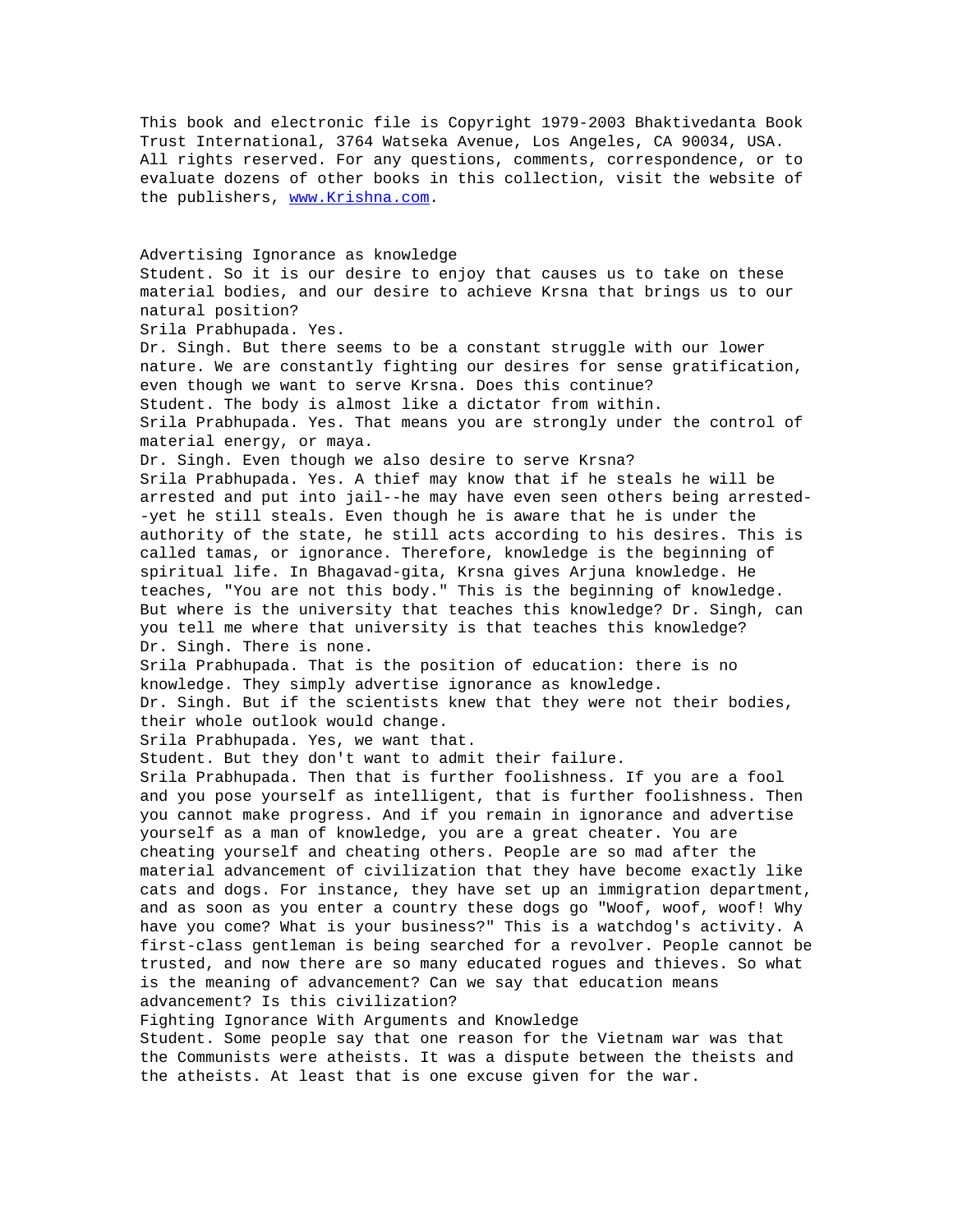This book and electronic file is Copyright 1979-2003 Bhaktivedanta Book Trust International, 3764 Watseka Avenue, Los Angeles, CA 90034, USA. All rights reserved. For any questions, comments, correspondence, or to evaluate dozens of other books in this collection, visit the website of the publishers, www.Krishna.com.

Advertising Ignorance as knowledge Student. So it is our desire to enjoy that causes us to take on these material bodies, and our desire to achieve Krsna that brings us to our natural position? Srila Prabhupada. Yes. Dr. Singh. But there seems to be a constant struggle with our lower nature. We are constantly fighting our desires for sense gratification, even though we want to serve Krsna. Does this continue? Student. The body is almost like a dictator from within. Srila Prabhupada. Yes. That means you are strongly under the control of material energy, or maya. Dr. Singh. Even though we also desire to serve Krsna? Srila Prabhupada. Yes. A thief may know that if he steals he will be arrested and put into jail--he may have even seen others being arrested- -yet he still steals. Even though he is aware that he is under the authority of the state, he still acts according to his desires. This is called tamas, or ignorance. Therefore, knowledge is the beginning of spiritual life. In Bhagavad-gita, Krsna gives Arjuna knowledge. He teaches, "You are not this body." This is the beginning of knowledge. But where is the university that teaches this knowledge? Dr. Singh, can you tell me where that university is that teaches this knowledge? Dr. Singh. There is none. Srila Prabhupada. That is the position of education: there is no knowledge. They simply advertise ignorance as knowledge. Dr. Singh. But if the scientists knew that they were not their bodies, their whole outlook would change. Srila Prabhupada. Yes, we want that. Student. But they don't want to admit their failure. Srila Prabhupada. Then that is further foolishness. If you are a fool and you pose yourself as intelligent, that is further foolishness. Then you cannot make progress. And if you remain in ignorance and advertise yourself as a man of knowledge, you are a great cheater. You are cheating yourself and cheating others. People are so mad after the material advancement of civilization that they have become exactly like cats and dogs. For instance, they have set up an immigration department,

and as soon as you enter a country these dogs go "Woof, woof, woof! Why have you come? What is your business?" This is a watchdog's activity. A first-class gentleman is being searched for a revolver. People cannot be trusted, and now there are so many educated rogues and thieves. So what is the meaning of advancement? Can we say that education means advancement? Is this civilization?

Fighting Ignorance With Arguments and Knowledge

Student. Some people say that one reason for the Vietnam war was that the Communists were atheists. It was a dispute between the theists and the atheists. At least that is one excuse given for the war.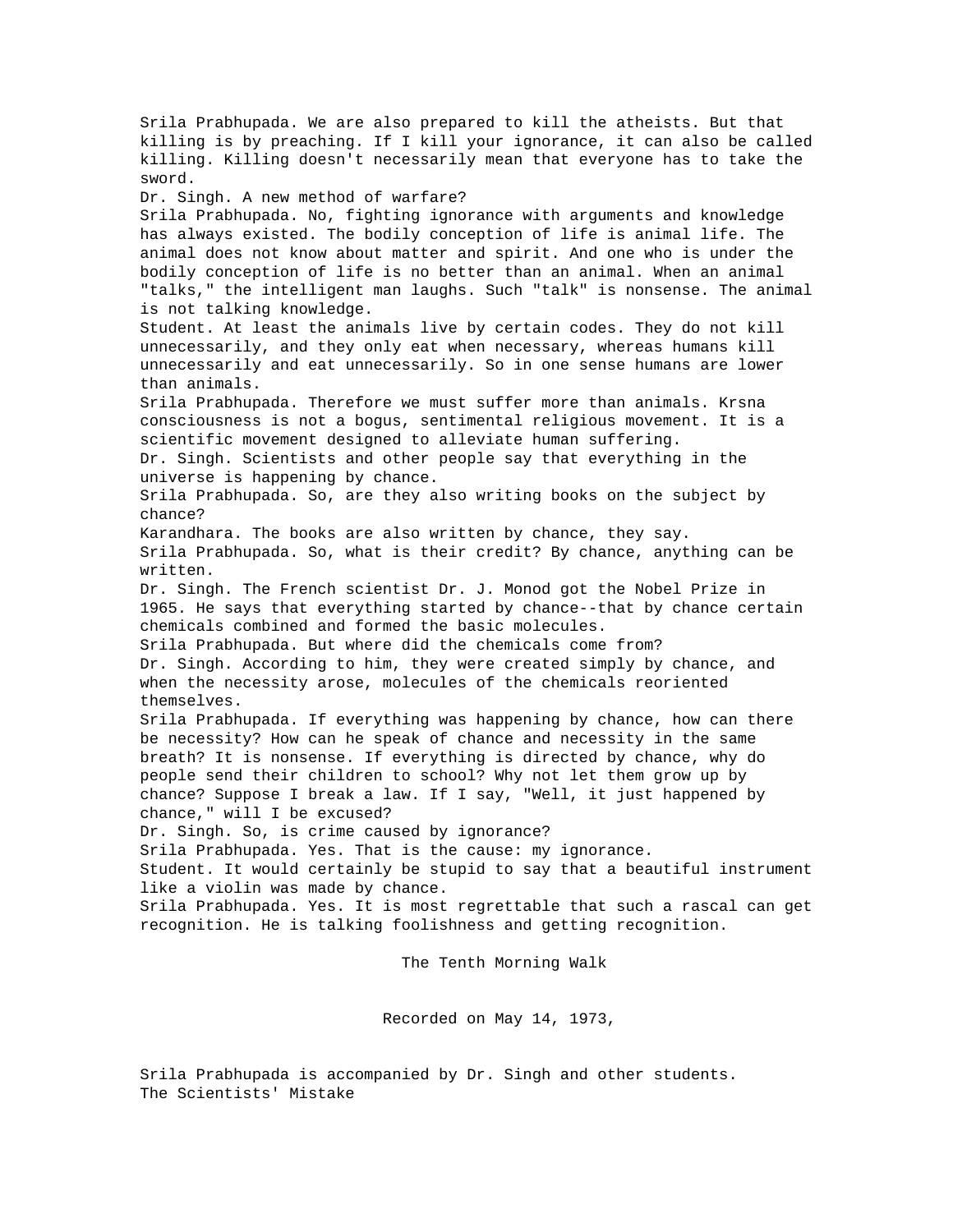Srila Prabhupada. We are also prepared to kill the atheists. But that killing is by preaching. If I kill your ignorance, it can also be called killing. Killing doesn't necessarily mean that everyone has to take the sword. Dr. Singh. A new method of warfare? Srila Prabhupada. No, fighting ignorance with arguments and knowledge has always existed. The bodily conception of life is animal life. The animal does not know about matter and spirit. And one who is under the bodily conception of life is no better than an animal. When an animal "talks," the intelligent man laughs. Such "talk" is nonsense. The animal is not talking knowledge. Student. At least the animals live by certain codes. They do not kill unnecessarily, and they only eat when necessary, whereas humans kill unnecessarily and eat unnecessarily. So in one sense humans are lower than animals. Srila Prabhupada. Therefore we must suffer more than animals. Krsna consciousness is not a bogus, sentimental religious movement. It is a scientific movement designed to alleviate human suffering. Dr. Singh. Scientists and other people say that everything in the universe is happening by chance. Srila Prabhupada. So, are they also writing books on the subject by chance? Karandhara. The books are also written by chance, they say. Srila Prabhupada. So, what is their credit? By chance, anything can be written. Dr. Singh. The French scientist Dr. J. Monod got the Nobel Prize in 1965. He says that everything started by chance--that by chance certain chemicals combined and formed the basic molecules. Srila Prabhupada. But where did the chemicals come from? Dr. Singh. According to him, they were created simply by chance, and when the necessity arose, molecules of the chemicals reoriented themselves. Srila Prabhupada. If everything was happening by chance, how can there be necessity? How can he speak of chance and necessity in the same breath? It is nonsense. If everything is directed by chance, why do people send their children to school? Why not let them grow up by chance? Suppose I break a law. If I say, "Well, it just happened by chance," will I be excused? Dr. Singh. So, is crime caused by ignorance? Srila Prabhupada. Yes. That is the cause: my ignorance. Student. It would certainly be stupid to say that a beautiful instrument like a violin was made by chance. Srila Prabhupada. Yes. It is most regrettable that such a rascal can get recognition. He is talking foolishness and getting recognition. The Tenth Morning Walk

Recorded on May 14, 1973,

Srila Prabhupada is accompanied by Dr. Singh and other students. The Scientists' Mistake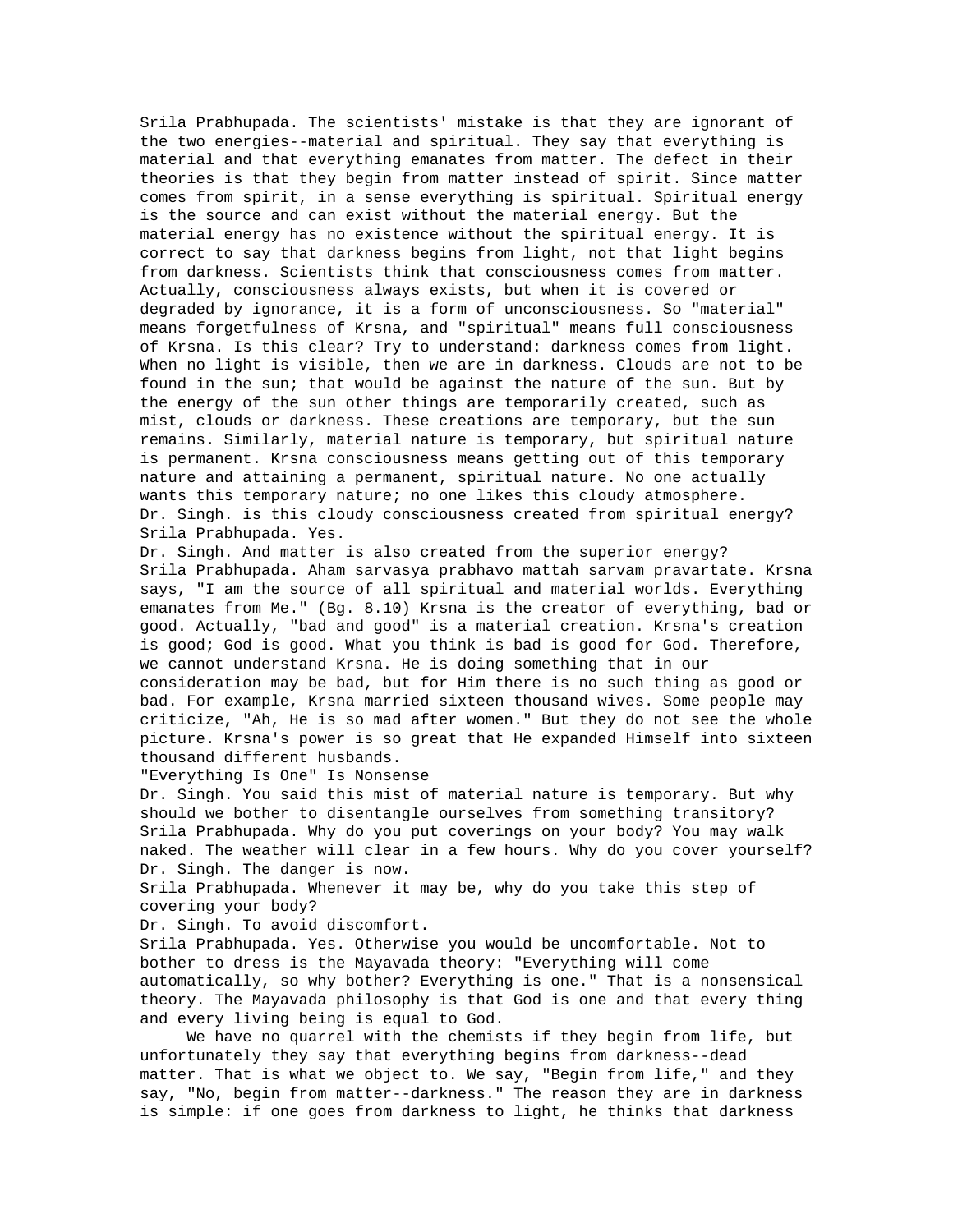Srila Prabhupada. The scientists' mistake is that they are ignorant of the two energies--material and spiritual. They say that everything is material and that everything emanates from matter. The defect in their theories is that they begin from matter instead of spirit. Since matter comes from spirit, in a sense everything is spiritual. Spiritual energy is the source and can exist without the material energy. But the material energy has no existence without the spiritual energy. It is correct to say that darkness begins from light, not that light begins from darkness. Scientists think that consciousness comes from matter. Actually, consciousness always exists, but when it is covered or degraded by ignorance, it is a form of unconsciousness. So "material" means forgetfulness of Krsna, and "spiritual" means full consciousness of Krsna. Is this clear? Try to understand: darkness comes from light. When no light is visible, then we are in darkness. Clouds are not to be found in the sun; that would be against the nature of the sun. But by the energy of the sun other things are temporarily created, such as mist, clouds or darkness. These creations are temporary, but the sun remains. Similarly, material nature is temporary, but spiritual nature is permanent. Krsna consciousness means getting out of this temporary nature and attaining a permanent, spiritual nature. No one actually wants this temporary nature; no one likes this cloudy atmosphere. Dr. Singh. is this cloudy consciousness created from spiritual energy? Srila Prabhupada. Yes.

Dr. Singh. And matter is also created from the superior energy? Srila Prabhupada. Aham sarvasya prabhavo mattah sarvam pravartate. Krsna says, "I am the source of all spiritual and material worlds. Everything emanates from Me." (Bg. 8.10) Krsna is the creator of everything, bad or good. Actually, "bad and good" is a material creation. Krsna's creation is good; God is good. What you think is bad is good for God. Therefore, we cannot understand Krsna. He is doing something that in our consideration may be bad, but for Him there is no such thing as good or bad. For example, Krsna married sixteen thousand wives. Some people may criticize, "Ah, He is so mad after women." But they do not see the whole picture. Krsna's power is so great that He expanded Himself into sixteen thousand different husbands.

"Everything Is One" Is Nonsense

Dr. Singh. You said this mist of material nature is temporary. But why should we bother to disentangle ourselves from something transitory? Srila Prabhupada. Why do you put coverings on your body? You may walk naked. The weather will clear in a few hours. Why do you cover yourself? Dr. Singh. The danger is now.

Srila Prabhupada. Whenever it may be, why do you take this step of covering your body?

Dr. Singh. To avoid discomfort.

Srila Prabhupada. Yes. Otherwise you would be uncomfortable. Not to bother to dress is the Mayavada theory: "Everything will come automatically, so why bother? Everything is one." That is a nonsensical theory. The Mayavada philosophy is that God is one and that every thing and every living being is equal to God.

 We have no quarrel with the chemists if they begin from life, but unfortunately they say that everything begins from darkness--dead matter. That is what we object to. We say, "Begin from life," and they say, "No, begin from matter--darkness." The reason they are in darkness is simple: if one goes from darkness to light, he thinks that darkness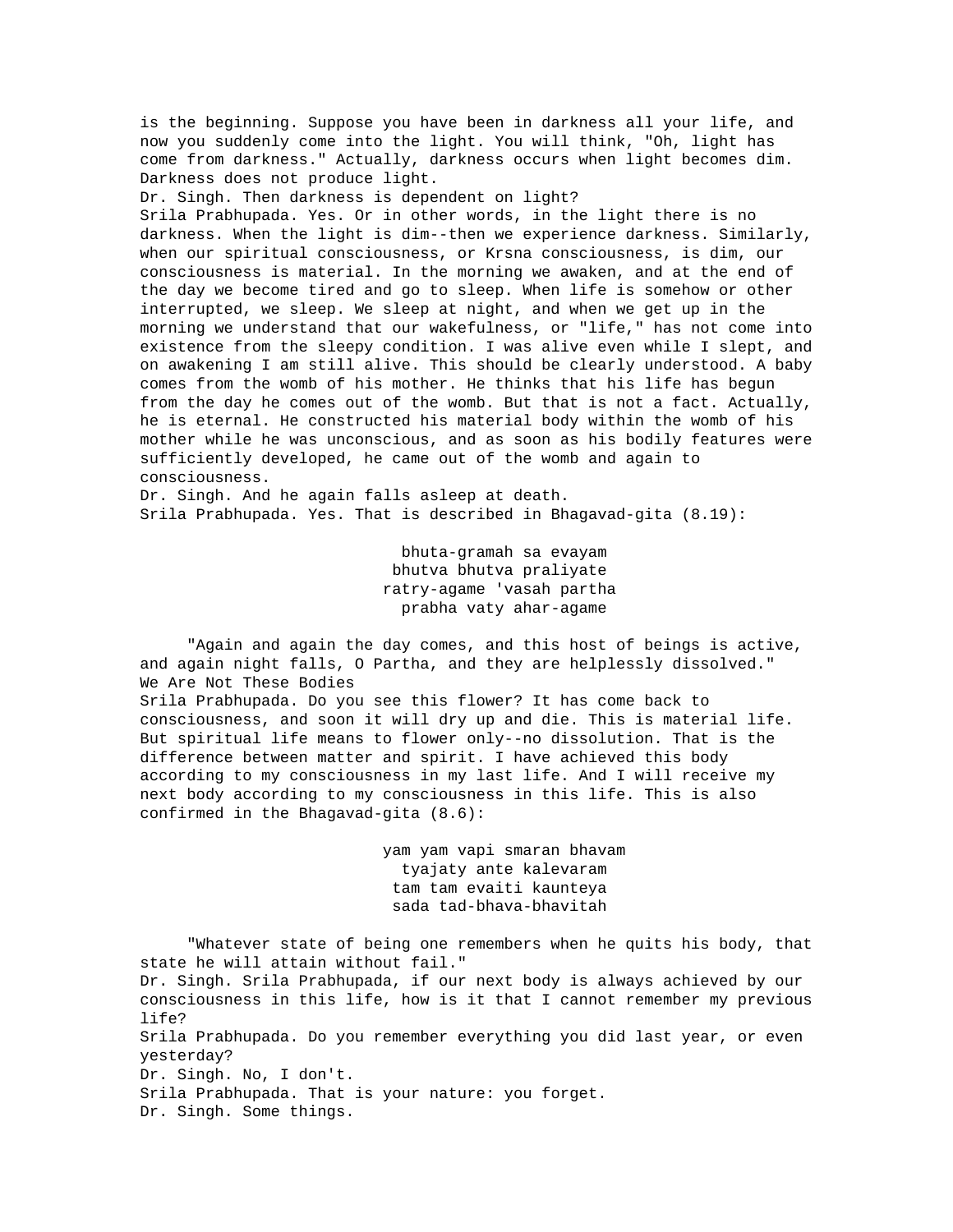is the beginning. Suppose you have been in darkness all your life, and now you suddenly come into the light. You will think, "Oh, light has come from darkness." Actually, darkness occurs when light becomes dim. Darkness does not produce light. Dr. Singh. Then darkness is dependent on light?

Srila Prabhupada. Yes. Or in other words, in the light there is no darkness. When the light is dim--then we experience darkness. Similarly, when our spiritual consciousness, or Krsna consciousness, is dim, our consciousness is material. In the morning we awaken, and at the end of the day we become tired and go to sleep. When life is somehow or other interrupted, we sleep. We sleep at night, and when we get up in the morning we understand that our wakefulness, or "life," has not come into existence from the sleepy condition. I was alive even while I slept, and on awakening I am still alive. This should be clearly understood. A baby comes from the womb of his mother. He thinks that his life has begun from the day he comes out of the womb. But that is not a fact. Actually, he is eternal. He constructed his material body within the womb of his mother while he was unconscious, and as soon as his bodily features were sufficiently developed, he came out of the womb and again to consciousness.

Dr. Singh. And he again falls asleep at death. Srila Prabhupada. Yes. That is described in Bhagavad-gita (8.19):

> bhuta-gramah sa evayam bhutva bhutva praliyate ratry-agame 'vasah partha prabha vaty ahar-agame

 "Again and again the day comes, and this host of beings is active, and again night falls, O Partha, and they are helplessly dissolved." We Are Not These Bodies

Srila Prabhupada. Do you see this flower? It has come back to consciousness, and soon it will dry up and die. This is material life. But spiritual life means to flower only--no dissolution. That is the difference between matter and spirit. I have achieved this body according to my consciousness in my last life. And I will receive my next body according to my consciousness in this life. This is also confirmed in the Bhagavad-gita (8.6):

> yam yam vapi smaran bhavam tyajaty ante kalevaram tam tam evaiti kaunteya sada tad-bhava-bhavitah

 "Whatever state of being one remembers when he quits his body, that state he will attain without fail." Dr. Singh. Srila Prabhupada, if our next body is always achieved by our consciousness in this life, how is it that I cannot remember my previous life? Srila Prabhupada. Do you remember everything you did last year, or even yesterday? Dr. Singh. No, I don't. Srila Prabhupada. That is your nature: you forget. Dr. Singh. Some things.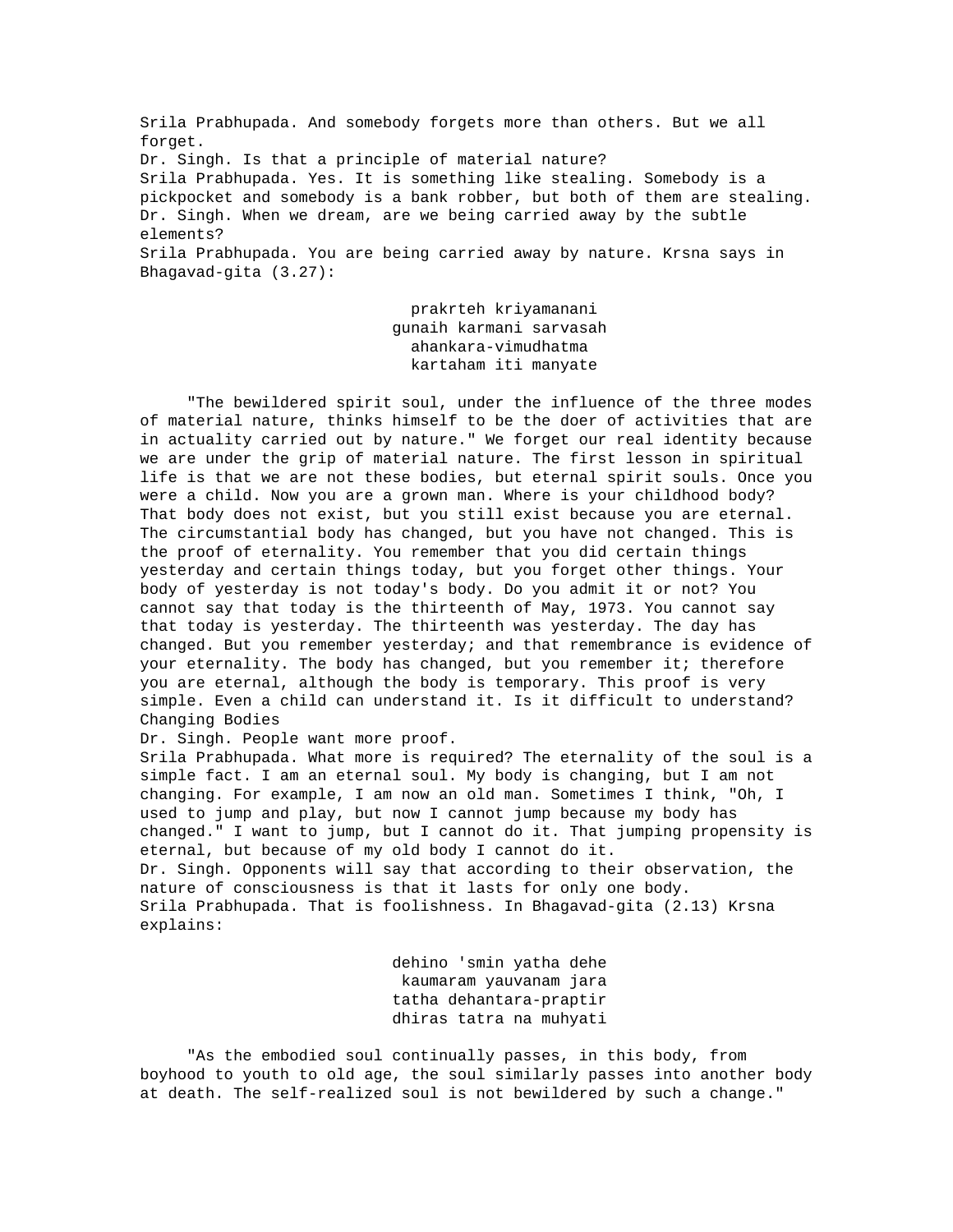Srila Prabhupada. And somebody forgets more than others. But we all forget. Dr. Singh. Is that a principle of material nature? Srila Prabhupada. Yes. It is something like stealing. Somebody is a pickpocket and somebody is a bank robber, but both of them are stealing. Dr. Singh. When we dream, are we being carried away by the subtle elements? Srila Prabhupada. You are being carried away by nature. Krsna says in Bhagavad-gita (3.27):

> prakrteh kriyamanani gunaih karmani sarvasah ahankara-vimudhatma kartaham iti manyate

 "The bewildered spirit soul, under the influence of the three modes of material nature, thinks himself to be the doer of activities that are in actuality carried out by nature." We forget our real identity because we are under the grip of material nature. The first lesson in spiritual life is that we are not these bodies, but eternal spirit souls. Once you were a child. Now you are a grown man. Where is your childhood body? That body does not exist, but you still exist because you are eternal. The circumstantial body has changed, but you have not changed. This is the proof of eternality. You remember that you did certain things yesterday and certain things today, but you forget other things. Your body of yesterday is not today's body. Do you admit it or not? You cannot say that today is the thirteenth of May, 1973. You cannot say that today is yesterday. The thirteenth was yesterday. The day has changed. But you remember yesterday; and that remembrance is evidence of your eternality. The body has changed, but you remember it; therefore you are eternal, although the body is temporary. This proof is very simple. Even a child can understand it. Is it difficult to understand? Changing Bodies

Dr. Singh. People want more proof.

Srila Prabhupada. What more is required? The eternality of the soul is a simple fact. I am an eternal soul. My body is changing, but I am not changing. For example, I am now an old man. Sometimes I think, "Oh, I used to jump and play, but now I cannot jump because my body has changed." I want to jump, but I cannot do it. That jumping propensity is eternal, but because of my old body I cannot do it. Dr. Singh. Opponents will say that according to their observation, the nature of consciousness is that it lasts for only one body. Srila Prabhupada. That is foolishness. In Bhagavad-gita (2.13) Krsna explains:

> dehino 'smin yatha dehe kaumaram yauvanam jara tatha dehantara-praptir dhiras tatra na muhyati

 "As the embodied soul continually passes, in this body, from boyhood to youth to old age, the soul similarly passes into another body at death. The self-realized soul is not bewildered by such a change."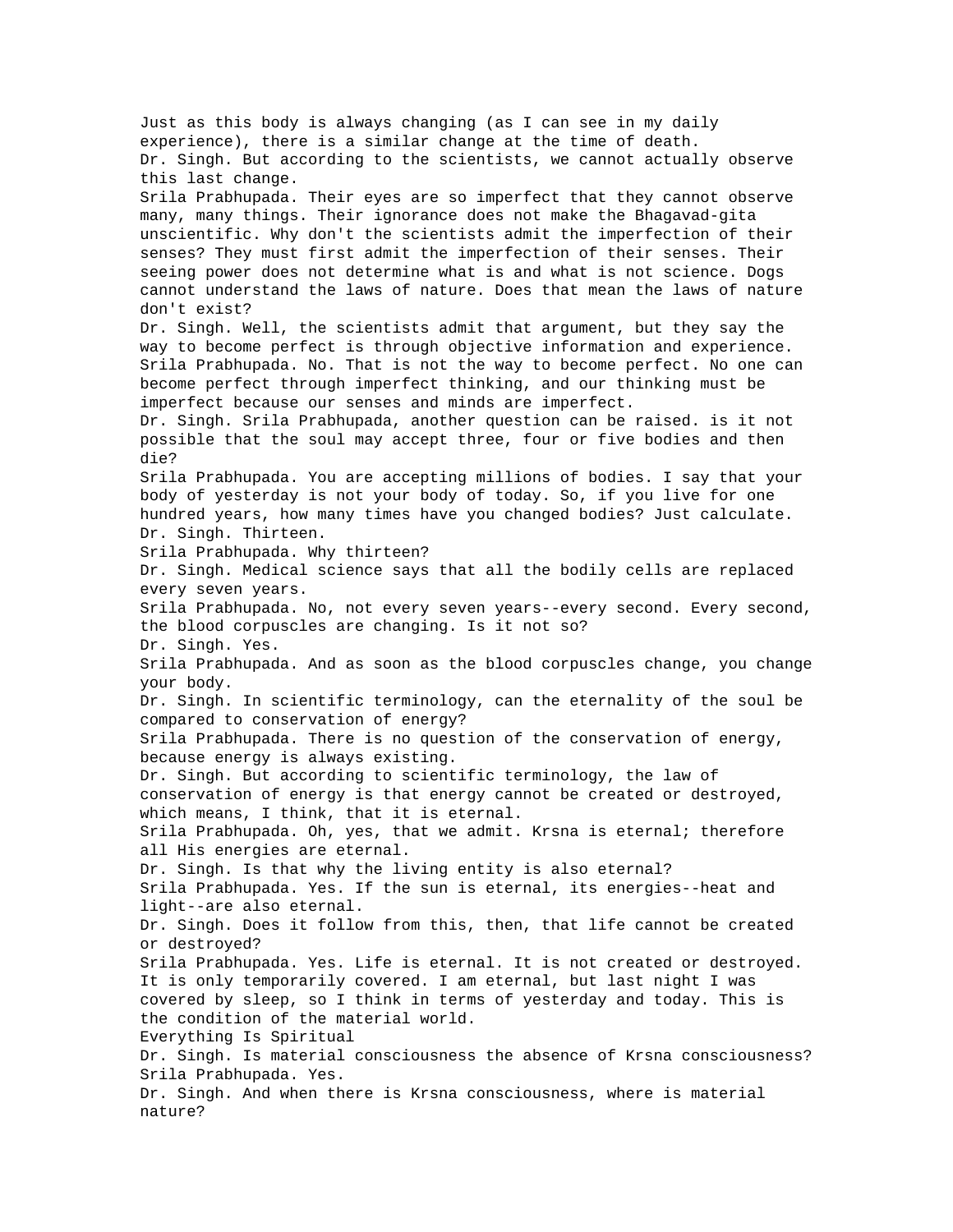Just as this body is always changing (as I can see in my daily experience), there is a similar change at the time of death. Dr. Singh. But according to the scientists, we cannot actually observe this last change. Srila Prabhupada. Their eyes are so imperfect that they cannot observe many, many things. Their ignorance does not make the Bhagavad-gita unscientific. Why don't the scientists admit the imperfection of their senses? They must first admit the imperfection of their senses. Their seeing power does not determine what is and what is not science. Dogs cannot understand the laws of nature. Does that mean the laws of nature don't exist? Dr. Singh. Well, the scientists admit that argument, but they say the way to become perfect is through objective information and experience. Srila Prabhupada. No. That is not the way to become perfect. No one can become perfect through imperfect thinking, and our thinking must be imperfect because our senses and minds are imperfect. Dr. Singh. Srila Prabhupada, another question can be raised. is it not possible that the soul may accept three, four or five bodies and then die? Srila Prabhupada. You are accepting millions of bodies. I say that your body of yesterday is not your body of today. So, if you live for one hundred years, how many times have you changed bodies? Just calculate. Dr. Singh. Thirteen. Srila Prabhupada. Why thirteen? Dr. Singh. Medical science says that all the bodily cells are replaced every seven years. Srila Prabhupada. No, not every seven years--every second. Every second, the blood corpuscles are changing. Is it not so? Dr. Singh. Yes. Srila Prabhupada. And as soon as the blood corpuscles change, you change your body. Dr. Singh. In scientific terminology, can the eternality of the soul be compared to conservation of energy? Srila Prabhupada. There is no question of the conservation of energy, because energy is always existing. Dr. Singh. But according to scientific terminology, the law of conservation of energy is that energy cannot be created or destroyed, which means, I think, that it is eternal. Srila Prabhupada. Oh, yes, that we admit. Krsna is eternal; therefore all His energies are eternal. Dr. Singh. Is that why the living entity is also eternal? Srila Prabhupada. Yes. If the sun is eternal, its energies--heat and light--are also eternal. Dr. Singh. Does it follow from this, then, that life cannot be created or destroyed? Srila Prabhupada. Yes. Life is eternal. It is not created or destroyed. It is only temporarily covered. I am eternal, but last night I was covered by sleep, so I think in terms of yesterday and today. This is the condition of the material world. Everything Is Spiritual Dr. Singh. Is material consciousness the absence of Krsna consciousness? Srila Prabhupada. Yes. Dr. Singh. And when there is Krsna consciousness, where is material nature?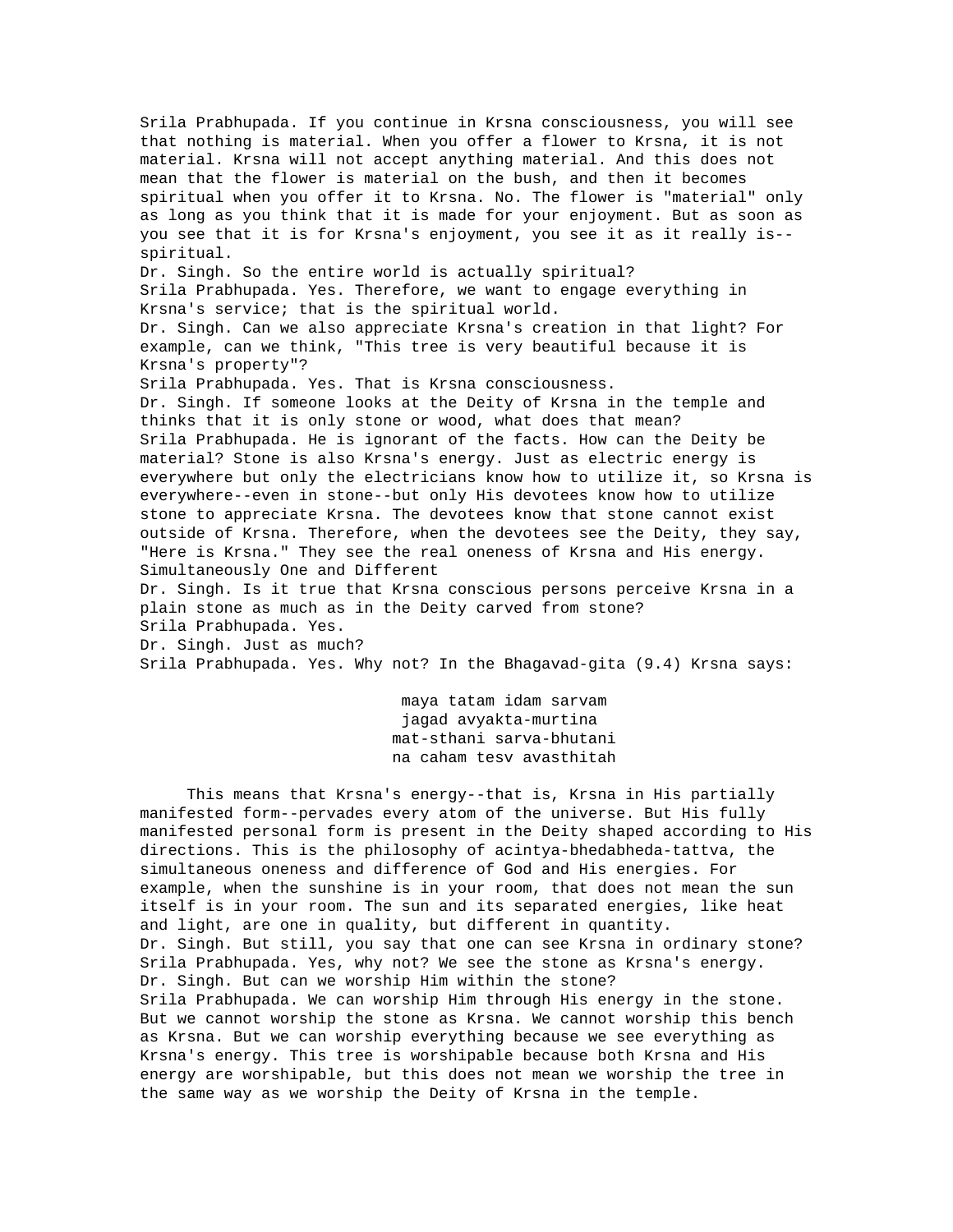Srila Prabhupada. If you continue in Krsna consciousness, you will see that nothing is material. When you offer a flower to Krsna, it is not material. Krsna will not accept anything material. And this does not mean that the flower is material on the bush, and then it becomes spiritual when you offer it to Krsna. No. The flower is "material" only as long as you think that it is made for your enjoyment. But as soon as you see that it is for Krsna's enjoyment, you see it as it really is- spiritual. Dr. Singh. So the entire world is actually spiritual? Srila Prabhupada. Yes. Therefore, we want to engage everything in Krsna's service; that is the spiritual world. Dr. Singh. Can we also appreciate Krsna's creation in that light? For example, can we think, "This tree is very beautiful because it is Krsna's property"? Srila Prabhupada. Yes. That is Krsna consciousness. Dr. Singh. If someone looks at the Deity of Krsna in the temple and thinks that it is only stone or wood, what does that mean? Srila Prabhupada. He is ignorant of the facts. How can the Deity be material? Stone is also Krsna's energy. Just as electric energy is everywhere but only the electricians know how to utilize it, so Krsna is everywhere--even in stone--but only His devotees know how to utilize stone to appreciate Krsna. The devotees know that stone cannot exist outside of Krsna. Therefore, when the devotees see the Deity, they say, "Here is Krsna." They see the real oneness of Krsna and His energy. Simultaneously One and Different Dr. Singh. Is it true that Krsna conscious persons perceive Krsna in a plain stone as much as in the Deity carved from stone? Srila Prabhupada. Yes. Dr. Singh. Just as much? Srila Prabhupada. Yes. Why not? In the Bhagavad-gita (9.4) Krsna says:

> maya tatam idam sarvam jagad avyakta-murtina mat-sthani sarva-bhutani na caham tesv avasthitah

 This means that Krsna's energy--that is, Krsna in His partially manifested form--pervades every atom of the universe. But His fully manifested personal form is present in the Deity shaped according to His directions. This is the philosophy of acintya-bhedabheda-tattva, the simultaneous oneness and difference of God and His energies. For example, when the sunshine is in your room, that does not mean the sun itself is in your room. The sun and its separated energies, like heat and light, are one in quality, but different in quantity. Dr. Singh. But still, you say that one can see Krsna in ordinary stone? Srila Prabhupada. Yes, why not? We see the stone as Krsna's energy. Dr. Singh. But can we worship Him within the stone? Srila Prabhupada. We can worship Him through His energy in the stone. But we cannot worship the stone as Krsna. We cannot worship this bench as Krsna. But we can worship everything because we see everything as Krsna's energy. This tree is worshipable because both Krsna and His energy are worshipable, but this does not mean we worship the tree in the same way as we worship the Deity of Krsna in the temple.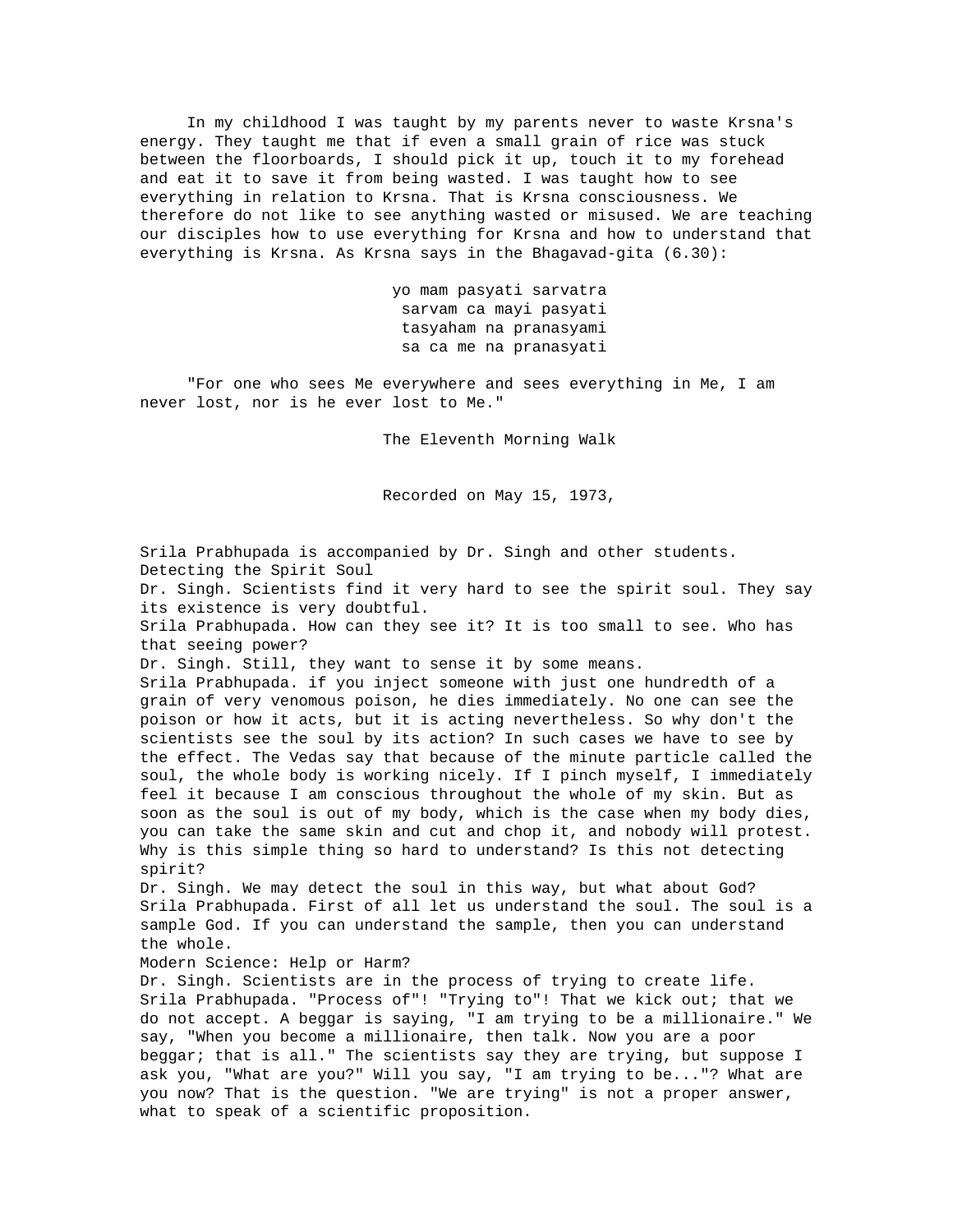In my childhood I was taught by my parents never to waste Krsna's energy. They taught me that if even a small grain of rice was stuck between the floorboards, I should pick it up, touch it to my forehead and eat it to save it from being wasted. I was taught how to see everything in relation to Krsna. That is Krsna consciousness. We therefore do not like to see anything wasted or misused. We are teaching our disciples how to use everything for Krsna and how to understand that everything is Krsna. As Krsna says in the Bhagavad-gita (6.30):

> yo mam pasyati sarvatra sarvam ca mayi pasyati tasyaham na pranasyami sa ca me na pranasyati

 "For one who sees Me everywhere and sees everything in Me, I am never lost, nor is he ever lost to Me."

The Eleventh Morning Walk

Recorded on May 15, 1973,

Srila Prabhupada is accompanied by Dr. Singh and other students. Detecting the Spirit Soul Dr. Singh. Scientists find it very hard to see the spirit soul. They say its existence is very doubtful. Srila Prabhupada. How can they see it? It is too small to see. Who has that seeing power? Dr. Singh. Still, they want to sense it by some means. Srila Prabhupada. if you inject someone with just one hundredth of a grain of very venomous poison, he dies immediately. No one can see the poison or how it acts, but it is acting nevertheless. So why don't the scientists see the soul by its action? In such cases we have to see by the effect. The Vedas say that because of the minute particle called the soul, the whole body is working nicely. If I pinch myself, I immediately feel it because I am conscious throughout the whole of my skin. But as soon as the soul is out of my body, which is the case when my body dies, you can take the same skin and cut and chop it, and nobody will protest. Why is this simple thing so hard to understand? Is this not detecting spirit? Dr. Singh. We may detect the soul in this way, but what about God? Srila Prabhupada. First of all let us understand the soul. The soul is a sample God. If you can understand the sample, then you can understand the whole. Modern Science: Help or Harm? Dr. Singh. Scientists are in the process of trying to create life. Srila Prabhupada. "Process of"! "Trying to"! That we kick out; that we do not accept. A beggar is saying, "I am trying to be a millionaire." We say, "When you become a millionaire, then talk. Now you are a poor beggar; that is all." The scientists say they are trying, but suppose I ask you, "What are you?" Will you say, "I am trying to be..."? What are you now? That is the question. "We are trying" is not a proper answer, what to speak of a scientific proposition.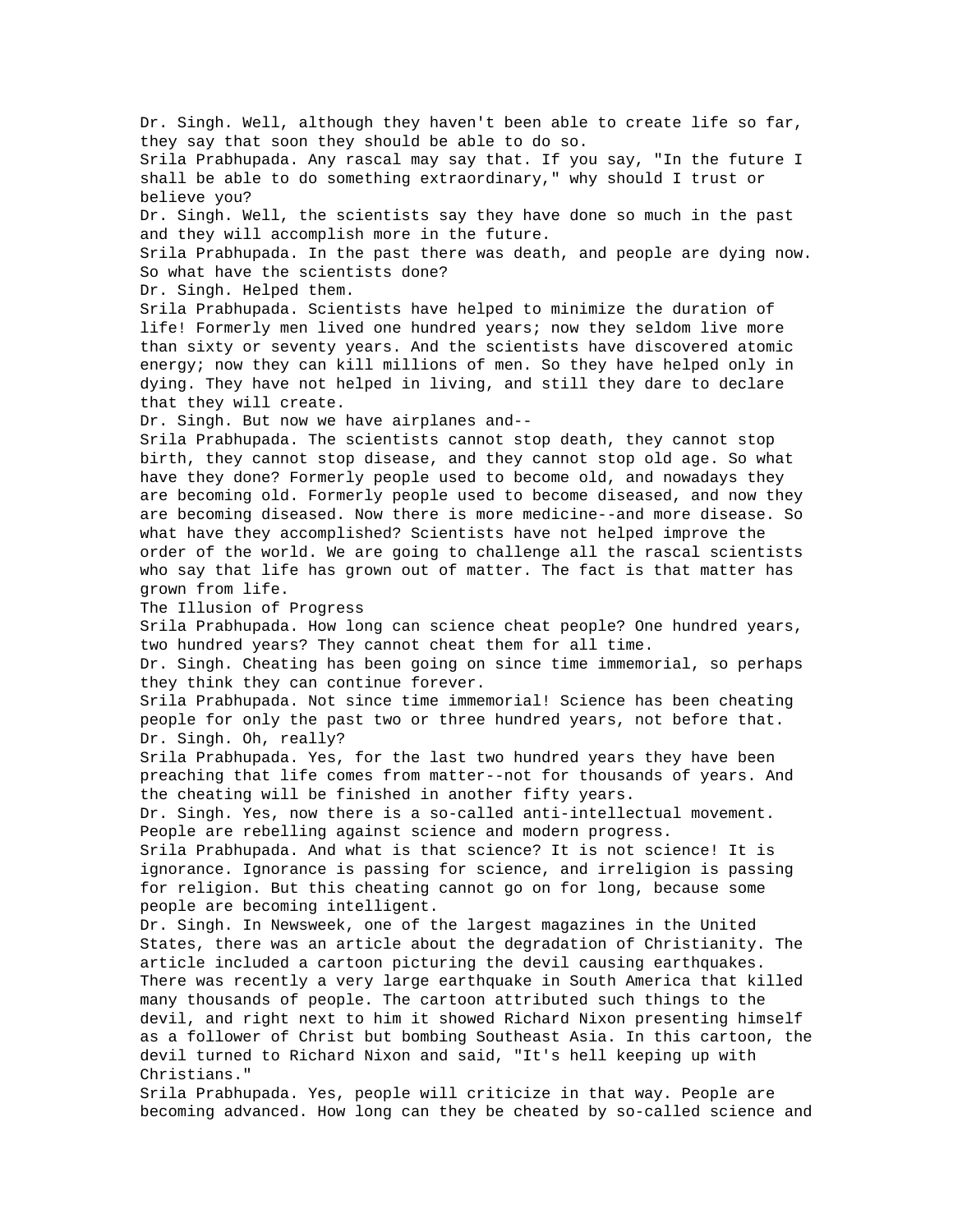Dr. Singh. Well, although they haven't been able to create life so far, they say that soon they should be able to do so. Srila Prabhupada. Any rascal may say that. If you say, "In the future I shall be able to do something extraordinary," why should I trust or believe you? Dr. Singh. Well, the scientists say they have done so much in the past and they will accomplish more in the future. Srila Prabhupada. In the past there was death, and people are dying now. So what have the scientists done? Dr. Singh. Helped them. Srila Prabhupada. Scientists have helped to minimize the duration of life! Formerly men lived one hundred years; now they seldom live more than sixty or seventy years. And the scientists have discovered atomic energy; now they can kill millions of men. So they have helped only in dying. They have not helped in living, and still they dare to declare that they will create. Dr. Singh. But now we have airplanes and-- Srila Prabhupada. The scientists cannot stop death, they cannot stop birth, they cannot stop disease, and they cannot stop old age. So what have they done? Formerly people used to become old, and nowadays they are becoming old. Formerly people used to become diseased, and now they are becoming diseased. Now there is more medicine--and more disease. So what have they accomplished? Scientists have not helped improve the order of the world. We are going to challenge all the rascal scientists who say that life has grown out of matter. The fact is that matter has grown from life. The Illusion of Progress Srila Prabhupada. How long can science cheat people? One hundred years, two hundred years? They cannot cheat them for all time. Dr. Singh. Cheating has been going on since time immemorial, so perhaps they think they can continue forever. Srila Prabhupada. Not since time immemorial! Science has been cheating people for only the past two or three hundred years, not before that. Dr. Singh. Oh, really? Srila Prabhupada. Yes, for the last two hundred years they have been preaching that life comes from matter--not for thousands of years. And the cheating will be finished in another fifty years. Dr. Singh. Yes, now there is a so-called anti-intellectual movement. People are rebelling against science and modern progress. Srila Prabhupada. And what is that science? It is not science! It is ignorance. Ignorance is passing for science, and irreligion is passing for religion. But this cheating cannot go on for long, because some people are becoming intelligent. Dr. Singh. In Newsweek, one of the largest magazines in the United States, there was an article about the degradation of Christianity. The article included a cartoon picturing the devil causing earthquakes. There was recently a very large earthquake in South America that killed many thousands of people. The cartoon attributed such things to the devil, and right next to him it showed Richard Nixon presenting himself as a follower of Christ but bombing Southeast Asia. In this cartoon, the devil turned to Richard Nixon and said, "It's hell keeping up with Christians." Srila Prabhupada. Yes, people will criticize in that way. People are becoming advanced. How long can they be cheated by so-called science and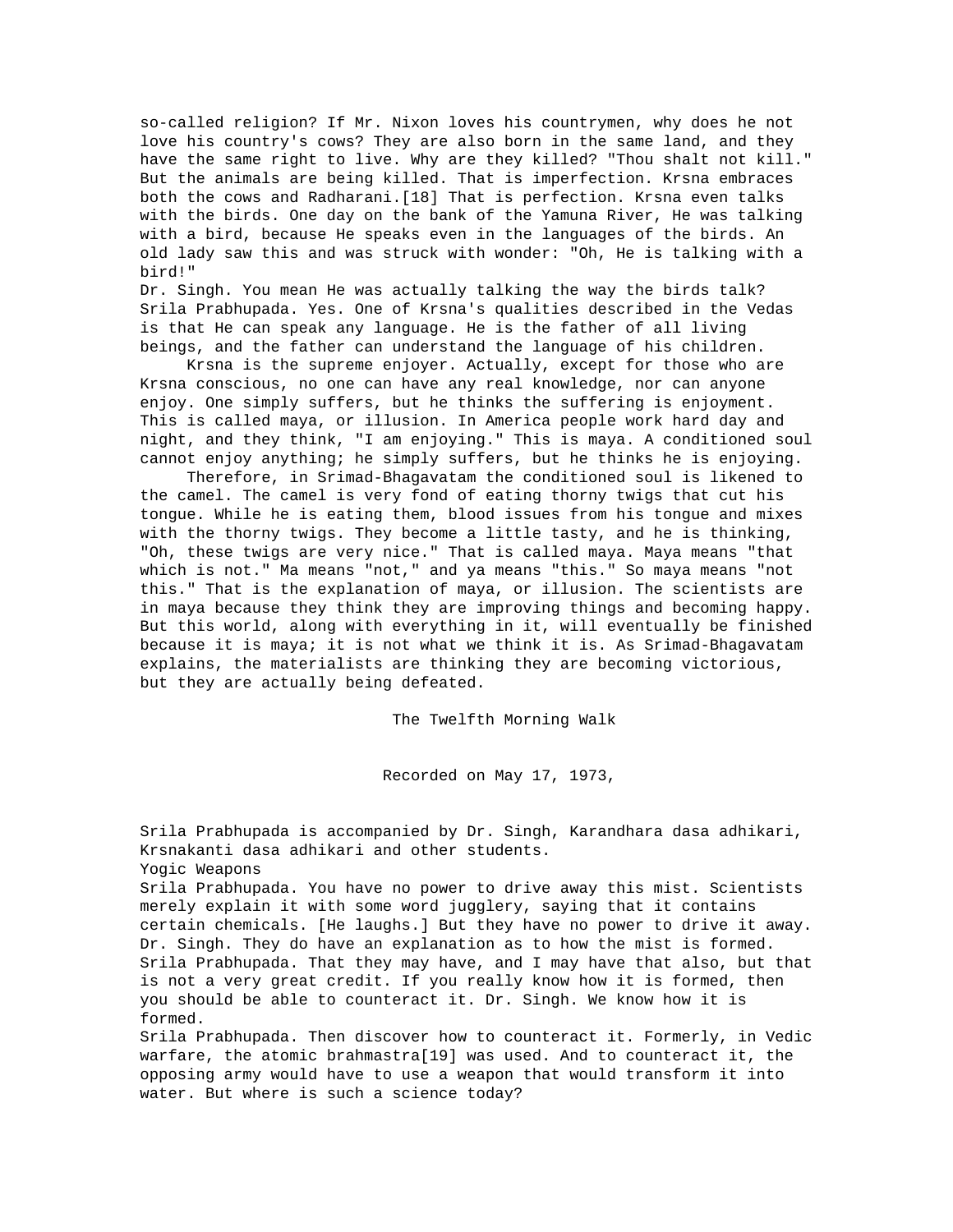so-called religion? If Mr. Nixon loves his countrymen, why does he not love his country's cows? They are also born in the same land, and they have the same right to live. Why are they killed? "Thou shalt not kill." But the animals are being killed. That is imperfection. Krsna embraces both the cows and Radharani.[18] That is perfection. Krsna even talks with the birds. One day on the bank of the Yamuna River, He was talking with a bird, because He speaks even in the languages of the birds. An old lady saw this and was struck with wonder: "Oh, He is talking with a bird!"

Dr. Singh. You mean He was actually talking the way the birds talk? Srila Prabhupada. Yes. One of Krsna's qualities described in the Vedas is that He can speak any language. He is the father of all living beings, and the father can understand the language of his children.

 Krsna is the supreme enjoyer. Actually, except for those who are Krsna conscious, no one can have any real knowledge, nor can anyone enjoy. One simply suffers, but he thinks the suffering is enjoyment. This is called maya, or illusion. In America people work hard day and night, and they think, "I am enjoying." This is maya. A conditioned soul cannot enjoy anything; he simply suffers, but he thinks he is enjoying.

 Therefore, in Srimad-Bhagavatam the conditioned soul is likened to the camel. The camel is very fond of eating thorny twigs that cut his tongue. While he is eating them, blood issues from his tongue and mixes with the thorny twigs. They become a little tasty, and he is thinking, "Oh, these twigs are very nice." That is called maya. Maya means "that which is not." Ma means "not," and ya means "this." So maya means "not this." That is the explanation of maya, or illusion. The scientists are in maya because they think they are improving things and becoming happy. But this world, along with everything in it, will eventually be finished because it is maya; it is not what we think it is. As Srimad-Bhagavatam explains, the materialists are thinking they are becoming victorious, but they are actually being defeated.

The Twelfth Morning Walk

Recorded on May 17, 1973,

Srila Prabhupada is accompanied by Dr. Singh, Karandhara dasa adhikari, Krsnakanti dasa adhikari and other students. Yogic Weapons

Srila Prabhupada. You have no power to drive away this mist. Scientists merely explain it with some word jugglery, saying that it contains certain chemicals. [He laughs.] But they have no power to drive it away. Dr. Singh. They do have an explanation as to how the mist is formed. Srila Prabhupada. That they may have, and I may have that also, but that is not a very great credit. If you really know how it is formed, then you should be able to counteract it. Dr. Singh. We know how it is formed.

Srila Prabhupada. Then discover how to counteract it. Formerly, in Vedic warfare, the atomic brahmastra[19] was used. And to counteract it, the opposing army would have to use a weapon that would transform it into water. But where is such a science today?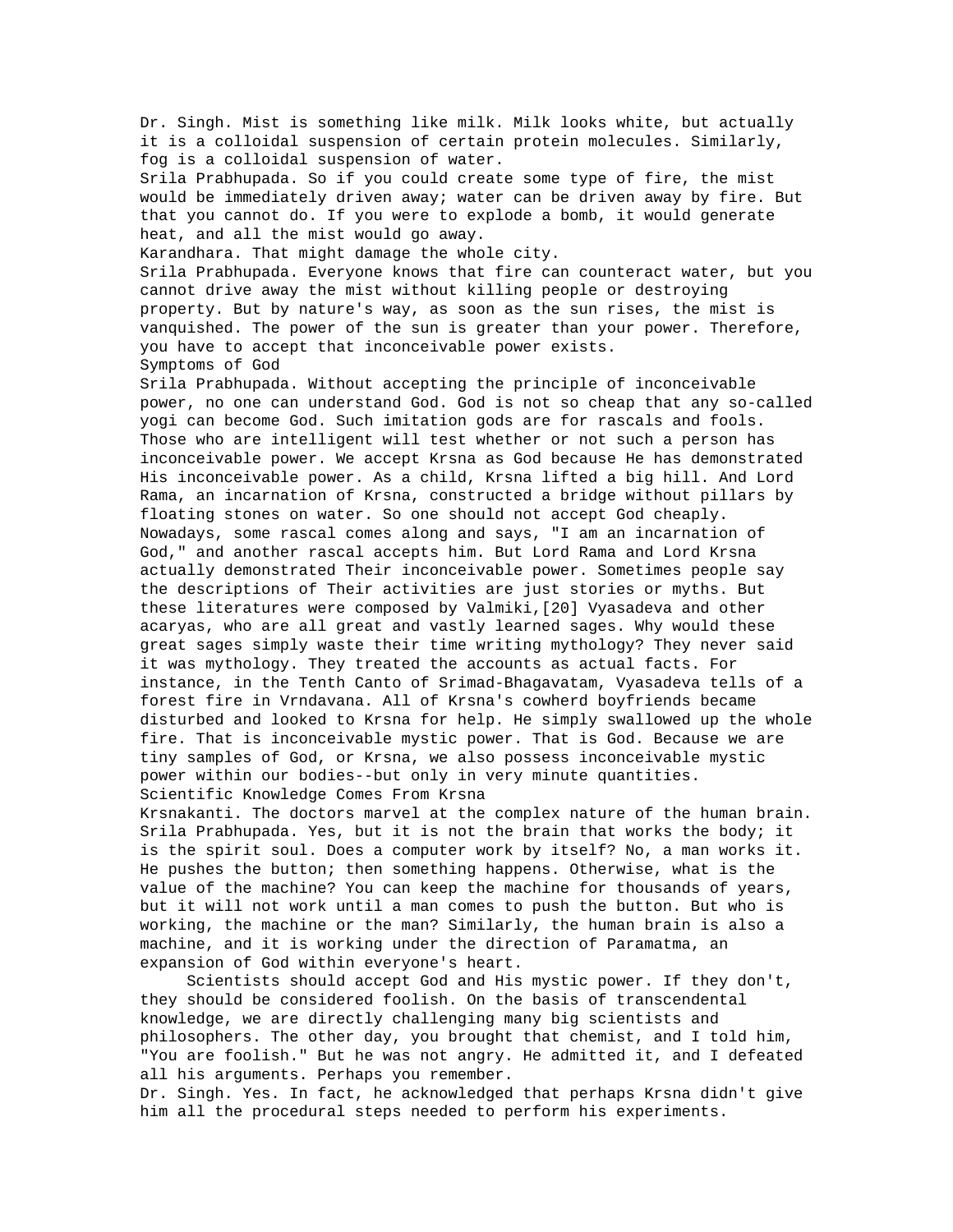Dr. Singh. Mist is something like milk. Milk looks white, but actually it is a colloidal suspension of certain protein molecules. Similarly, fog is a colloidal suspension of water.

Srila Prabhupada. So if you could create some type of fire, the mist would be immediately driven away; water can be driven away by fire. But that you cannot do. If you were to explode a bomb, it would generate heat, and all the mist would go away.

Karandhara. That might damage the whole city.

Srila Prabhupada. Everyone knows that fire can counteract water, but you cannot drive away the mist without killing people or destroying property. But by nature's way, as soon as the sun rises, the mist is vanquished. The power of the sun is greater than your power. Therefore, you have to accept that inconceivable power exists. Symptoms of God

Srila Prabhupada. Without accepting the principle of inconceivable power, no one can understand God. God is not so cheap that any so-called yogi can become God. Such imitation gods are for rascals and fools. Those who are intelligent will test whether or not such a person has inconceivable power. We accept Krsna as God because He has demonstrated His inconceivable power. As a child, Krsna lifted a big hill. And Lord Rama, an incarnation of Krsna, constructed a bridge without pillars by floating stones on water. So one should not accept God cheaply. Nowadays, some rascal comes along and says, "I am an incarnation of God," and another rascal accepts him. But Lord Rama and Lord Krsna actually demonstrated Their inconceivable power. Sometimes people say the descriptions of Their activities are just stories or myths. But these literatures were composed by Valmiki,[20] Vyasadeva and other acaryas, who are all great and vastly learned sages. Why would these great sages simply waste their time writing mythology? They never said it was mythology. They treated the accounts as actual facts. For instance, in the Tenth Canto of Srimad-Bhagavatam, Vyasadeva tells of a forest fire in Vrndavana. All of Krsna's cowherd boyfriends became disturbed and looked to Krsna for help. He simply swallowed up the whole fire. That is inconceivable mystic power. That is God. Because we are tiny samples of God, or Krsna, we also possess inconceivable mystic power within our bodies--but only in very minute quantities. Scientific Knowledge Comes From Krsna

Krsnakanti. The doctors marvel at the complex nature of the human brain. Srila Prabhupada. Yes, but it is not the brain that works the body; it is the spirit soul. Does a computer work by itself? No, a man works it. He pushes the button; then something happens. Otherwise, what is the value of the machine? You can keep the machine for thousands of years, but it will not work until a man comes to push the button. But who is working, the machine or the man? Similarly, the human brain is also a machine, and it is working under the direction of Paramatma, an expansion of God within everyone's heart.

 Scientists should accept God and His mystic power. If they don't, they should be considered foolish. On the basis of transcendental knowledge, we are directly challenging many big scientists and philosophers. The other day, you brought that chemist, and I told him, "You are foolish." But he was not angry. He admitted it, and I defeated all his arguments. Perhaps you remember.

Dr. Singh. Yes. In fact, he acknowledged that perhaps Krsna didn't give him all the procedural steps needed to perform his experiments.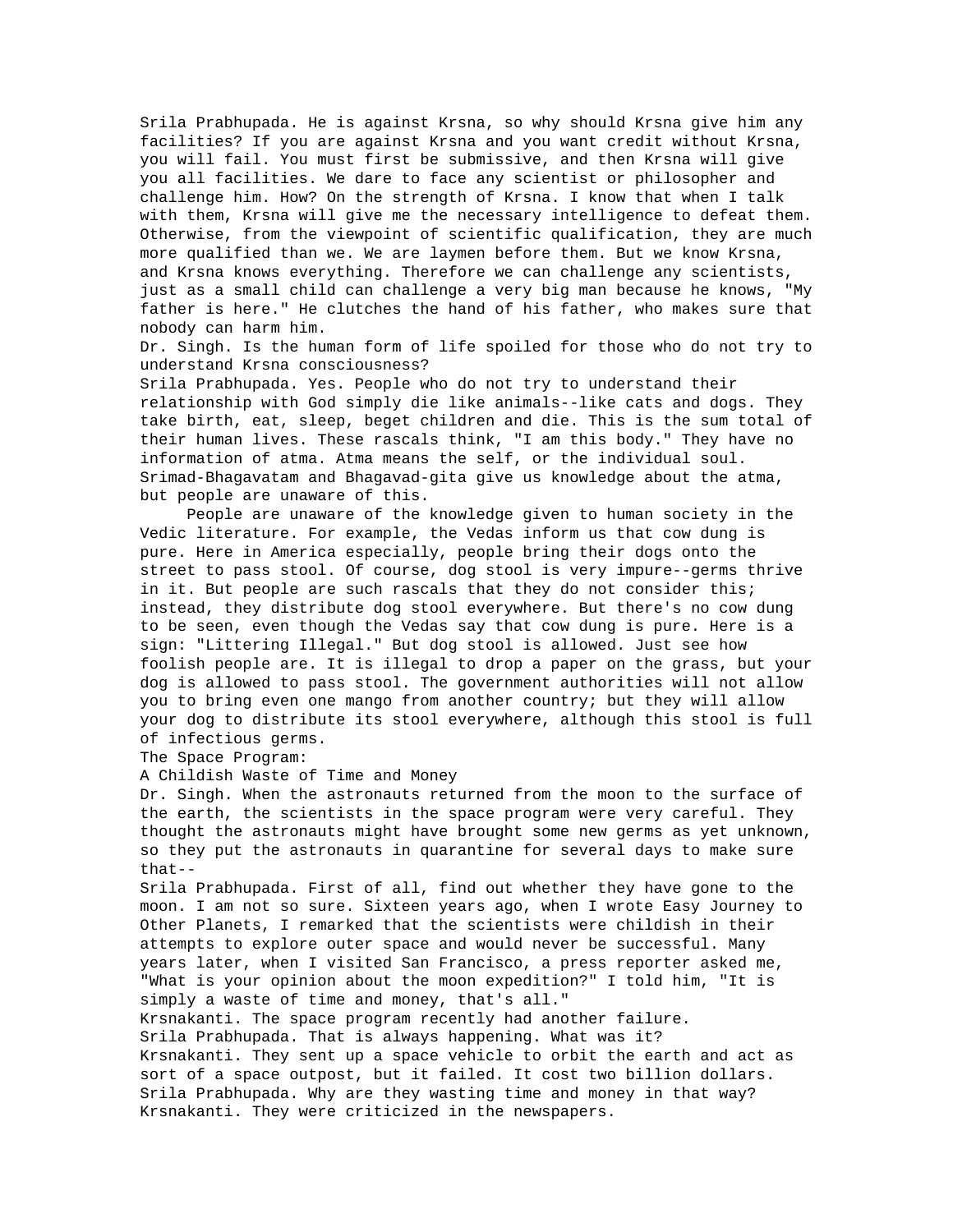Srila Prabhupada. He is against Krsna, so why should Krsna give him any facilities? If you are against Krsna and you want credit without Krsna, you will fail. You must first be submissive, and then Krsna will give you all facilities. We dare to face any scientist or philosopher and challenge him. How? On the strength of Krsna. I know that when I talk with them, Krsna will give me the necessary intelligence to defeat them. Otherwise, from the viewpoint of scientific qualification, they are much more qualified than we. We are laymen before them. But we know Krsna, and Krsna knows everything. Therefore we can challenge any scientists, just as a small child can challenge a very big man because he knows, "My father is here." He clutches the hand of his father, who makes sure that nobody can harm him.

Dr. Singh. Is the human form of life spoiled for those who do not try to understand Krsna consciousness?

Srila Prabhupada. Yes. People who do not try to understand their relationship with God simply die like animals--like cats and dogs. They take birth, eat, sleep, beget children and die. This is the sum total of their human lives. These rascals think, "I am this body." They have no information of atma. Atma means the self, or the individual soul. Srimad-Bhagavatam and Bhagavad-gita give us knowledge about the atma, but people are unaware of this.

 People are unaware of the knowledge given to human society in the Vedic literature. For example, the Vedas inform us that cow dung is pure. Here in America especially, people bring their dogs onto the street to pass stool. Of course, dog stool is very impure--germs thrive in it. But people are such rascals that they do not consider this; instead, they distribute dog stool everywhere. But there's no cow dung to be seen, even though the Vedas say that cow dung is pure. Here is a sign: "Littering Illegal." But dog stool is allowed. Just see how foolish people are. It is illegal to drop a paper on the grass, but your dog is allowed to pass stool. The government authorities will not allow you to bring even one mango from another country; but they will allow your dog to distribute its stool everywhere, although this stool is full of infectious germs.

The Space Program:

### A Childish Waste of Time and Money

Dr. Singh. When the astronauts returned from the moon to the surface of the earth, the scientists in the space program were very careful. They thought the astronauts might have brought some new germs as yet unknown, so they put the astronauts in quarantine for several days to make sure that--

Srila Prabhupada. First of all, find out whether they have gone to the moon. I am not so sure. Sixteen years ago, when I wrote Easy Journey to Other Planets, I remarked that the scientists were childish in their attempts to explore outer space and would never be successful. Many years later, when I visited San Francisco, a press reporter asked me, "What is your opinion about the moon expedition?" I told him, "It is simply a waste of time and money, that's all."

Krsnakanti. The space program recently had another failure. Srila Prabhupada. That is always happening. What was it? Krsnakanti. They sent up a space vehicle to orbit the earth and act as sort of a space outpost, but it failed. It cost two billion dollars. Srila Prabhupada. Why are they wasting time and money in that way? Krsnakanti. They were criticized in the newspapers.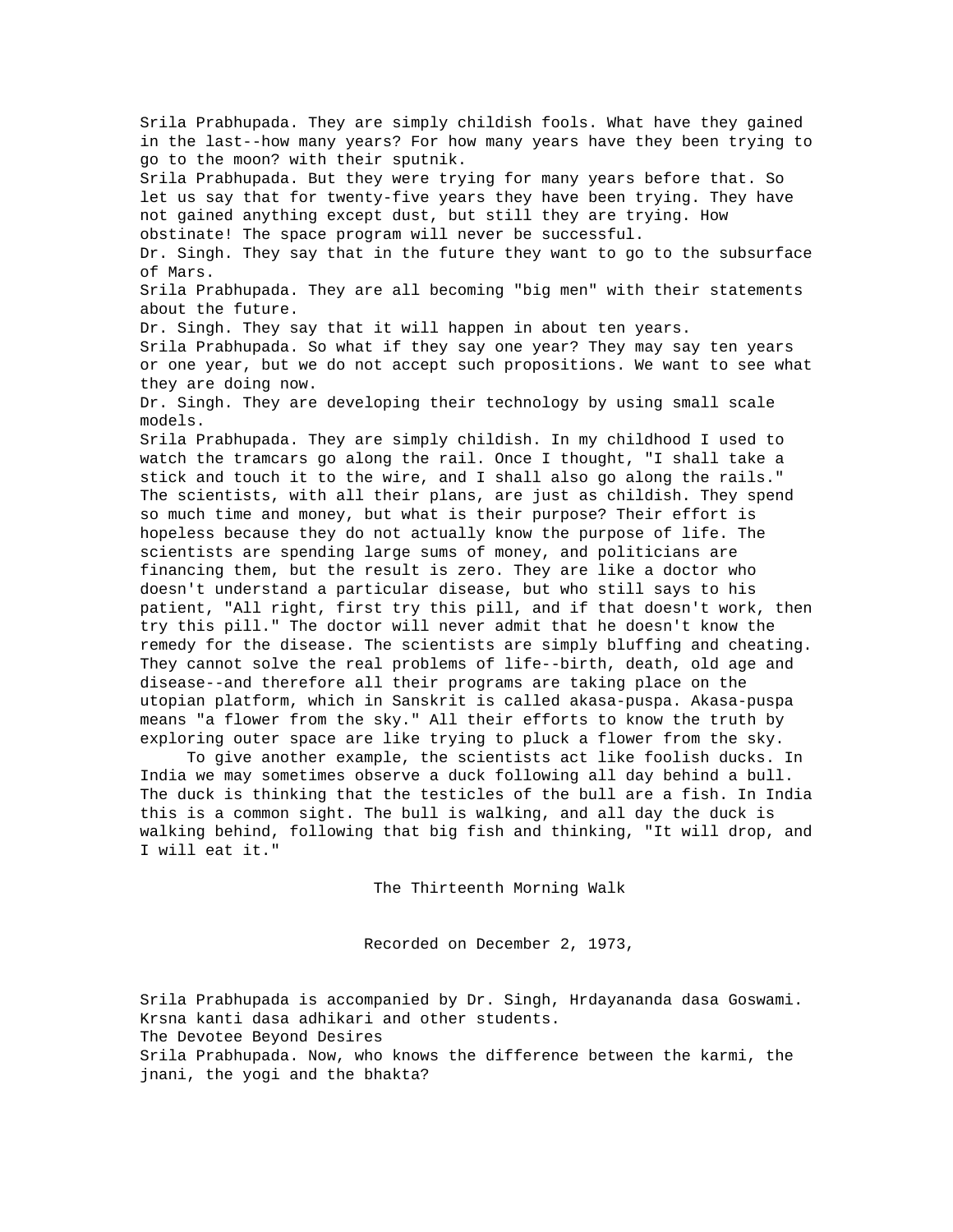Srila Prabhupada. They are simply childish fools. What have they gained in the last--how many years? For how many years have they been trying to go to the moon? with their sputnik. Srila Prabhupada. But they were trying for many years before that. So let us say that for twenty-five years they have been trying. They have not gained anything except dust, but still they are trying. How obstinate! The space program will never be successful. Dr. Singh. They say that in the future they want to go to the subsurface of Mars. Srila Prabhupada. They are all becoming "big men" with their statements about the future. Dr. Singh. They say that it will happen in about ten years. Srila Prabhupada. So what if they say one year? They may say ten years or one year, but we do not accept such propositions. We want to see what they are doing now. Dr. Singh. They are developing their technology by using small scale models. Srila Prabhupada. They are simply childish. In my childhood I used to watch the tramcars go along the rail. Once I thought, "I shall take a stick and touch it to the wire, and I shall also go along the rails." The scientists, with all their plans, are just as childish. They spend so much time and money, but what is their purpose? Their effort is hopeless because they do not actually know the purpose of life. The scientists are spending large sums of money, and politicians are financing them, but the result is zero. They are like a doctor who doesn't understand a particular disease, but who still says to his patient, "All right, first try this pill, and if that doesn't work, then try this pill." The doctor will never admit that he doesn't know the remedy for the disease. The scientists are simply bluffing and cheating. They cannot solve the real problems of life--birth, death, old age and disease--and therefore all their programs are taking place on the utopian platform, which in Sanskrit is called akasa-puspa. Akasa-puspa means "a flower from the sky." All their efforts to know the truth by exploring outer space are like trying to pluck a flower from the sky.

 To give another example, the scientists act like foolish ducks. In India we may sometimes observe a duck following all day behind a bull. The duck is thinking that the testicles of the bull are a fish. In India this is a common sight. The bull is walking, and all day the duck is walking behind, following that big fish and thinking, "It will drop, and I will eat it."

The Thirteenth Morning Walk

Recorded on December 2, 1973,

Srila Prabhupada is accompanied by Dr. Singh, Hrdayananda dasa Goswami. Krsna kanti dasa adhikari and other students. The Devotee Beyond Desires Srila Prabhupada. Now, who knows the difference between the karmi, the jnani, the yogi and the bhakta?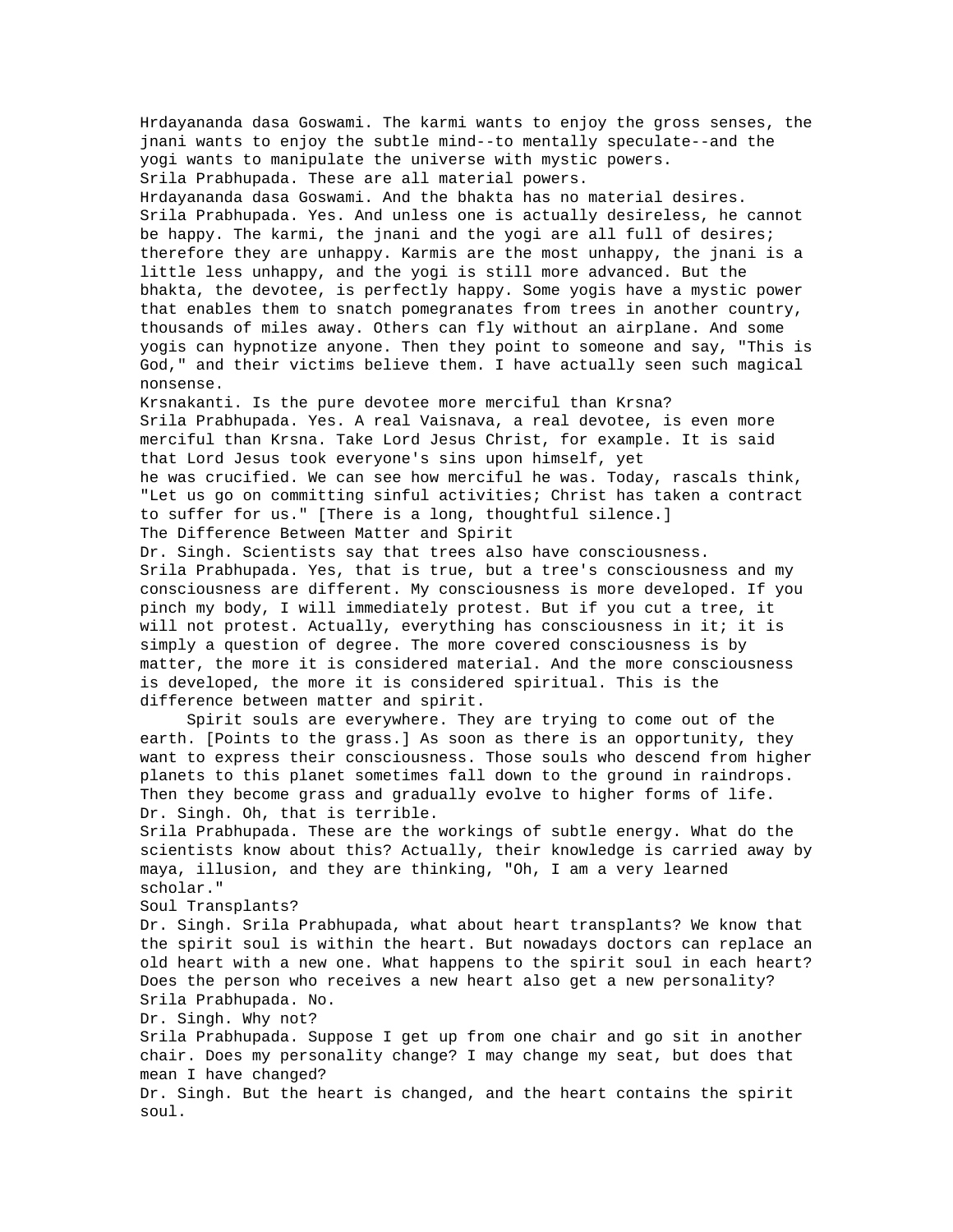Hrdayananda dasa Goswami. The karmi wants to enjoy the gross senses, the jnani wants to enjoy the subtle mind--to mentally speculate--and the yogi wants to manipulate the universe with mystic powers. Srila Prabhupada. These are all material powers. Hrdayananda dasa Goswami. And the bhakta has no material desires. Srila Prabhupada. Yes. And unless one is actually desireless, he cannot be happy. The karmi, the jnani and the yogi are all full of desires; therefore they are unhappy. Karmis are the most unhappy, the jnani is a little less unhappy, and the yogi is still more advanced. But the bhakta, the devotee, is perfectly happy. Some yogis have a mystic power that enables them to snatch pomegranates from trees in another country, thousands of miles away. Others can fly without an airplane. And some yogis can hypnotize anyone. Then they point to someone and say, "This is God," and their victims believe them. I have actually seen such magical nonsense. Krsnakanti. Is the pure devotee more merciful than Krsna? Srila Prabhupada. Yes. A real Vaisnava, a real devotee, is even more merciful than Krsna. Take Lord Jesus Christ, for example. It is said that Lord Jesus took everyone's sins upon himself, yet he was crucified. We can see how merciful he was. Today, rascals think, "Let us go on committing sinful activities; Christ has taken a contract to suffer for us." [There is a long, thoughtful silence.] The Difference Between Matter and Spirit Dr. Singh. Scientists say that trees also have consciousness. Srila Prabhupada. Yes, that is true, but a tree's consciousness and my consciousness are different. My consciousness is more developed. If you pinch my body, I will immediately protest. But if you cut a tree, it will not protest. Actually, everything has consciousness in it; it is simply a question of degree. The more covered consciousness is by matter, the more it is considered material. And the more consciousness is developed, the more it is considered spiritual. This is the difference between matter and spirit. Spirit souls are everywhere. They are trying to come out of the earth. [Points to the grass.] As soon as there is an opportunity, they want to express their consciousness. Those souls who descend from higher planets to this planet sometimes fall down to the ground in raindrops. Then they become grass and gradually evolve to higher forms of life. Dr. Singh. Oh, that is terrible. Srila Prabhupada. These are the workings of subtle energy. What do the scientists know about this? Actually, their knowledge is carried away by maya, illusion, and they are thinking, "Oh, I am a very learned scholar." Soul Transplants? Dr. Singh. Srila Prabhupada, what about heart transplants? We know that the spirit soul is within the heart. But nowadays doctors can replace an old heart with a new one. What happens to the spirit soul in each heart? Does the person who receives a new heart also get a new personality? Srila Prabhupada. No. Dr. Singh. Why not? Srila Prabhupada. Suppose I get up from one chair and go sit in another chair. Does my personality change? I may change my seat, but does that mean I have changed? Dr. Singh. But the heart is changed, and the heart contains the spirit soul.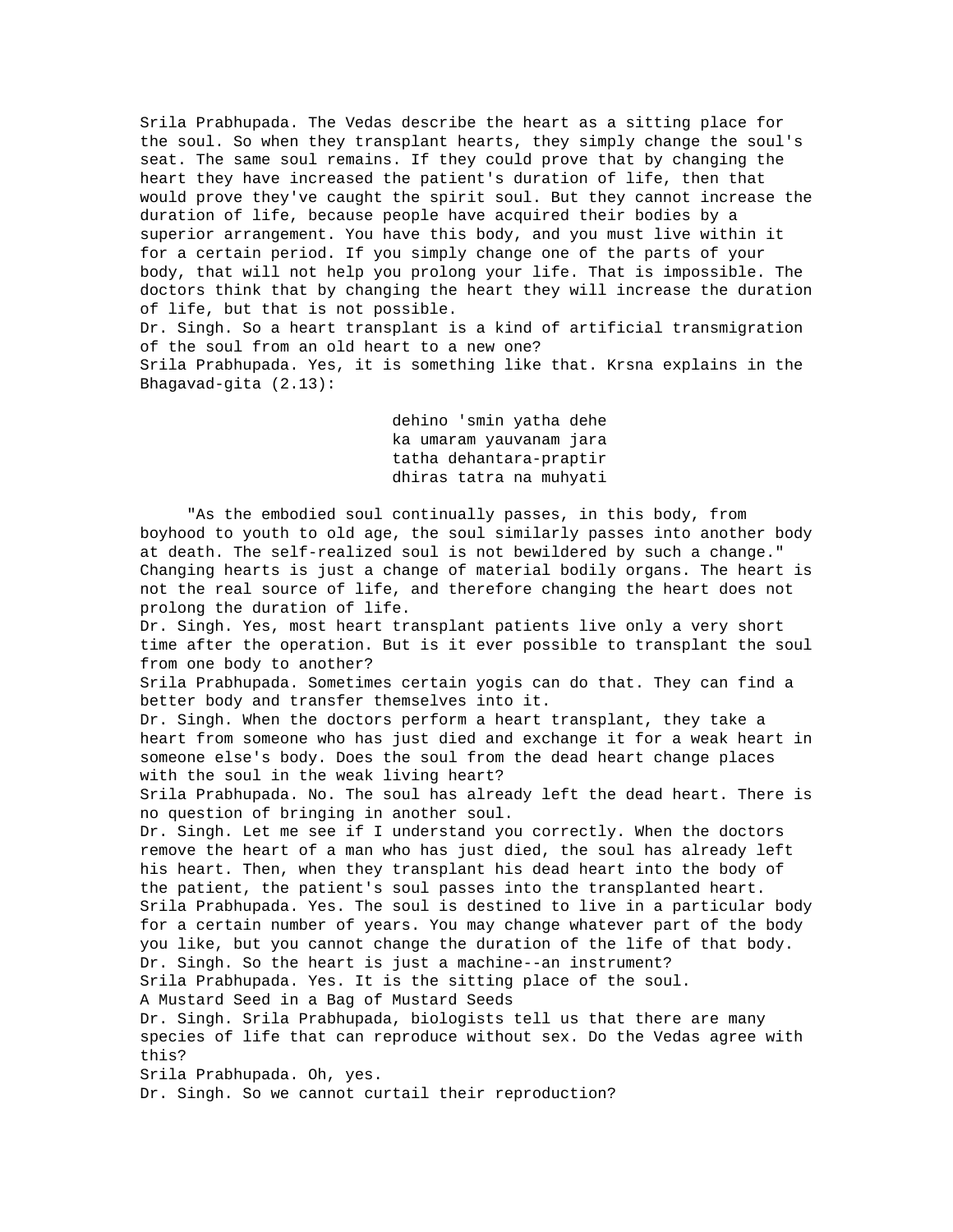Srila Prabhupada. The Vedas describe the heart as a sitting place for the soul. So when they transplant hearts, they simply change the soul's seat. The same soul remains. If they could prove that by changing the heart they have increased the patient's duration of life, then that would prove they've caught the spirit soul. But they cannot increase the duration of life, because people have acquired their bodies by a superior arrangement. You have this body, and you must live within it for a certain period. If you simply change one of the parts of your body, that will not help you prolong your life. That is impossible. The doctors think that by changing the heart they will increase the duration of life, but that is not possible. Dr. Singh. So a heart transplant is a kind of artificial transmigration of the soul from an old heart to a new one?

Srila Prabhupada. Yes, it is something like that. Krsna explains in the Bhagavad-gita (2.13):

> dehino 'smin yatha dehe ka umaram yauvanam jara tatha dehantara-praptir dhiras tatra na muhyati

 "As the embodied soul continually passes, in this body, from boyhood to youth to old age, the soul similarly passes into another body at death. The self-realized soul is not bewildered by such a change." Changing hearts is just a change of material bodily organs. The heart is not the real source of life, and therefore changing the heart does not prolong the duration of life.

Dr. Singh. Yes, most heart transplant patients live only a very short time after the operation. But is it ever possible to transplant the soul from one body to another?

Srila Prabhupada. Sometimes certain yogis can do that. They can find a better body and transfer themselves into it.

Dr. Singh. When the doctors perform a heart transplant, they take a heart from someone who has just died and exchange it for a weak heart in someone else's body. Does the soul from the dead heart change places with the soul in the weak living heart?

Srila Prabhupada. No. The soul has already left the dead heart. There is no question of bringing in another soul.

Dr. Singh. Let me see if I understand you correctly. When the doctors remove the heart of a man who has just died, the soul has already left his heart. Then, when they transplant his dead heart into the body of the patient, the patient's soul passes into the transplanted heart. Srila Prabhupada. Yes. The soul is destined to live in a particular body for a certain number of years. You may change whatever part of the body you like, but you cannot change the duration of the life of that body. Dr. Singh. So the heart is just a machine--an instrument? Srila Prabhupada. Yes. It is the sitting place of the soul. A Mustard Seed in a Bag of Mustard Seeds

Dr. Singh. Srila Prabhupada, biologists tell us that there are many species of life that can reproduce without sex. Do the Vedas agree with this?

Srila Prabhupada. Oh, yes.

Dr. Singh. So we cannot curtail their reproduction?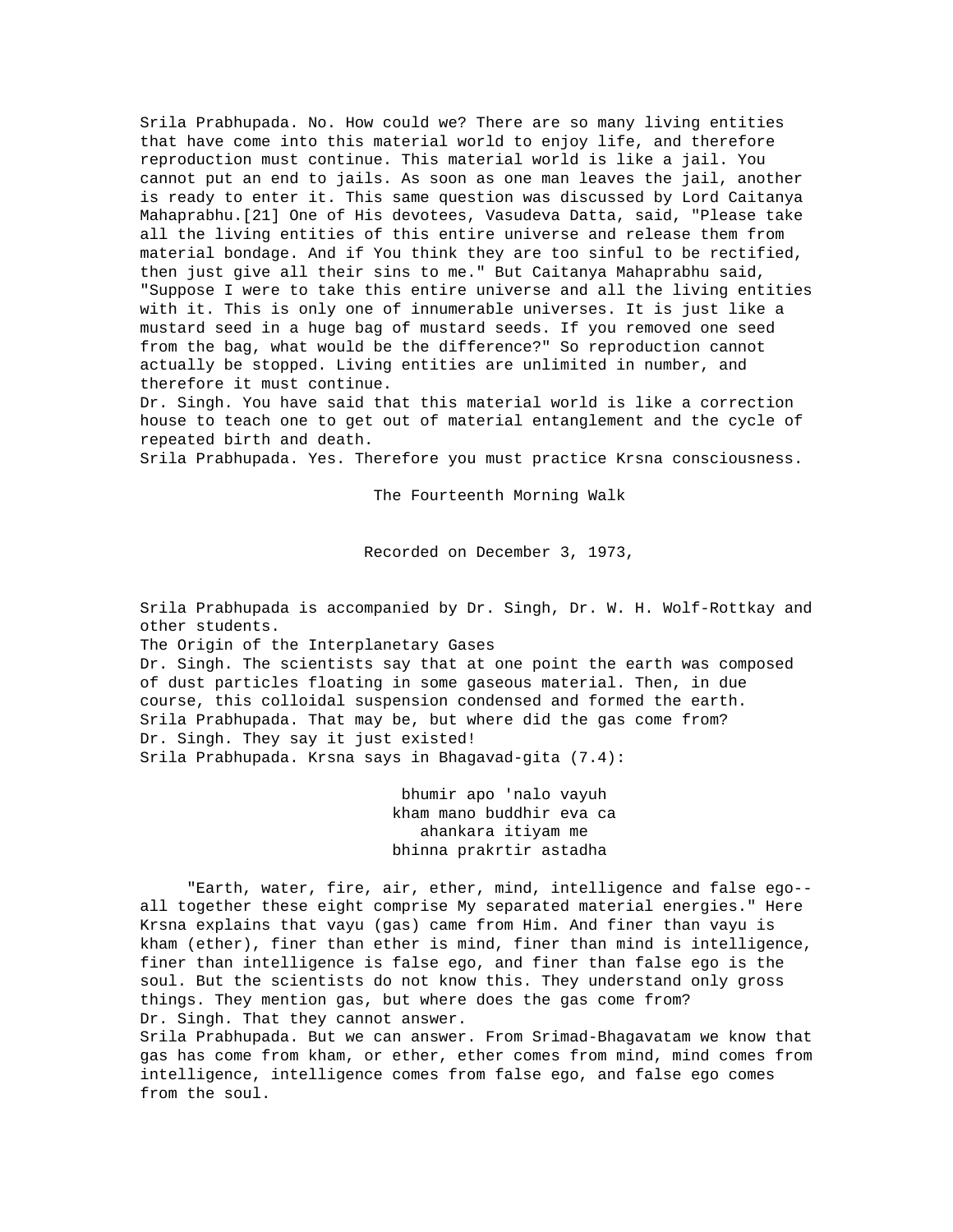Srila Prabhupada. No. How could we? There are so many living entities that have come into this material world to enjoy life, and therefore reproduction must continue. This material world is like a jail. You cannot put an end to jails. As soon as one man leaves the jail, another is ready to enter it. This same question was discussed by Lord Caitanya Mahaprabhu.[21] One of His devotees, Vasudeva Datta, said, "Please take all the living entities of this entire universe and release them from material bondage. And if You think they are too sinful to be rectified, then just give all their sins to me." But Caitanya Mahaprabhu said, "Suppose I were to take this entire universe and all the living entities with it. This is only one of innumerable universes. It is just like a mustard seed in a huge bag of mustard seeds. If you removed one seed from the bag, what would be the difference?" So reproduction cannot actually be stopped. Living entities are unlimited in number, and therefore it must continue.

Dr. Singh. You have said that this material world is like a correction house to teach one to get out of material entanglement and the cycle of repeated birth and death.

Srila Prabhupada. Yes. Therefore you must practice Krsna consciousness.

The Fourteenth Morning Walk

Recorded on December 3, 1973,

Srila Prabhupada is accompanied by Dr. Singh, Dr. W. H. Wolf-Rottkay and other students.

The Origin of the Interplanetary Gases

Dr. Singh. The scientists say that at one point the earth was composed of dust particles floating in some gaseous material. Then, in due course, this colloidal suspension condensed and formed the earth. Srila Prabhupada. That may be, but where did the gas come from? Dr. Singh. They say it just existed! Srila Prabhupada. Krsna says in Bhagavad-gita (7.4):

> bhumir apo 'nalo vayuh kham mano buddhir eva ca ahankara itiyam me bhinna prakrtir astadha

 "Earth, water, fire, air, ether, mind, intelligence and false ego- all together these eight comprise My separated material energies." Here Krsna explains that vayu (gas) came from Him. And finer than vayu is kham (ether), finer than ether is mind, finer than mind is intelligence, finer than intelligence is false ego, and finer than false ego is the soul. But the scientists do not know this. They understand only gross things. They mention gas, but where does the gas come from? Dr. Singh. That they cannot answer.

Srila Prabhupada. But we can answer. From Srimad-Bhagavatam we know that gas has come from kham, or ether, ether comes from mind, mind comes from intelligence, intelligence comes from false ego, and false ego comes from the soul.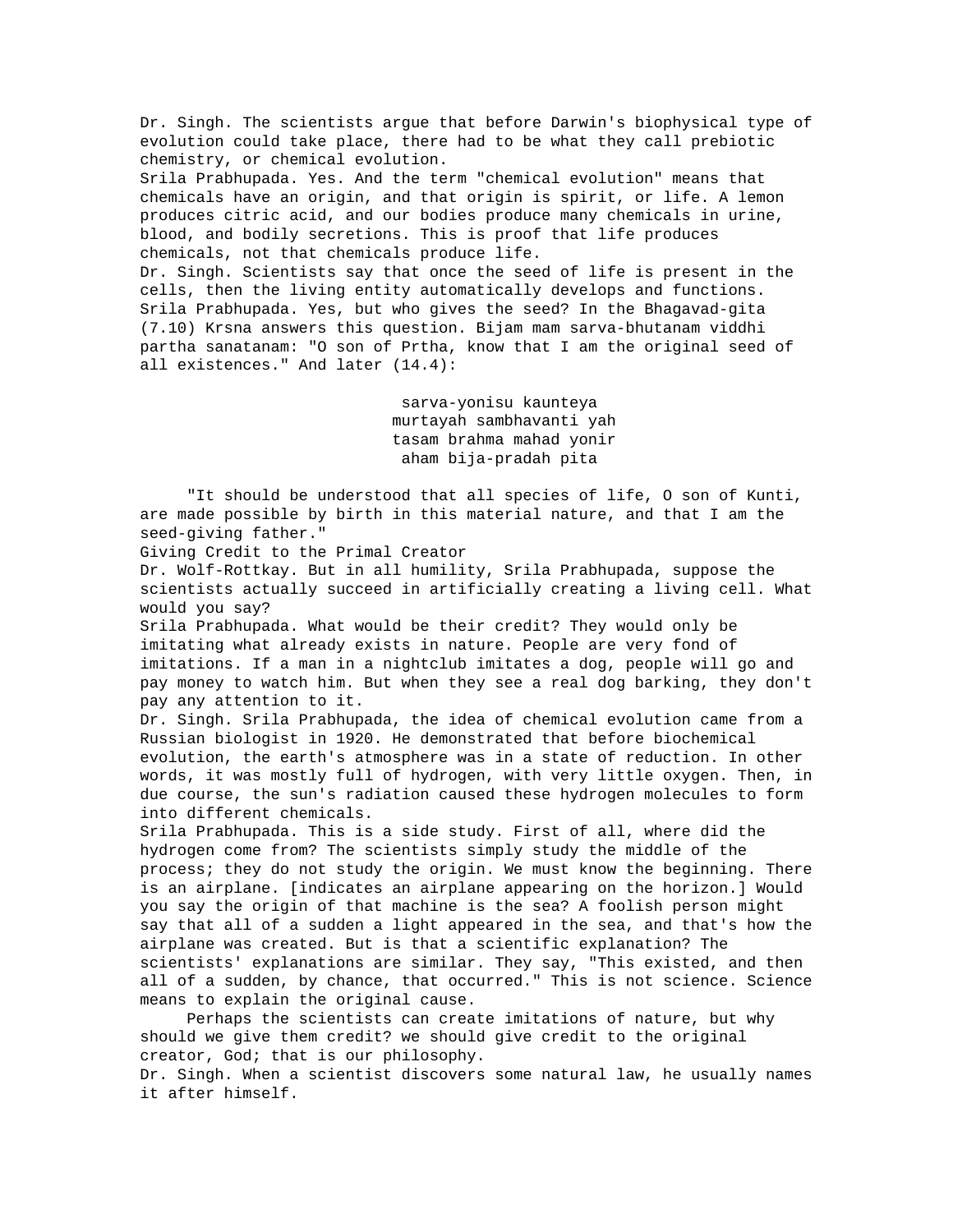Dr. Singh. The scientists argue that before Darwin's biophysical type of evolution could take place, there had to be what they call prebiotic chemistry, or chemical evolution.

Srila Prabhupada. Yes. And the term "chemical evolution" means that chemicals have an origin, and that origin is spirit, or life. A lemon produces citric acid, and our bodies produce many chemicals in urine, blood, and bodily secretions. This is proof that life produces chemicals, not that chemicals produce life.

Dr. Singh. Scientists say that once the seed of life is present in the cells, then the living entity automatically develops and functions. Srila Prabhupada. Yes, but who gives the seed? In the Bhagavad-gita (7.10) Krsna answers this question. Bijam mam sarva-bhutanam viddhi partha sanatanam: "O son of Prtha, know that I am the original seed of all existences." And later (14.4):

> sarva-yonisu kaunteya murtayah sambhavanti yah tasam brahma mahad yonir aham bija-pradah pita

 "It should be understood that all species of life, O son of Kunti, are made possible by birth in this material nature, and that I am the seed-giving father."

Giving Credit to the Primal Creator

Dr. Wolf-Rottkay. But in all humility, Srila Prabhupada, suppose the scientists actually succeed in artificially creating a living cell. What would you say?

Srila Prabhupada. What would be their credit? They would only be imitating what already exists in nature. People are very fond of imitations. If a man in a nightclub imitates a dog, people will go and pay money to watch him. But when they see a real dog barking, they don't pay any attention to it.

Dr. Singh. Srila Prabhupada, the idea of chemical evolution came from a Russian biologist in 1920. He demonstrated that before biochemical evolution, the earth's atmosphere was in a state of reduction. In other words, it was mostly full of hydrogen, with very little oxygen. Then, in due course, the sun's radiation caused these hydrogen molecules to form into different chemicals.

Srila Prabhupada. This is a side study. First of all, where did the hydrogen come from? The scientists simply study the middle of the process; they do not study the origin. We must know the beginning. There is an airplane. [indicates an airplane appearing on the horizon.] Would you say the origin of that machine is the sea? A foolish person might say that all of a sudden a light appeared in the sea, and that's how the airplane was created. But is that a scientific explanation? The scientists' explanations are similar. They say, "This existed, and then all of a sudden, by chance, that occurred." This is not science. Science means to explain the original cause.

 Perhaps the scientists can create imitations of nature, but why should we give them credit? we should give credit to the original creator, God; that is our philosophy.

Dr. Singh. When a scientist discovers some natural law, he usually names it after himself.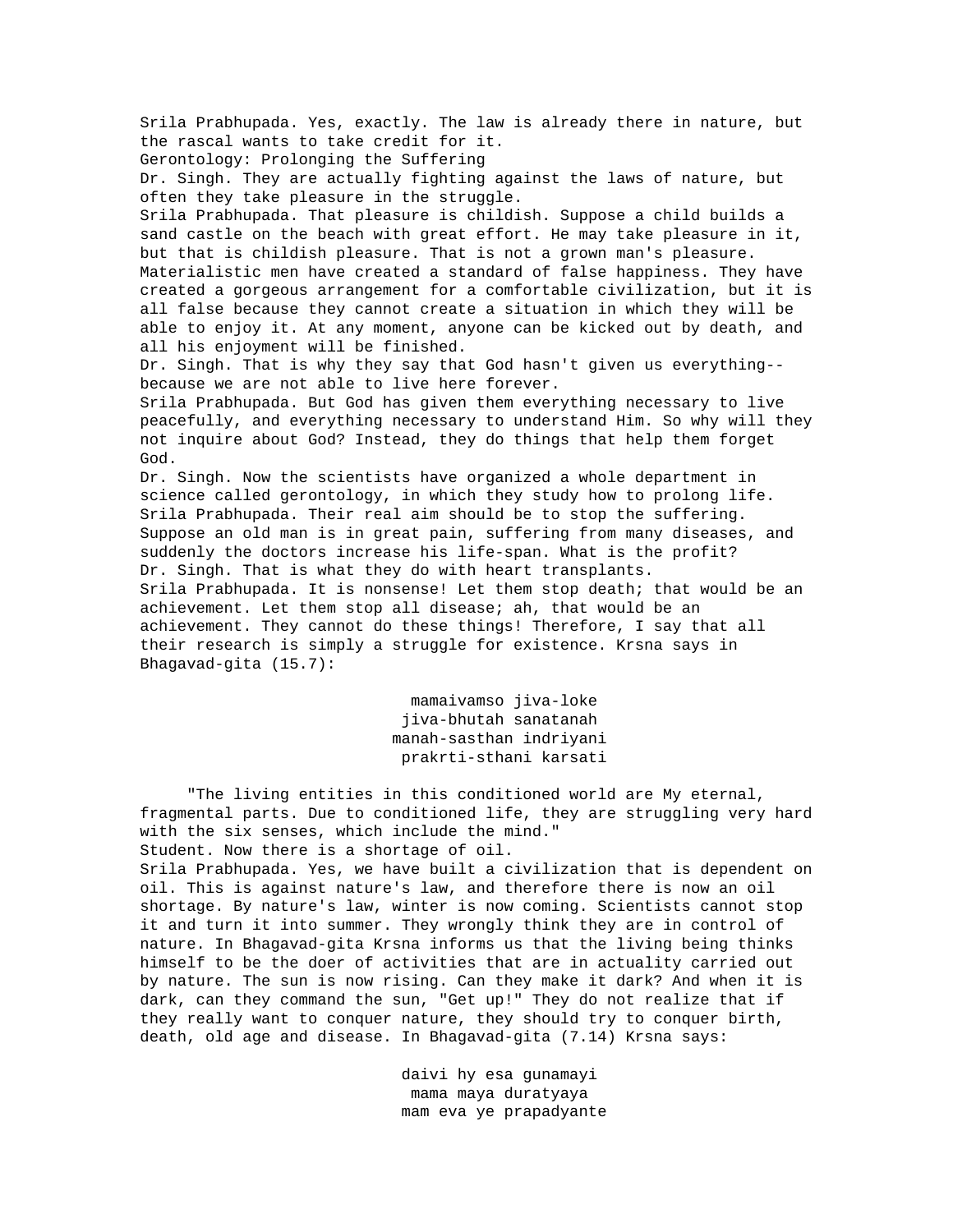Srila Prabhupada. Yes, exactly. The law is already there in nature, but the rascal wants to take credit for it. Gerontology: Prolonging the Suffering Dr. Singh. They are actually fighting against the laws of nature, but often they take pleasure in the struggle. Srila Prabhupada. That pleasure is childish. Suppose a child builds a sand castle on the beach with great effort. He may take pleasure in it, but that is childish pleasure. That is not a grown man's pleasure. Materialistic men have created a standard of false happiness. They have created a gorgeous arrangement for a comfortable civilization, but it is all false because they cannot create a situation in which they will be able to enjoy it. At any moment, anyone can be kicked out by death, and all his enjoyment will be finished. Dr. Singh. That is why they say that God hasn't given us everything- because we are not able to live here forever. Srila Prabhupada. But God has given them everything necessary to live peacefully, and everything necessary to understand Him. So why will they not inquire about God? Instead, they do things that help them forget God. Dr. Singh. Now the scientists have organized a whole department in science called gerontology, in which they study how to prolong life. Srila Prabhupada. Their real aim should be to stop the suffering. Suppose an old man is in great pain, suffering from many diseases, and suddenly the doctors increase his life-span. What is the profit? Dr. Singh. That is what they do with heart transplants. Srila Prabhupada. It is nonsense! Let them stop death; that would be an achievement. Let them stop all disease; ah, that would be an achievement. They cannot do these things! Therefore, I say that all their research is simply a struggle for existence. Krsna says in Bhagavad-gita (15.7):

> mamaivamso jiva-loke jiva-bhutah sanatanah manah-sasthan indriyani prakrti-sthani karsati

 "The living entities in this conditioned world are My eternal, fragmental parts. Due to conditioned life, they are struggling very hard with the six senses, which include the mind." Student. Now there is a shortage of oil.

Srila Prabhupada. Yes, we have built a civilization that is dependent on oil. This is against nature's law, and therefore there is now an oil shortage. By nature's law, winter is now coming. Scientists cannot stop it and turn it into summer. They wrongly think they are in control of nature. In Bhagavad-gita Krsna informs us that the living being thinks himself to be the doer of activities that are in actuality carried out by nature. The sun is now rising. Can they make it dark? And when it is dark, can they command the sun, "Get up!" They do not realize that if they really want to conquer nature, they should try to conquer birth, death, old age and disease. In Bhagavad-gita (7.14) Krsna says:

> daivi hy esa gunamayi mama maya duratyaya mam eva ye prapadyante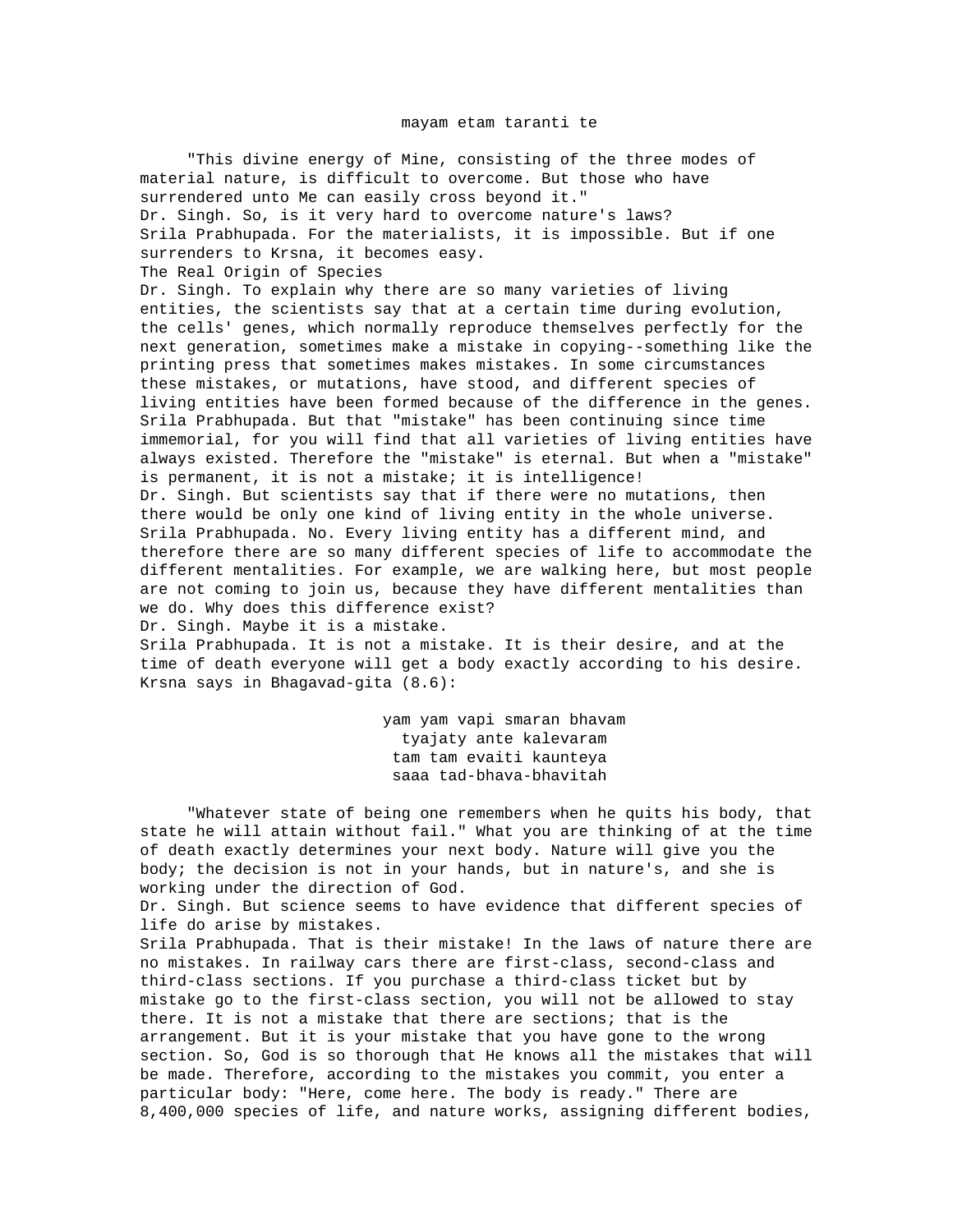### mayam etam taranti te

 "This divine energy of Mine, consisting of the three modes of material nature, is difficult to overcome. But those who have surrendered unto Me can easily cross beyond it." Dr. Singh. So, is it very hard to overcome nature's laws? Srila Prabhupada. For the materialists, it is impossible. But if one surrenders to Krsna, it becomes easy. The Real Origin of Species Dr. Singh. To explain why there are so many varieties of living entities, the scientists say that at a certain time during evolution, the cells' genes, which normally reproduce themselves perfectly for the next generation, sometimes make a mistake in copying--something like the printing press that sometimes makes mistakes. In some circumstances these mistakes, or mutations, have stood, and different species of living entities have been formed because of the difference in the genes. Srila Prabhupada. But that "mistake" has been continuing since time immemorial, for you will find that all varieties of living entities have always existed. Therefore the "mistake" is eternal. But when a "mistake" is permanent, it is not a mistake; it is intelligence! Dr. Singh. But scientists say that if there were no mutations, then there would be only one kind of living entity in the whole universe. Srila Prabhupada. No. Every living entity has a different mind, and therefore there are so many different species of life to accommodate the different mentalities. For example, we are walking here, but most people are not coming to join us, because they have different mentalities than we do. Why does this difference exist? Dr. Singh. Maybe it is a mistake.

Srila Prabhupada. It is not a mistake. It is their desire, and at the time of death everyone will get a body exactly according to his desire. Krsna says in Bhagavad-gita (8.6):

> yam yam vapi smaran bhavam tyajaty ante kalevaram tam tam evaiti kaunteya saaa tad-bhava-bhavitah

 "Whatever state of being one remembers when he quits his body, that state he will attain without fail." What you are thinking of at the time of death exactly determines your next body. Nature will give you the body; the decision is not in your hands, but in nature's, and she is working under the direction of God.

Dr. Singh. But science seems to have evidence that different species of life do arise by mistakes.

Srila Prabhupada. That is their mistake! In the laws of nature there are no mistakes. In railway cars there are first-class, second-class and third-class sections. If you purchase a third-class ticket but by mistake go to the first-class section, you will not be allowed to stay there. It is not a mistake that there are sections; that is the arrangement. But it is your mistake that you have gone to the wrong section. So, God is so thorough that He knows all the mistakes that will be made. Therefore, according to the mistakes you commit, you enter a particular body: "Here, come here. The body is ready." There are 8,400,000 species of life, and nature works, assigning different bodies,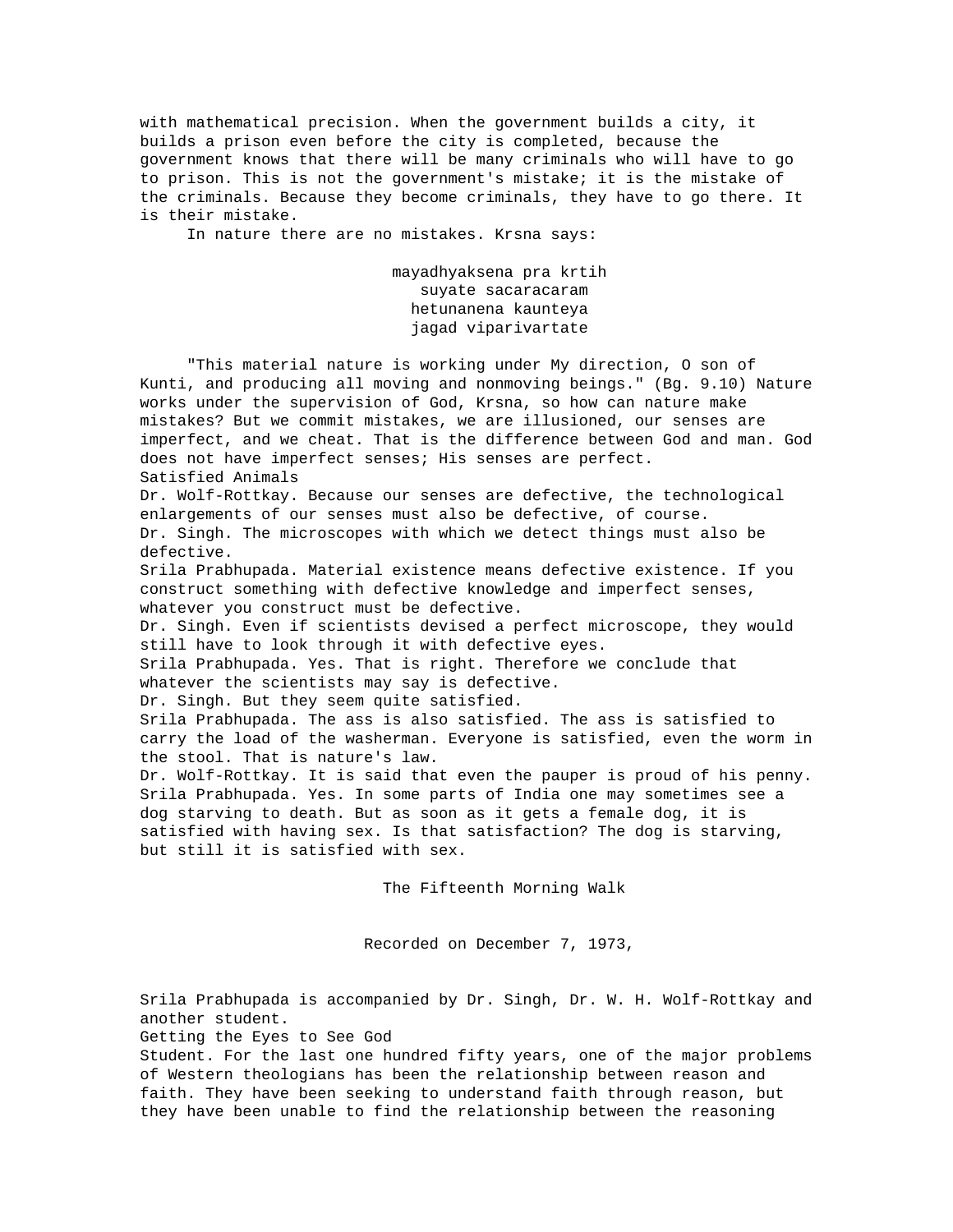with mathematical precision. When the government builds a city, it builds a prison even before the city is completed, because the government knows that there will be many criminals who will have to go to prison. This is not the government's mistake; it is the mistake of the criminals. Because they become criminals, they have to go there. It is their mistake.

In nature there are no mistakes. Krsna says:

 mayadhyaksena pra krtih suyate sacaracaram hetunanena kaunteya jagad viparivartate

 "This material nature is working under My direction, O son of Kunti, and producing all moving and nonmoving beings." (Bg. 9.10) Nature works under the supervision of God, Krsna, so how can nature make mistakes? But we commit mistakes, we are illusioned, our senses are imperfect, and we cheat. That is the difference between God and man. God does not have imperfect senses; His senses are perfect. Satisfied Animals

Dr. Wolf-Rottkay. Because our senses are defective, the technological enlargements of our senses must also be defective, of course. Dr. Singh. The microscopes with which we detect things must also be defective.

Srila Prabhupada. Material existence means defective existence. If you construct something with defective knowledge and imperfect senses, whatever you construct must be defective.

Dr. Singh. Even if scientists devised a perfect microscope, they would still have to look through it with defective eyes.

Srila Prabhupada. Yes. That is right. Therefore we conclude that whatever the scientists may say is defective.

Dr. Singh. But they seem quite satisfied.

Srila Prabhupada. The ass is also satisfied. The ass is satisfied to carry the load of the washerman. Everyone is satisfied, even the worm in the stool. That is nature's law.

Dr. Wolf-Rottkay. It is said that even the pauper is proud of his penny. Srila Prabhupada. Yes. In some parts of India one may sometimes see a dog starving to death. But as soon as it gets a female dog, it is satisfied with having sex. Is that satisfaction? The dog is starving, but still it is satisfied with sex.

The Fifteenth Morning Walk

Recorded on December 7, 1973,

Srila Prabhupada is accompanied by Dr. Singh, Dr. W. H. Wolf-Rottkay and another student.

Getting the Eyes to See God

Student. For the last one hundred fifty years, one of the major problems of Western theologians has been the relationship between reason and faith. They have been seeking to understand faith through reason, but they have been unable to find the relationship between the reasoning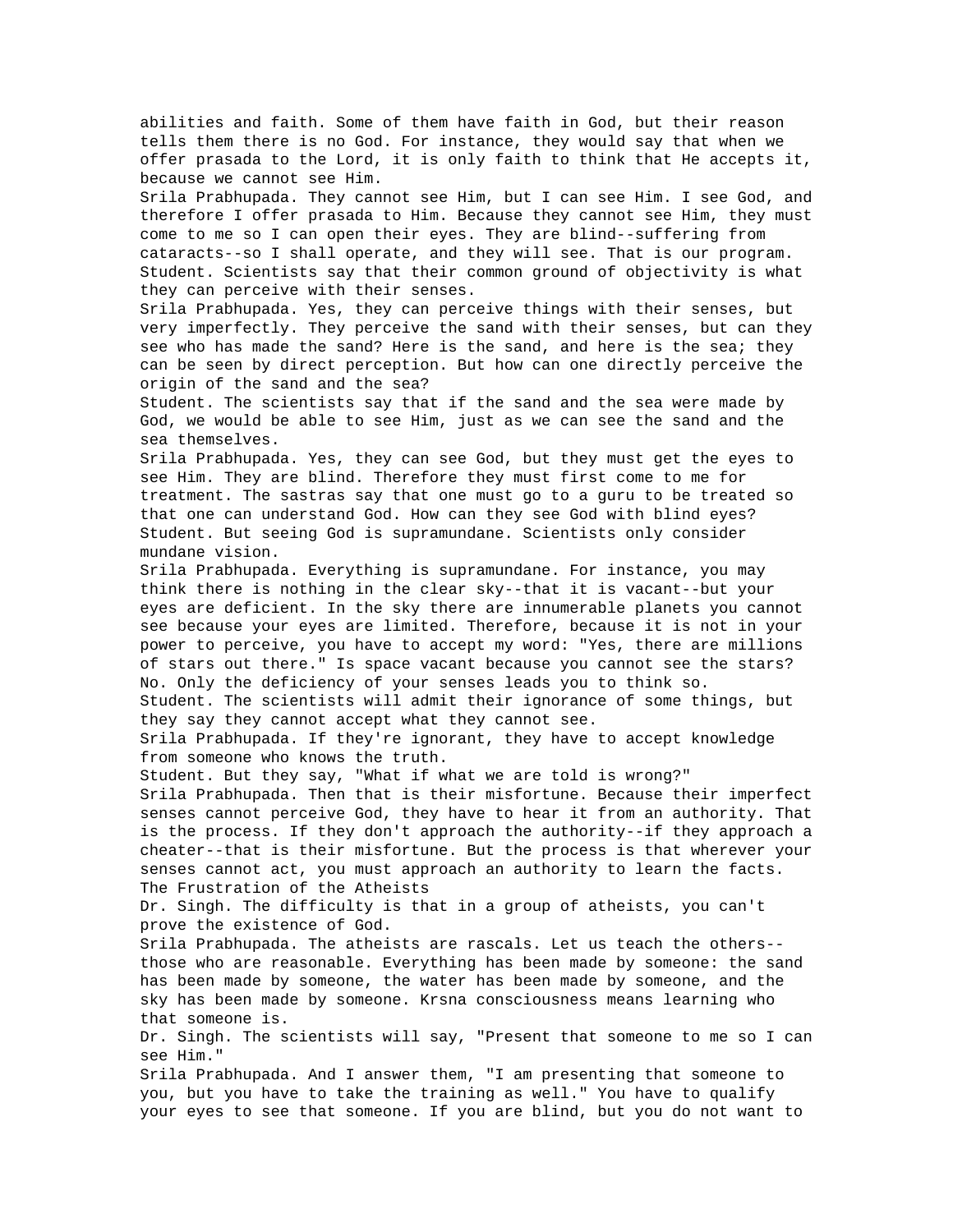abilities and faith. Some of them have faith in God, but their reason tells them there is no God. For instance, they would say that when we offer prasada to the Lord, it is only faith to think that He accepts it, because we cannot see Him.

Srila Prabhupada. They cannot see Him, but I can see Him. I see God, and therefore I offer prasada to Him. Because they cannot see Him, they must come to me so I can open their eyes. They are blind--suffering from cataracts--so I shall operate, and they will see. That is our program. Student. Scientists say that their common ground of objectivity is what they can perceive with their senses.

Srila Prabhupada. Yes, they can perceive things with their senses, but very imperfectly. They perceive the sand with their senses, but can they see who has made the sand? Here is the sand, and here is the sea; they can be seen by direct perception. But how can one directly perceive the origin of the sand and the sea?

Student. The scientists say that if the sand and the sea were made by God, we would be able to see Him, just as we can see the sand and the sea themselves.

Srila Prabhupada. Yes, they can see God, but they must get the eyes to see Him. They are blind. Therefore they must first come to me for treatment. The sastras say that one must go to a guru to be treated so that one can understand God. How can they see God with blind eyes? Student. But seeing God is supramundane. Scientists only consider mundane vision.

Srila Prabhupada. Everything is supramundane. For instance, you may think there is nothing in the clear sky--that it is vacant--but your eyes are deficient. In the sky there are innumerable planets you cannot see because your eyes are limited. Therefore, because it is not in your power to perceive, you have to accept my word: "Yes, there are millions of stars out there." Is space vacant because you cannot see the stars? No. Only the deficiency of your senses leads you to think so. Student. The scientists will admit their ignorance of some things, but

they say they cannot accept what they cannot see.

Srila Prabhupada. If they're ignorant, they have to accept knowledge from someone who knows the truth.

Student. But they say, "What if what we are told is wrong?"

Srila Prabhupada. Then that is their misfortune. Because their imperfect senses cannot perceive God, they have to hear it from an authority. That is the process. If they don't approach the authority--if they approach a cheater--that is their misfortune. But the process is that wherever your senses cannot act, you must approach an authority to learn the facts. The Frustration of the Atheists

Dr. Singh. The difficulty is that in a group of atheists, you can't prove the existence of God.

Srila Prabhupada. The atheists are rascals. Let us teach the others- those who are reasonable. Everything has been made by someone: the sand has been made by someone, the water has been made by someone, and the sky has been made by someone. Krsna consciousness means learning who that someone is.

Dr. Singh. The scientists will say, "Present that someone to me so I can see Him."

Srila Prabhupada. And I answer them, "I am presenting that someone to you, but you have to take the training as well." You have to qualify your eyes to see that someone. If you are blind, but you do not want to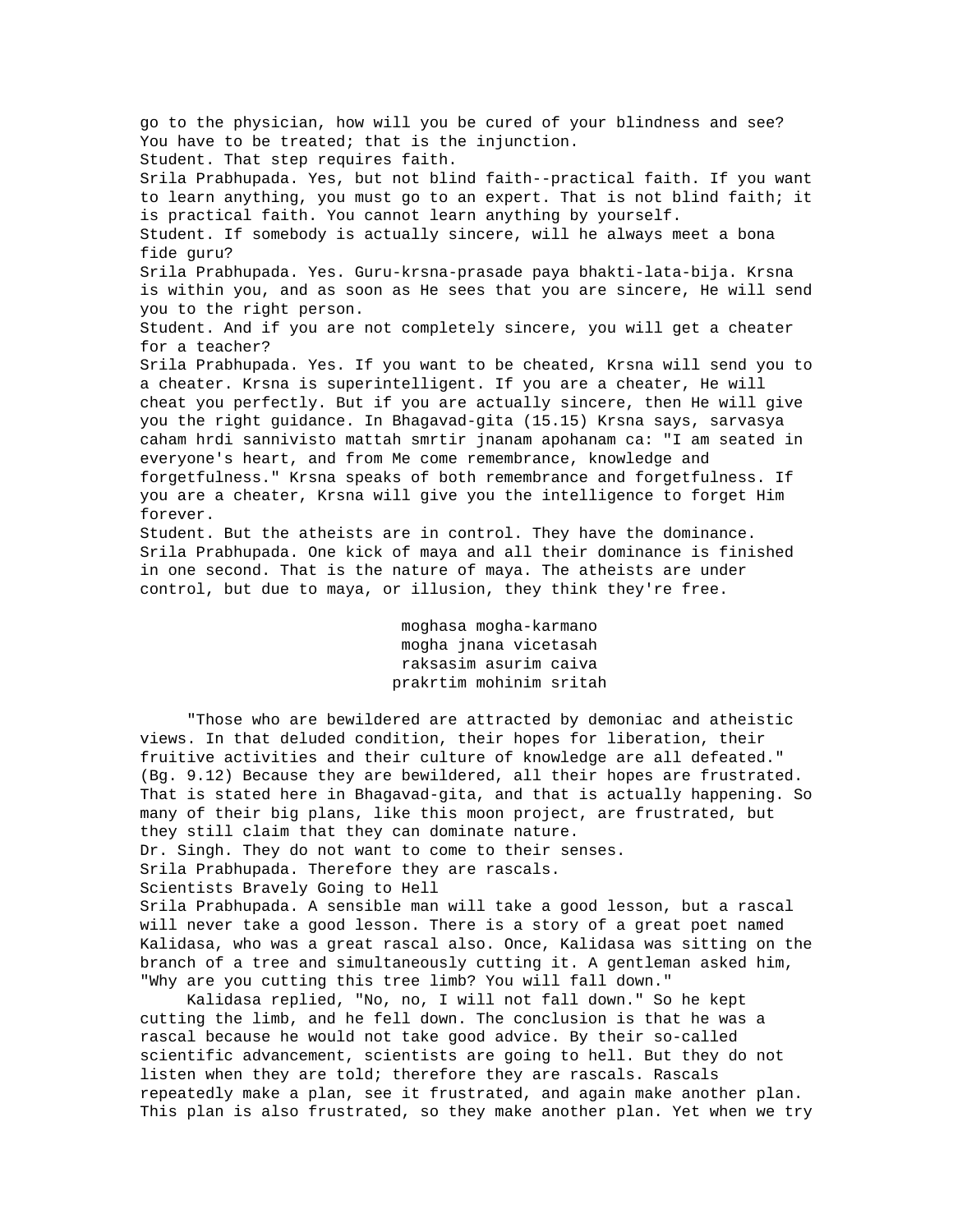go to the physician, how will you be cured of your blindness and see? You have to be treated; that is the injunction. Student. That step requires faith. Srila Prabhupada. Yes, but not blind faith--practical faith. If you want to learn anything, you must go to an expert. That is not blind faith; it is practical faith. You cannot learn anything by yourself. Student. If somebody is actually sincere, will he always meet a bona fide guru? Srila Prabhupada. Yes. Guru-krsna-prasade paya bhakti-lata-bija. Krsna is within you, and as soon as He sees that you are sincere, He will send you to the right person. Student. And if you are not completely sincere, you will get a cheater for a teacher? Srila Prabhupada. Yes. If you want to be cheated, Krsna will send you to a cheater. Krsna is superintelligent. If you are a cheater, He will cheat you perfectly. But if you are actually sincere, then He will give you the right guidance. In Bhagavad-gita (15.15) Krsna says, sarvasya caham hrdi sannivisto mattah smrtir jnanam apohanam ca: "I am seated in everyone's heart, and from Me come remembrance, knowledge and forgetfulness." Krsna speaks of both remembrance and forgetfulness. If you are a cheater, Krsna will give you the intelligence to forget Him forever. Student. But the atheists are in control. They have the dominance.

Srila Prabhupada. One kick of maya and all their dominance is finished in one second. That is the nature of maya. The atheists are under control, but due to maya, or illusion, they think they're free.

> moghasa mogha-karmano mogha jnana vicetasah raksasim asurim caiva prakrtim mohinim sritah

 "Those who are bewildered are attracted by demoniac and atheistic views. In that deluded condition, their hopes for liberation, their fruitive activities and their culture of knowledge are all defeated." (Bg. 9.12) Because they are bewildered, all their hopes are frustrated. That is stated here in Bhagavad-gita, and that is actually happening. So many of their big plans, like this moon project, are frustrated, but they still claim that they can dominate nature. Dr. Singh. They do not want to come to their senses. Srila Prabhupada. Therefore they are rascals.

Scientists Bravely Going to Hell

Srila Prabhupada. A sensible man will take a good lesson, but a rascal will never take a good lesson. There is a story of a great poet named Kalidasa, who was a great rascal also. Once, Kalidasa was sitting on the branch of a tree and simultaneously cutting it. A gentleman asked him, "Why are you cutting this tree limb? You will fall down."

 Kalidasa replied, "No, no, I will not fall down." So he kept cutting the limb, and he fell down. The conclusion is that he was a rascal because he would not take good advice. By their so-called scientific advancement, scientists are going to hell. But they do not listen when they are told; therefore they are rascals. Rascals repeatedly make a plan, see it frustrated, and again make another plan. This plan is also frustrated, so they make another plan. Yet when we try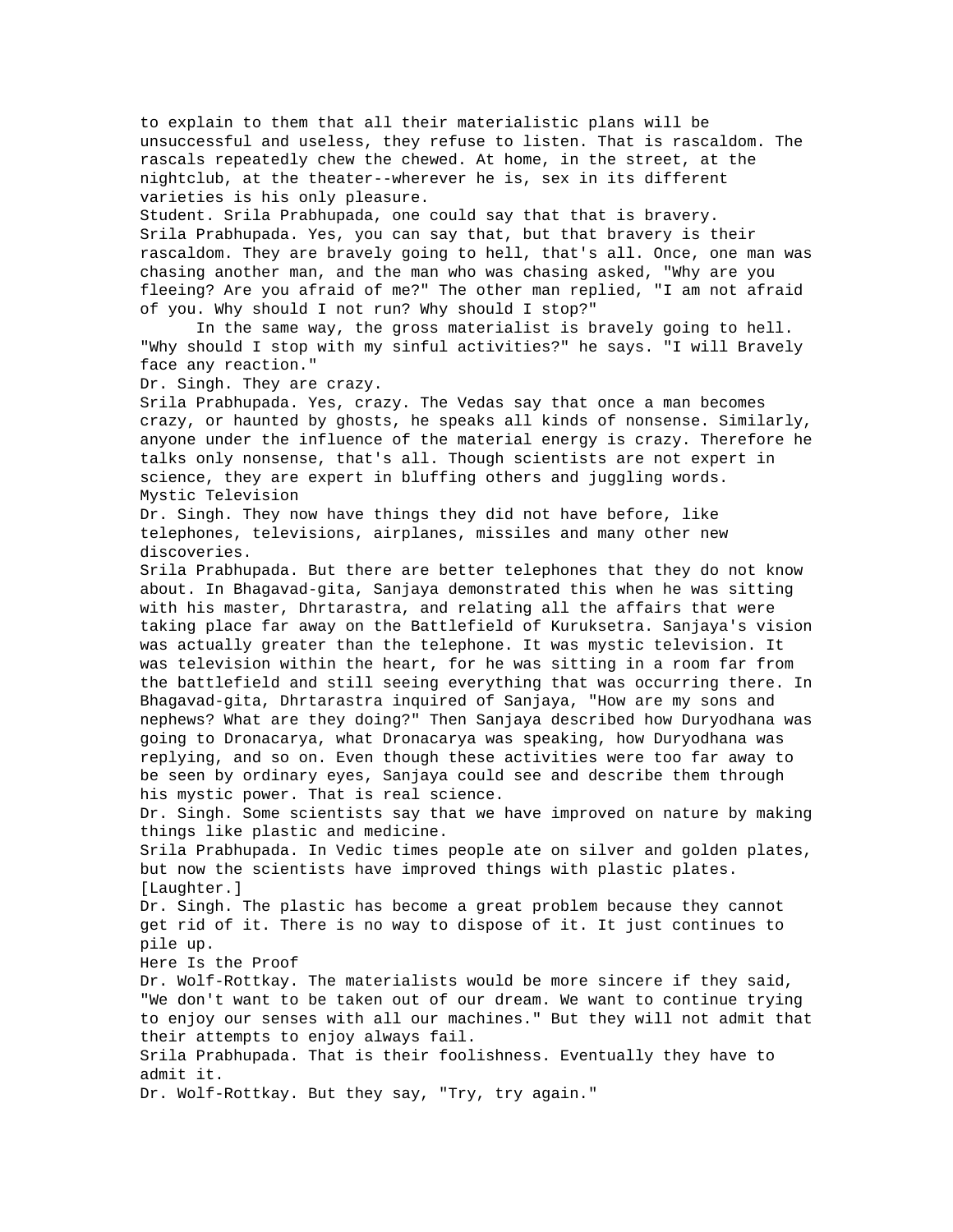to explain to them that all their materialistic plans will be unsuccessful and useless, they refuse to listen. That is rascaldom. The rascals repeatedly chew the chewed. At home, in the street, at the nightclub, at the theater--wherever he is, sex in its different varieties is his only pleasure.

Student. Srila Prabhupada, one could say that that is bravery. Srila Prabhupada. Yes, you can say that, but that bravery is their rascaldom. They are bravely going to hell, that's all. Once, one man was chasing another man, and the man who was chasing asked, "Why are you fleeing? Are you afraid of me?" The other man replied, "I am not afraid of you. Why should I not run? Why should I stop?"

 In the same way, the gross materialist is bravely going to hell. "Why should I stop with my sinful activities?" he says. "I will Bravely face any reaction."

Dr. Singh. They are crazy.

Srila Prabhupada. Yes, crazy. The Vedas say that once a man becomes crazy, or haunted by ghosts, he speaks all kinds of nonsense. Similarly, anyone under the influence of the material energy is crazy. Therefore he talks only nonsense, that's all. Though scientists are not expert in science, they are expert in bluffing others and juggling words. Mystic Television

Dr. Singh. They now have things they did not have before, like telephones, televisions, airplanes, missiles and many other new discoveries.

Srila Prabhupada. But there are better telephones that they do not know about. In Bhagavad-gita, Sanjaya demonstrated this when he was sitting with his master, Dhrtarastra, and relating all the affairs that were taking place far away on the Battlefield of Kuruksetra. Sanjaya's vision was actually greater than the telephone. It was mystic television. It was television within the heart, for he was sitting in a room far from the battlefield and still seeing everything that was occurring there. In Bhagavad-gita, Dhrtarastra inquired of Sanjaya, "How are my sons and nephews? What are they doing?" Then Sanjaya described how Duryodhana was going to Dronacarya, what Dronacarya was speaking, how Duryodhana was replying, and so on. Even though these activities were too far away to be seen by ordinary eyes, Sanjaya could see and describe them through his mystic power. That is real science.

Dr. Singh. Some scientists say that we have improved on nature by making things like plastic and medicine.

Srila Prabhupada. In Vedic times people ate on silver and golden plates, but now the scientists have improved things with plastic plates. [Laughter.]

Dr. Singh. The plastic has become a great problem because they cannot get rid of it. There is no way to dispose of it. It just continues to pile up.

Here Is the Proof

Dr. Wolf-Rottkay. The materialists would be more sincere if they said, "We don't want to be taken out of our dream. We want to continue trying to enjoy our senses with all our machines." But they will not admit that their attempts to enjoy always fail.

Srila Prabhupada. That is their foolishness. Eventually they have to admit it.

Dr. Wolf-Rottkay. But they say, "Try, try again."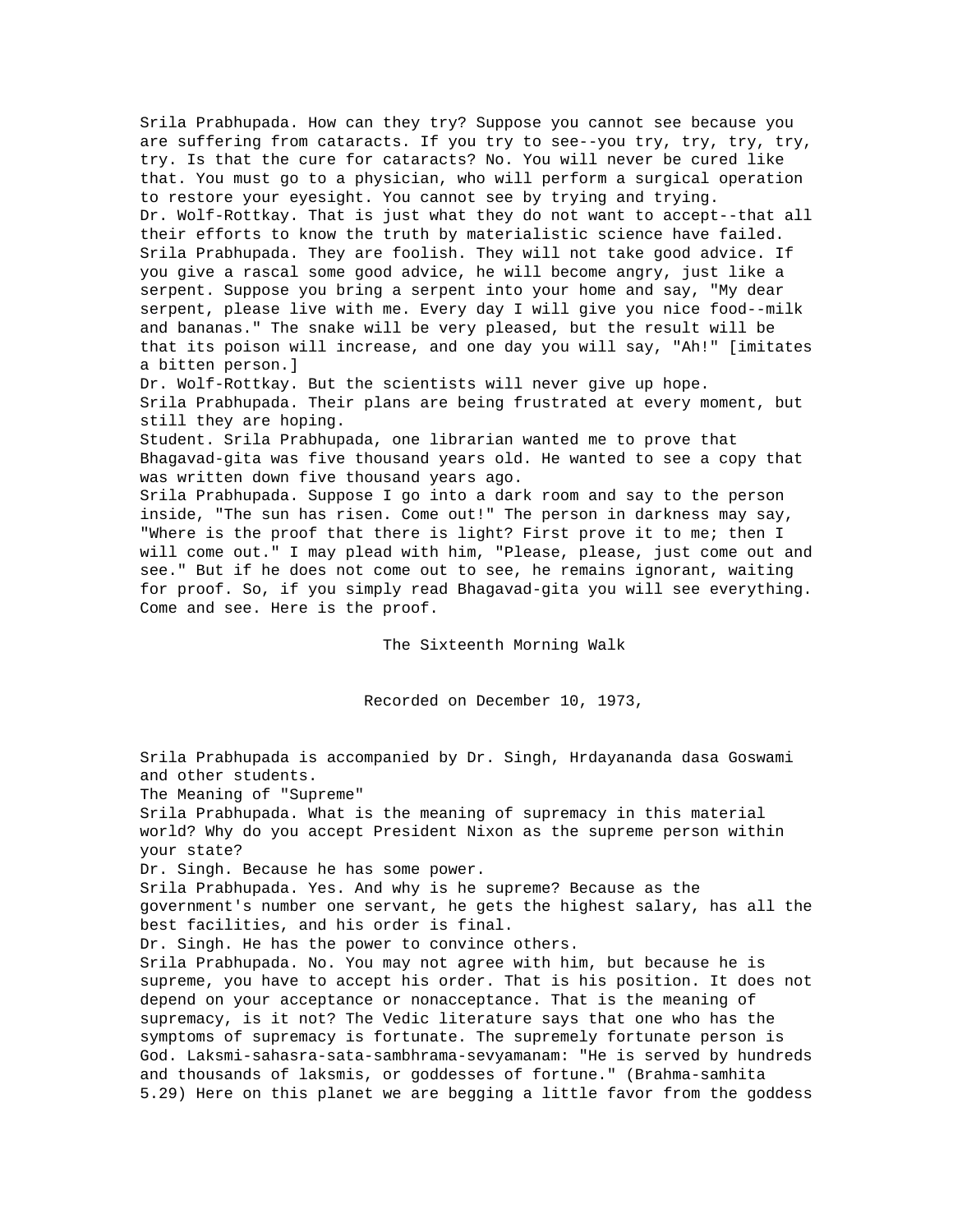Srila Prabhupada. How can they try? Suppose you cannot see because you are suffering from cataracts. If you try to see--you try, try, try, try, try. Is that the cure for cataracts? No. You will never be cured like that. You must go to a physician, who will perform a surgical operation to restore your eyesight. You cannot see by trying and trying. Dr. Wolf-Rottkay. That is just what they do not want to accept--that all their efforts to know the truth by materialistic science have failed. Srila Prabhupada. They are foolish. They will not take good advice. If you give a rascal some good advice, he will become angry, just like a serpent. Suppose you bring a serpent into your home and say, "My dear serpent, please live with me. Every day I will give you nice food--milk and bananas." The snake will be very pleased, but the result will be that its poison will increase, and one day you will say, "Ah!" [imitates a bitten person.] Dr. Wolf-Rottkay. But the scientists will never give up hope.

Srila Prabhupada. Their plans are being frustrated at every moment, but still they are hoping.

Student. Srila Prabhupada, one librarian wanted me to prove that Bhagavad-gita was five thousand years old. He wanted to see a copy that was written down five thousand years ago.

Srila Prabhupada. Suppose I go into a dark room and say to the person inside, "The sun has risen. Come out!" The person in darkness may say, "Where is the proof that there is light? First prove it to me; then I will come out." I may plead with him, "Please, please, just come out and see." But if he does not come out to see, he remains ignorant, waiting for proof. So, if you simply read Bhagavad-gita you will see everything. Come and see. Here is the proof.

The Sixteenth Morning Walk

Recorded on December 10, 1973,

Srila Prabhupada is accompanied by Dr. Singh, Hrdayananda dasa Goswami and other students.

The Meaning of "Supreme"

Srila Prabhupada. What is the meaning of supremacy in this material world? Why do you accept President Nixon as the supreme person within your state?

Dr. Singh. Because he has some power.

Srila Prabhupada. Yes. And why is he supreme? Because as the government's number one servant, he gets the highest salary, has all the best facilities, and his order is final.

Dr. Singh. He has the power to convince others.

Srila Prabhupada. No. You may not agree with him, but because he is supreme, you have to accept his order. That is his position. It does not depend on your acceptance or nonacceptance. That is the meaning of supremacy, is it not? The Vedic literature says that one who has the symptoms of supremacy is fortunate. The supremely fortunate person is God. Laksmi-sahasra-sata-sambhrama-sevyamanam: "He is served by hundreds and thousands of laksmis, or goddesses of fortune." (Brahma-samhita 5.29) Here on this planet we are begging a little favor from the goddess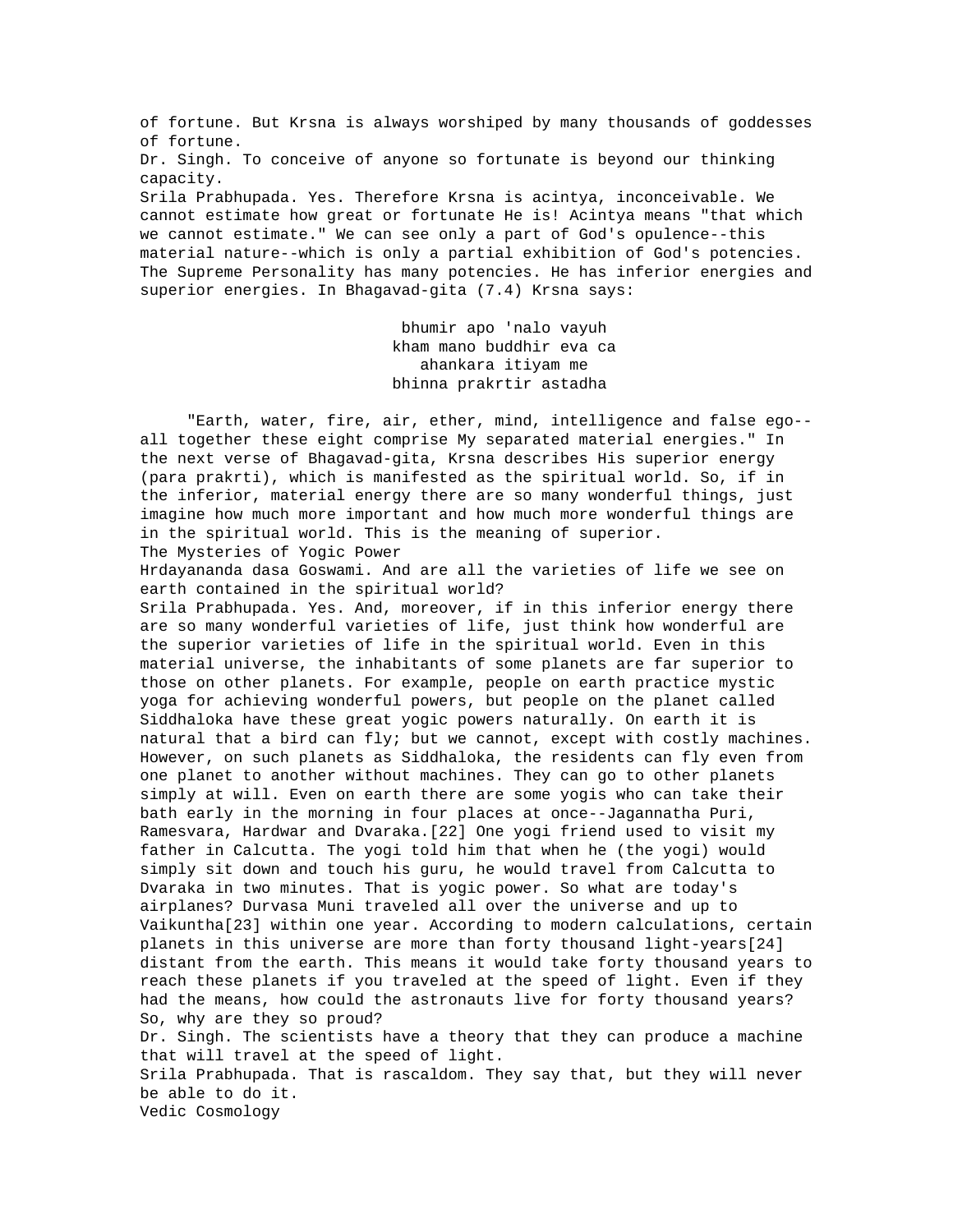of fortune. But Krsna is always worshiped by many thousands of goddesses of fortune. Dr. Singh. To conceive of anyone so fortunate is beyond our thinking capacity. Srila Prabhupada. Yes. Therefore Krsna is acintya, inconceivable. We cannot estimate how great or fortunate He is! Acintya means "that which we cannot estimate." We can see only a part of God's opulence--this material nature--which is only a partial exhibition of God's potencies. The Supreme Personality has many potencies. He has inferior energies and superior energies. In Bhagavad-gita (7.4) Krsna says:

> bhumir apo 'nalo vayuh kham mano buddhir eva ca ahankara itiyam me bhinna prakrtir astadha

 "Earth, water, fire, air, ether, mind, intelligence and false ego- all together these eight comprise My separated material energies." In the next verse of Bhagavad-gita, Krsna describes His superior energy (para prakrti), which is manifested as the spiritual world. So, if in the inferior, material energy there are so many wonderful things, just imagine how much more important and how much more wonderful things are in the spiritual world. This is the meaning of superior. The Mysteries of Yogic Power Hrdayananda dasa Goswami. And are all the varieties of life we see on earth contained in the spiritual world? Srila Prabhupada. Yes. And, moreover, if in this inferior energy there are so many wonderful varieties of life, just think how wonderful are the superior varieties of life in the spiritual world. Even in this material universe, the inhabitants of some planets are far superior to those on other planets. For example, people on earth practice mystic yoga for achieving wonderful powers, but people on the planet called Siddhaloka have these great yogic powers naturally. On earth it is natural that a bird can fly; but we cannot, except with costly machines. However, on such planets as Siddhaloka, the residents can fly even from one planet to another without machines. They can go to other planets simply at will. Even on earth there are some yogis who can take their bath early in the morning in four places at once--Jagannatha Puri, Ramesvara, Hardwar and Dvaraka.[22] One yogi friend used to visit my father in Calcutta. The yogi told him that when he (the yogi) would simply sit down and touch his guru, he would travel from Calcutta to Dvaraka in two minutes. That is yogic power. So what are today's airplanes? Durvasa Muni traveled all over the universe and up to Vaikuntha[23] within one year. According to modern calculations, certain planets in this universe are more than forty thousand light-years[24] distant from the earth. This means it would take forty thousand years to reach these planets if you traveled at the speed of light. Even if they had the means, how could the astronauts live for forty thousand years? So, why are they so proud? Dr. Singh. The scientists have a theory that they can produce a machine that will travel at the speed of light. Srila Prabhupada. That is rascaldom. They say that, but they will never be able to do it. Vedic Cosmology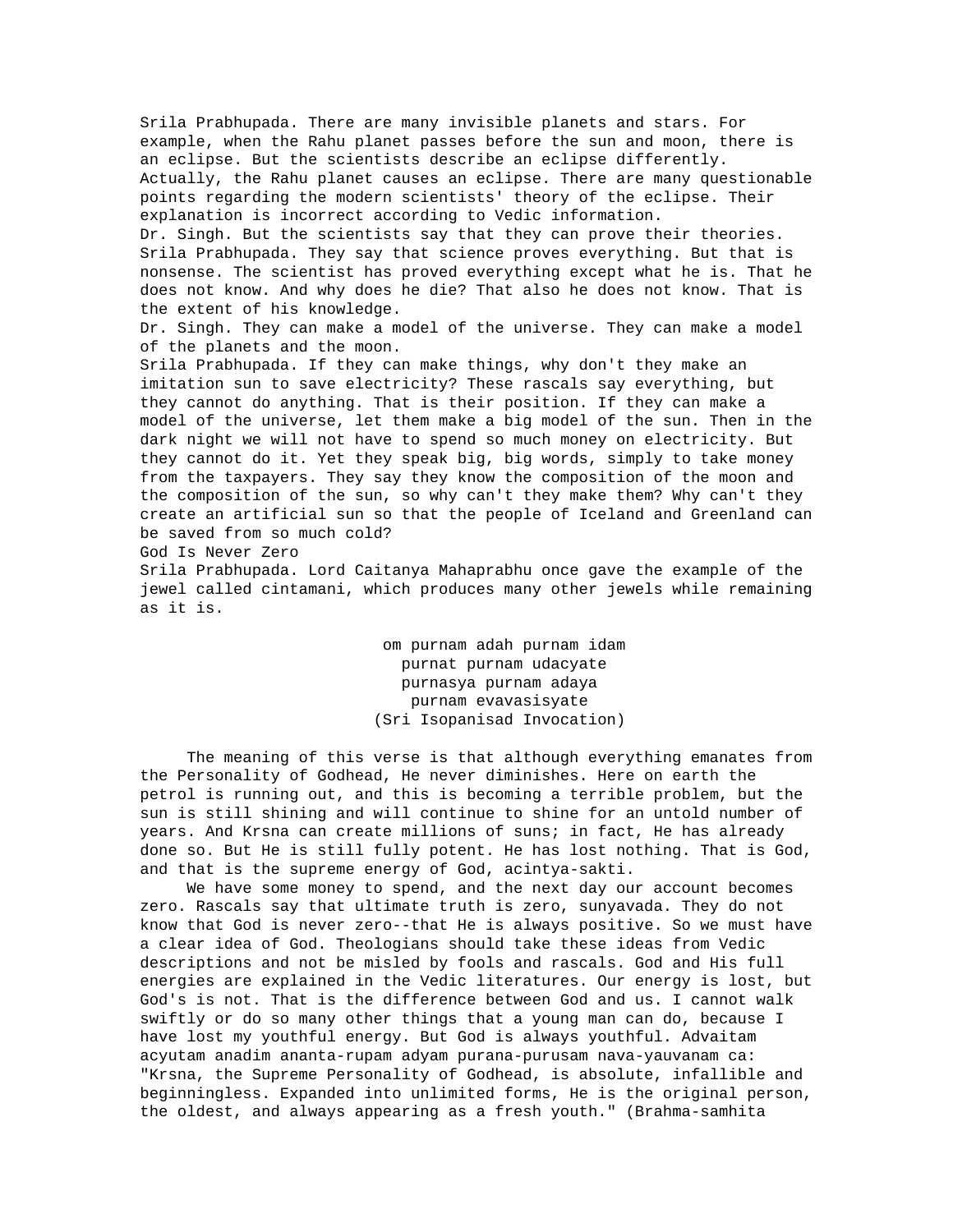Srila Prabhupada. There are many invisible planets and stars. For example, when the Rahu planet passes before the sun and moon, there is an eclipse. But the scientists describe an eclipse differently. Actually, the Rahu planet causes an eclipse. There are many questionable points regarding the modern scientists' theory of the eclipse. Their explanation is incorrect according to Vedic information. Dr. Singh. But the scientists say that they can prove their theories. Srila Prabhupada. They say that science proves everything. But that is nonsense. The scientist has proved everything except what he is. That he does not know. And why does he die? That also he does not know. That is the extent of his knowledge. Dr. Singh. They can make a model of the universe. They can make a model of the planets and the moon. Srila Prabhupada. If they can make things, why don't they make an imitation sun to save electricity? These rascals say everything, but they cannot do anything. That is their position. If they can make a model of the universe, let them make a big model of the sun. Then in the dark night we will not have to spend so much money on electricity. But they cannot do it. Yet they speak big, big words, simply to take money from the taxpayers. They say they know the composition of the moon and the composition of the sun, so why can't they make them? Why can't they create an artificial sun so that the people of Iceland and Greenland can be saved from so much cold? God Is Never Zero

Srila Prabhupada. Lord Caitanya Mahaprabhu once gave the example of the jewel called cintamani, which produces many other jewels while remaining as it is.

> om purnam adah purnam idam purnat purnam udacyate purnasya purnam adaya purnam evavasisyate (Sri Isopanisad Invocation)

 The meaning of this verse is that although everything emanates from the Personality of Godhead, He never diminishes. Here on earth the petrol is running out, and this is becoming a terrible problem, but the sun is still shining and will continue to shine for an untold number of years. And Krsna can create millions of suns; in fact, He has already done so. But He is still fully potent. He has lost nothing. That is God, and that is the supreme energy of God, acintya-sakti.

 We have some money to spend, and the next day our account becomes zero. Rascals say that ultimate truth is zero, sunyavada. They do not know that God is never zero--that He is always positive. So we must have a clear idea of God. Theologians should take these ideas from Vedic descriptions and not be misled by fools and rascals. God and His full energies are explained in the Vedic literatures. Our energy is lost, but God's is not. That is the difference between God and us. I cannot walk swiftly or do so many other things that a young man can do, because I have lost my youthful energy. But God is always youthful. Advaitam acyutam anadim ananta-rupam adyam purana-purusam nava-yauvanam ca: "Krsna, the Supreme Personality of Godhead, is absolute, infallible and beginningless. Expanded into unlimited forms, He is the original person, the oldest, and always appearing as a fresh youth." (Brahma-samhita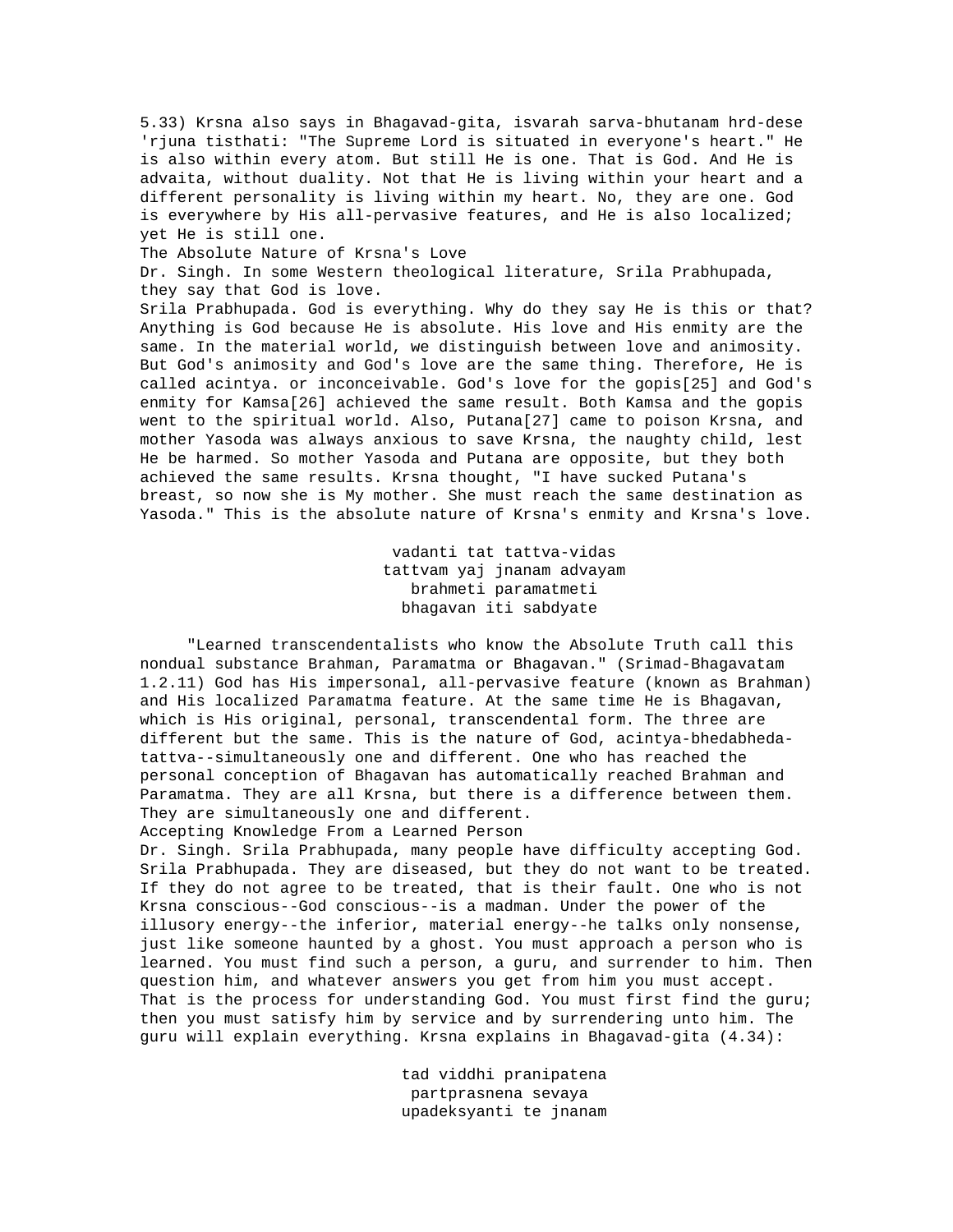5.33) Krsna also says in Bhagavad-gita, isvarah sarva-bhutanam hrd-dese 'rjuna tisthati: "The Supreme Lord is situated in everyone's heart." He is also within every atom. But still He is one. That is God. And He is advaita, without duality. Not that He is living within your heart and a different personality is living within my heart. No, they are one. God is everywhere by His all-pervasive features, and He is also localized; yet He is still one.

The Absolute Nature of Krsna's Love

Dr. Singh. In some Western theological literature, Srila Prabhupada, they say that God is love.

Srila Prabhupada. God is everything. Why do they say He is this or that? Anything is God because He is absolute. His love and His enmity are the same. In the material world, we distinguish between love and animosity. But God's animosity and God's love are the same thing. Therefore, He is called acintya. or inconceivable. God's love for the gopis[25] and God's enmity for Kamsa[26] achieved the same result. Both Kamsa and the gopis went to the spiritual world. Also, Putana[27] came to poison Krsna, and mother Yasoda was always anxious to save Krsna, the naughty child, lest He be harmed. So mother Yasoda and Putana are opposite, but they both achieved the same results. Krsna thought, "I have sucked Putana's breast, so now she is My mother. She must reach the same destination as Yasoda." This is the absolute nature of Krsna's enmity and Krsna's love.

> vadanti tat tattva-vidas tattvam yaj jnanam advayam brahmeti paramatmeti bhagavan iti sabdyate

 "Learned transcendentalists who know the Absolute Truth call this nondual substance Brahman, Paramatma or Bhagavan." (Srimad-Bhagavatam 1.2.11) God has His impersonal, all-pervasive feature (known as Brahman) and His localized Paramatma feature. At the same time He is Bhagavan, which is His original, personal, transcendental form. The three are different but the same. This is the nature of God, acintya-bhedabhedatattva--simultaneously one and different. One who has reached the personal conception of Bhagavan has automatically reached Brahman and Paramatma. They are all Krsna, but there is a difference between them. They are simultaneously one and different.

Accepting Knowledge From a Learned Person

Dr. Singh. Srila Prabhupada, many people have difficulty accepting God. Srila Prabhupada. They are diseased, but they do not want to be treated. If they do not agree to be treated, that is their fault. One who is not Krsna conscious--God conscious--is a madman. Under the power of the illusory energy--the inferior, material energy--he talks only nonsense, just like someone haunted by a ghost. You must approach a person who is learned. You must find such a person, a guru, and surrender to him. Then question him, and whatever answers you get from him you must accept. That is the process for understanding God. You must first find the guru; then you must satisfy him by service and by surrendering unto him. The guru will explain everything. Krsna explains in Bhagavad-gita (4.34):

> tad viddhi pranipatena partprasnena sevaya upadeksyanti te jnanam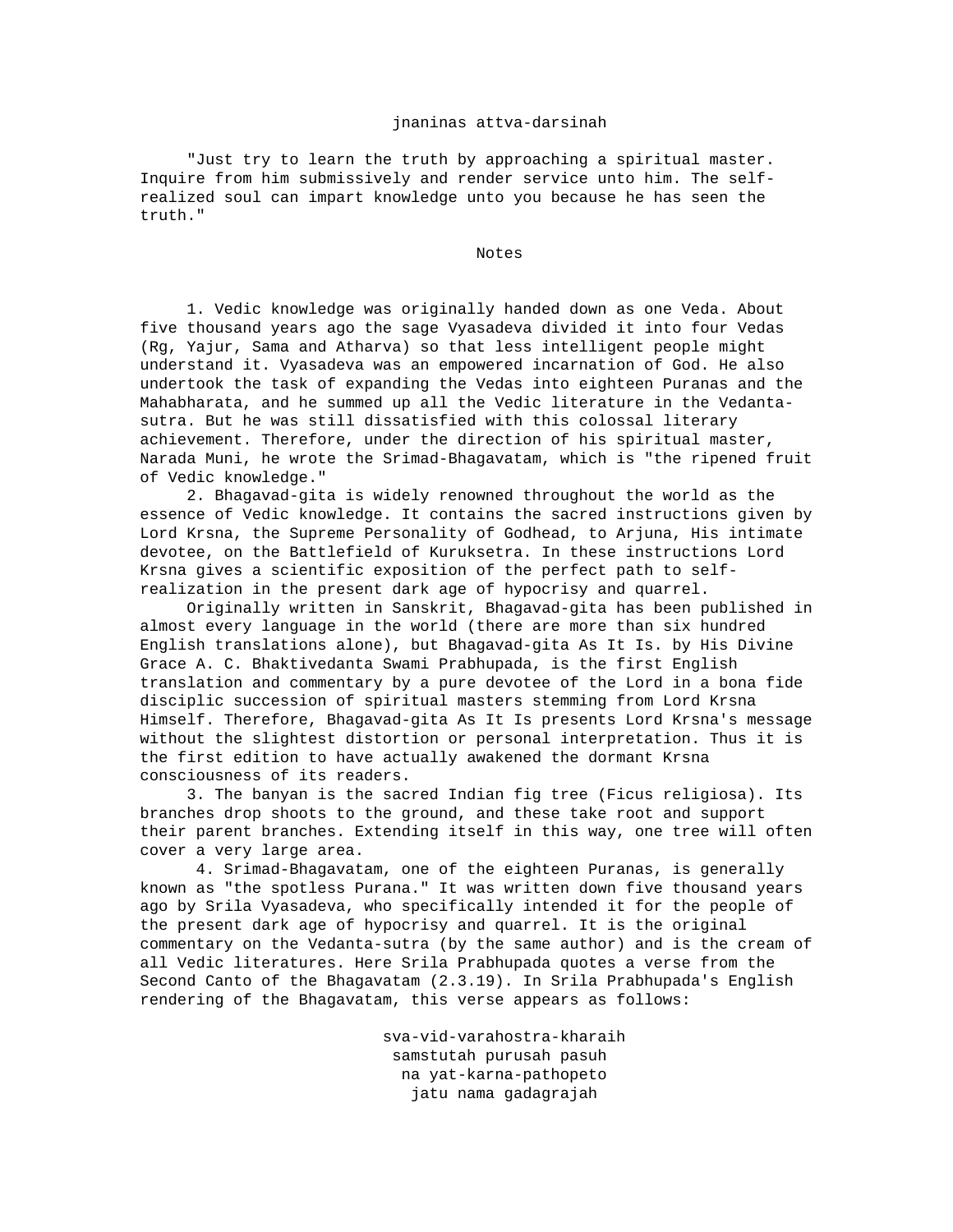## jnaninas attva-darsinah

 "Just try to learn the truth by approaching a spiritual master. Inquire from him submissively and render service unto him. The selfrealized soul can impart knowledge unto you because he has seen the truth."

**Notes Notes** 

 1. Vedic knowledge was originally handed down as one Veda. About five thousand years ago the sage Vyasadeva divided it into four Vedas (Rg, Yajur, Sama and Atharva) so that less intelligent people might understand it. Vyasadeva was an empowered incarnation of God. He also undertook the task of expanding the Vedas into eighteen Puranas and the Mahabharata, and he summed up all the Vedic literature in the Vedantasutra. But he was still dissatisfied with this colossal literary achievement. Therefore, under the direction of his spiritual master, Narada Muni, he wrote the Srimad-Bhagavatam, which is "the ripened fruit of Vedic knowledge."

 2. Bhagavad-gita is widely renowned throughout the world as the essence of Vedic knowledge. It contains the sacred instructions given by Lord Krsna, the Supreme Personality of Godhead, to Arjuna, His intimate devotee, on the Battlefield of Kuruksetra. In these instructions Lord Krsna gives a scientific exposition of the perfect path to selfrealization in the present dark age of hypocrisy and quarrel.

 Originally written in Sanskrit, Bhagavad-gita has been published in almost every language in the world (there are more than six hundred English translations alone), but Bhagavad-gita As It Is. by His Divine Grace A. C. Bhaktivedanta Swami Prabhupada, is the first English translation and commentary by a pure devotee of the Lord in a bona fide disciplic succession of spiritual masters stemming from Lord Krsna Himself. Therefore, Bhagavad-gita As It Is presents Lord Krsna's message without the slightest distortion or personal interpretation. Thus it is the first edition to have actually awakened the dormant Krsna consciousness of its readers.

 3. The banyan is the sacred Indian fig tree (Ficus religiosa). Its branches drop shoots to the ground, and these take root and support their parent branches. Extending itself in this way, one tree will often cover a very large area.

4. Srimad-Bhagavatam, one of the eighteen Puranas, is generally known as "the spotless Purana." It was written down five thousand years ago by Srila Vyasadeva, who specifically intended it for the people of the present dark age of hypocrisy and quarrel. It is the original commentary on the Vedanta-sutra (by the same author) and is the cream of all Vedic literatures. Here Srila Prabhupada quotes a verse from the Second Canto of the Bhagavatam (2.3.19). In Srila Prabhupada's English rendering of the Bhagavatam, this verse appears as follows:

> sva-vid-varahostra-kharaih samstutah purusah pasuh na yat-karna-pathopeto jatu nama gadagrajah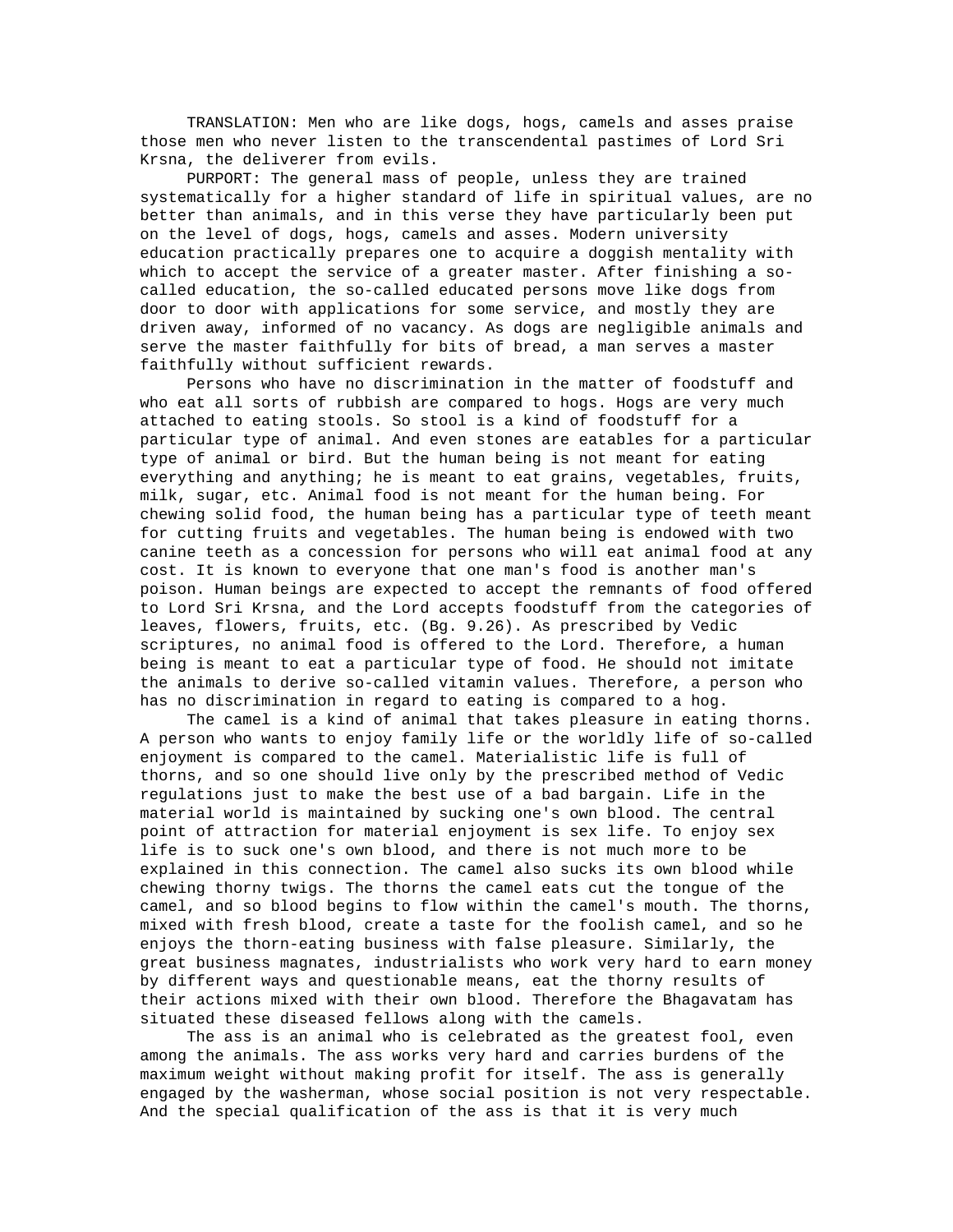TRANSLATION: Men who are like dogs, hogs, camels and asses praise those men who never listen to the transcendental pastimes of Lord Sri Krsna, the deliverer from evils.

 PURPORT: The general mass of people, unless they are trained systematically for a higher standard of life in spiritual values, are no better than animals, and in this verse they have particularly been put on the level of dogs, hogs, camels and asses. Modern university education practically prepares one to acquire a doggish mentality with which to accept the service of a greater master. After finishing a socalled education, the so-called educated persons move like dogs from door to door with applications for some service, and mostly they are driven away, informed of no vacancy. As dogs are negligible animals and serve the master faithfully for bits of bread, a man serves a master faithfully without sufficient rewards.

 Persons who have no discrimination in the matter of foodstuff and who eat all sorts of rubbish are compared to hogs. Hogs are very much attached to eating stools. So stool is a kind of foodstuff for a particular type of animal. And even stones are eatables for a particular type of animal or bird. But the human being is not meant for eating everything and anything; he is meant to eat grains, vegetables, fruits, milk, sugar, etc. Animal food is not meant for the human being. For chewing solid food, the human being has a particular type of teeth meant for cutting fruits and vegetables. The human being is endowed with two canine teeth as a concession for persons who will eat animal food at any cost. It is known to everyone that one man's food is another man's poison. Human beings are expected to accept the remnants of food offered to Lord Sri Krsna, and the Lord accepts foodstuff from the categories of leaves, flowers, fruits, etc. (Bg. 9.26). As prescribed by Vedic scriptures, no animal food is offered to the Lord. Therefore, a human being is meant to eat a particular type of food. He should not imitate the animals to derive so-called vitamin values. Therefore, a person who has no discrimination in regard to eating is compared to a hog.

 The camel is a kind of animal that takes pleasure in eating thorns. A person who wants to enjoy family life or the worldly life of so-called enjoyment is compared to the camel. Materialistic life is full of thorns, and so one should live only by the prescribed method of Vedic regulations just to make the best use of a bad bargain. Life in the material world is maintained by sucking one's own blood. The central point of attraction for material enjoyment is sex life. To enjoy sex life is to suck one's own blood, and there is not much more to be explained in this connection. The camel also sucks its own blood while chewing thorny twigs. The thorns the camel eats cut the tongue of the camel, and so blood begins to flow within the camel's mouth. The thorns, mixed with fresh blood, create a taste for the foolish camel, and so he enjoys the thorn-eating business with false pleasure. Similarly, the great business magnates, industrialists who work very hard to earn money by different ways and questionable means, eat the thorny results of their actions mixed with their own blood. Therefore the Bhagavatam has situated these diseased fellows along with the camels.

 The ass is an animal who is celebrated as the greatest fool, even among the animals. The ass works very hard and carries burdens of the maximum weight without making profit for itself. The ass is generally engaged by the washerman, whose social position is not very respectable. And the special qualification of the ass is that it is very much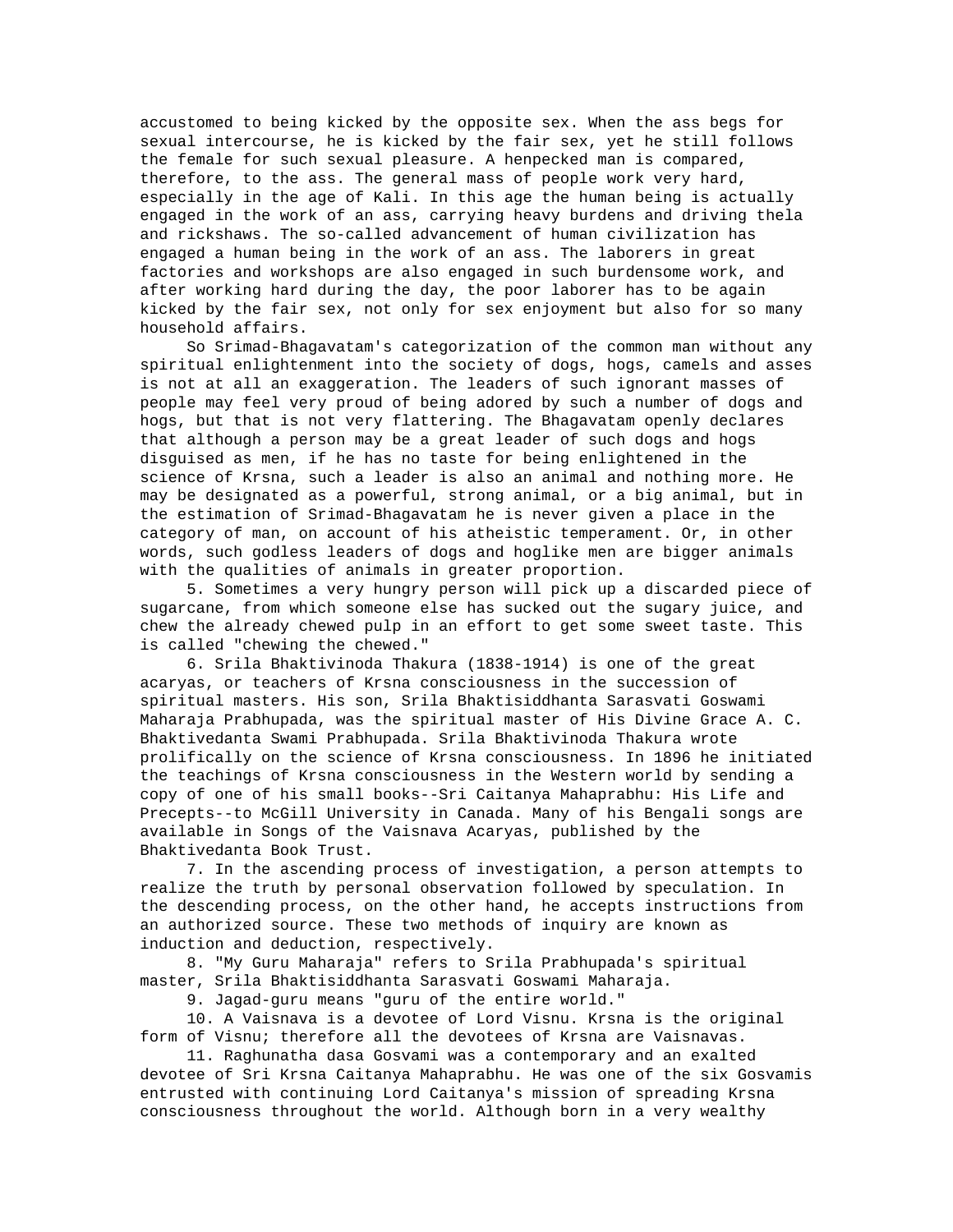accustomed to being kicked by the opposite sex. When the ass begs for sexual intercourse, he is kicked by the fair sex, yet he still follows the female for such sexual pleasure. A henpecked man is compared, therefore, to the ass. The general mass of people work very hard, especially in the age of Kali. In this age the human being is actually engaged in the work of an ass, carrying heavy burdens and driving thela and rickshaws. The so-called advancement of human civilization has engaged a human being in the work of an ass. The laborers in great factories and workshops are also engaged in such burdensome work, and after working hard during the day, the poor laborer has to be again kicked by the fair sex, not only for sex enjoyment but also for so many household affairs.

 So Srimad-Bhagavatam's categorization of the common man without any spiritual enlightenment into the society of dogs, hogs, camels and asses is not at all an exaggeration. The leaders of such ignorant masses of people may feel very proud of being adored by such a number of dogs and hogs, but that is not very flattering. The Bhagavatam openly declares that although a person may be a great leader of such dogs and hogs disguised as men, if he has no taste for being enlightened in the science of Krsna, such a leader is also an animal and nothing more. He may be designated as a powerful, strong animal, or a big animal, but in the estimation of Srimad-Bhagavatam he is never given a place in the category of man, on account of his atheistic temperament. Or, in other words, such godless leaders of dogs and hoglike men are bigger animals with the qualities of animals in greater proportion.

 5. Sometimes a very hungry person will pick up a discarded piece of sugarcane, from which someone else has sucked out the sugary juice, and chew the already chewed pulp in an effort to get some sweet taste. This is called "chewing the chewed."

 6. Srila Bhaktivinoda Thakura (1838-1914) is one of the great acaryas, or teachers of Krsna consciousness in the succession of spiritual masters. His son, Srila Bhaktisiddhanta Sarasvati Goswami Maharaja Prabhupada, was the spiritual master of His Divine Grace A. C. Bhaktivedanta Swami Prabhupada. Srila Bhaktivinoda Thakura wrote prolifically on the science of Krsna consciousness. In 1896 he initiated the teachings of Krsna consciousness in the Western world by sending a copy of one of his small books--Sri Caitanya Mahaprabhu: His Life and Precepts--to McGill University in Canada. Many of his Bengali songs are available in Songs of the Vaisnava Acaryas, published by the Bhaktivedanta Book Trust.

 7. In the ascending process of investigation, a person attempts to realize the truth by personal observation followed by speculation. In the descending process, on the other hand, he accepts instructions from an authorized source. These two methods of inquiry are known as induction and deduction, respectively.

 8. "My Guru Maharaja" refers to Srila Prabhupada's spiritual master, Srila Bhaktisiddhanta Sarasvati Goswami Maharaja.

9. Jagad-guru means "guru of the entire world."

 10. A Vaisnava is a devotee of Lord Visnu. Krsna is the original form of Visnu; therefore all the devotees of Krsna are Vaisnavas.

 11. Raghunatha dasa Gosvami was a contemporary and an exalted devotee of Sri Krsna Caitanya Mahaprabhu. He was one of the six Gosvamis entrusted with continuing Lord Caitanya's mission of spreading Krsna consciousness throughout the world. Although born in a very wealthy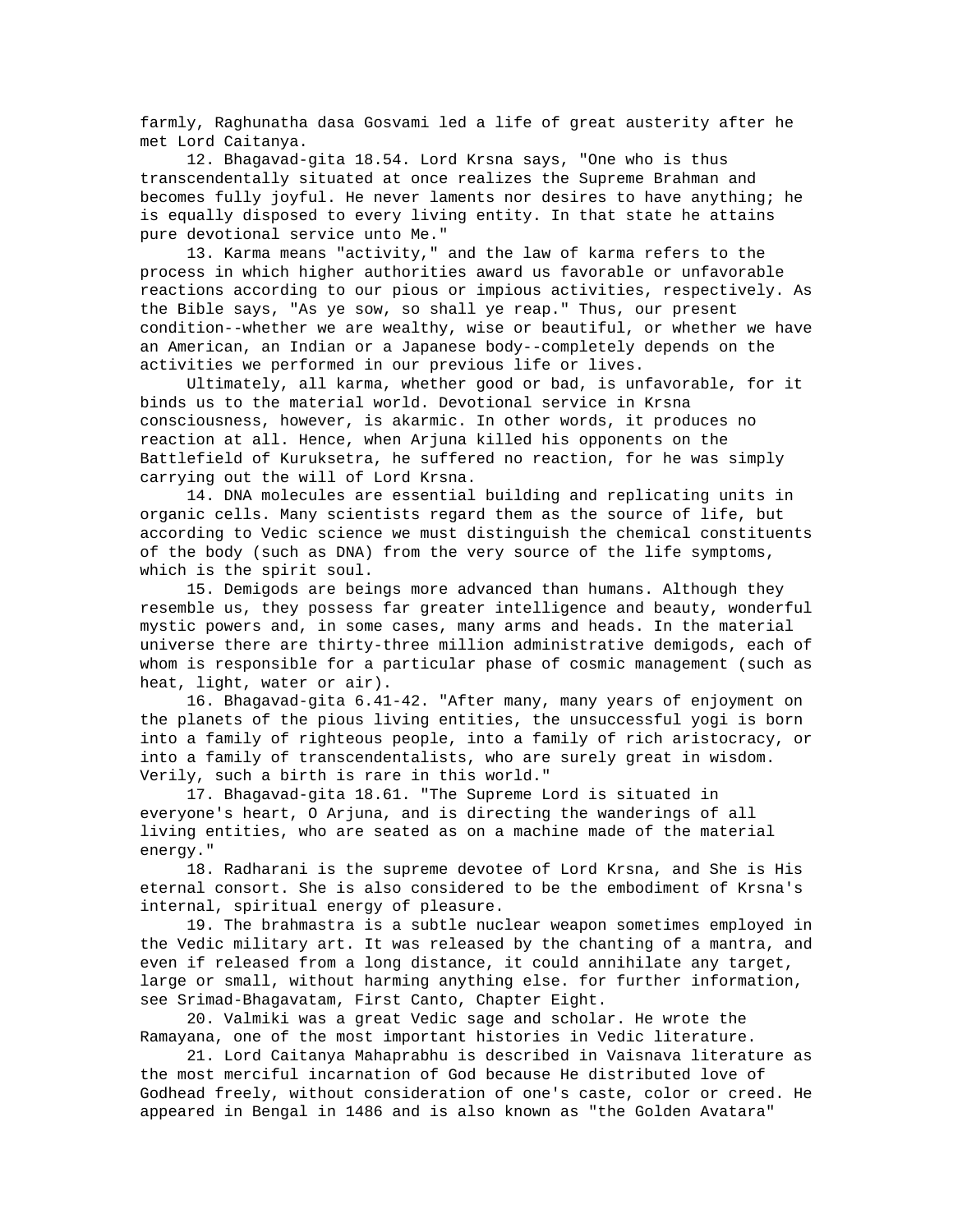farmly, Raghunatha dasa Gosvami led a life of great austerity after he met Lord Caitanya.

 12. Bhagavad-gita 18.54. Lord Krsna says, "One who is thus transcendentally situated at once realizes the Supreme Brahman and becomes fully joyful. He never laments nor desires to have anything; he is equally disposed to every living entity. In that state he attains pure devotional service unto Me."

 13. Karma means "activity," and the law of karma refers to the process in which higher authorities award us favorable or unfavorable reactions according to our pious or impious activities, respectively. As the Bible says, "As ye sow, so shall ye reap." Thus, our present condition--whether we are wealthy, wise or beautiful, or whether we have an American, an Indian or a Japanese body--completely depends on the activities we performed in our previous life or lives.

 Ultimately, all karma, whether good or bad, is unfavorable, for it binds us to the material world. Devotional service in Krsna consciousness, however, is akarmic. In other words, it produces no reaction at all. Hence, when Arjuna killed his opponents on the Battlefield of Kuruksetra, he suffered no reaction, for he was simply carrying out the will of Lord Krsna.

 14. DNA molecules are essential building and replicating units in organic cells. Many scientists regard them as the source of life, but according to Vedic science we must distinguish the chemical constituents of the body (such as DNA) from the very source of the life symptoms, which is the spirit soul.

 15. Demigods are beings more advanced than humans. Although they resemble us, they possess far greater intelligence and beauty, wonderful mystic powers and, in some cases, many arms and heads. In the material universe there are thirty-three million administrative demigods, each of whom is responsible for a particular phase of cosmic management (such as heat, light, water or air).

 16. Bhagavad-gita 6.41-42. "After many, many years of enjoyment on the planets of the pious living entities, the unsuccessful yogi is born into a family of righteous people, into a family of rich aristocracy, or into a family of transcendentalists, who are surely great in wisdom. Verily, such a birth is rare in this world."

 17. Bhagavad-gita 18.61. "The Supreme Lord is situated in everyone's heart, O Arjuna, and is directing the wanderings of all living entities, who are seated as on a machine made of the material energy."

 18. Radharani is the supreme devotee of Lord Krsna, and She is His eternal consort. She is also considered to be the embodiment of Krsna's internal, spiritual energy of pleasure.

 19. The brahmastra is a subtle nuclear weapon sometimes employed in the Vedic military art. It was released by the chanting of a mantra, and even if released from a long distance, it could annihilate any target, large or small, without harming anything else. for further information, see Srimad-Bhagavatam, First Canto, Chapter Eight.

 20. Valmiki was a great Vedic sage and scholar. He wrote the Ramayana, one of the most important histories in Vedic literature.

 21. Lord Caitanya Mahaprabhu is described in Vaisnava literature as the most merciful incarnation of God because He distributed love of Godhead freely, without consideration of one's caste, color or creed. He appeared in Bengal in 1486 and is also known as "the Golden Avatara"